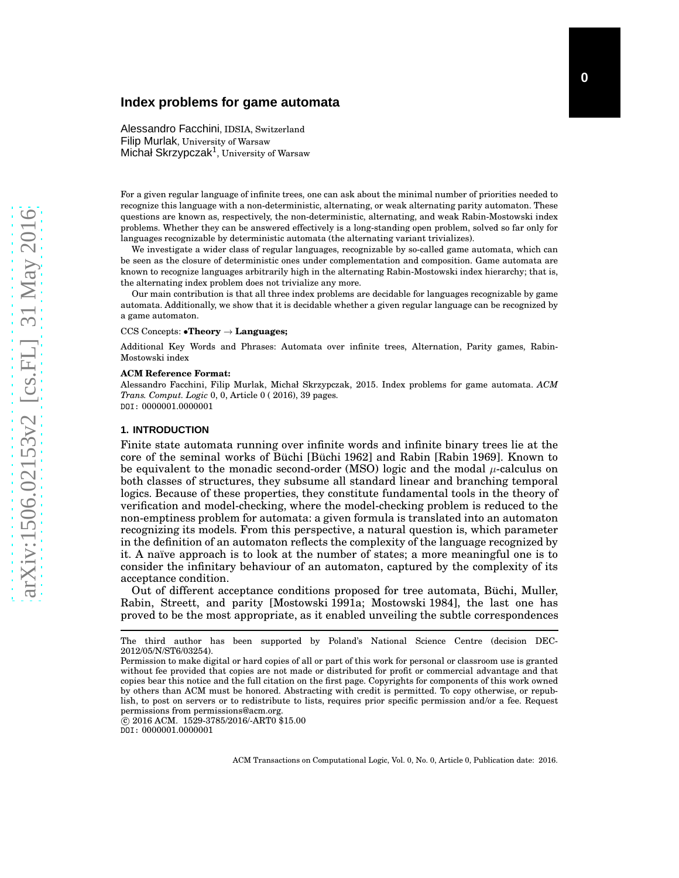# **Index problems for game automata**

Alessandro Facchini, IDSIA, Switzerland Filip Murlak, University of Warsaw Michał Skrzypczak<sup>1</sup>, University of Warsaw

For a given regular language of infinite trees, one can ask about the minimal number of priorities needed to recognize this language with a non-deterministic, alternating, or weak alternating parity automaton. These questions are known as, respectively, the non-deterministic, alternating, and weak Rabin-Mostowski index problems. Whether they can be answered effectively is a long-standing open problem, solved so far only for languages recognizable by deterministic automata (the alternating variant trivializes).

We investigate a wider class of regular languages, recognizable by so-called game automata, which can be seen as the closure of deterministic ones under complementation and composition. Game automata are known to recognize languages arbitrarily high in the alternating Rabin-Mostowski index hierarchy; that is, the alternating index problem does not trivialize any more.

Our main contribution is that all three index problems are decidable for languages recognizable by game automata. Additionally, we show that it is decidable whether a given regular language can be recognized by a game automaton.

#### CCS Concepts: •**Theory** → **Languages;**

Additional Key Words and Phrases: Automata over infinite trees, Alternation, Parity games, Rabin-Mostowski index

#### **ACM Reference Format:**

Alessandro Facchini, Filip Murlak, Michał Skrzypczak, 2015. Index problems for game automata. *ACM Trans. Comput. Logic* 0, 0, Article 0 ( 2016), 39 pages. DOI: 0000001.0000001

#### **1. INTRODUCTION**

Finite state automata running over infinite words and infinite binary trees lie at the core of the seminal works of Büchi [\[Büchi 1962\]](#page-37-0) and Rabin [\[Rabin 1969\]](#page-37-1). Known to be equivalent to the monadic second-order (MSO) logic and the modal  $\mu$ -calculus on both classes of structures, they subsume all standard linear and branching temporal logics. Because of these properties, they constitute fundamental tools in the theory of verification and model-checking, where the model-checking problem is reduced to the non-emptiness problem for automata: a given formula is translated into an automaton recognizing its models. From this perspective, a natural question is, which parameter in the definition of an automaton reflects the complexity of the language recognized by it. A naïve approach is to look at the number of states; a more meaningful one is to consider the infinitary behaviour of an automaton, captured by the complexity of its acceptance condition.

Out of different acceptance conditions proposed for tree automata, Büchi, Muller, Rabin, Streett, and parity [\[Mostowski 1991a;](#page-37-2) [Mostowski 1984\]](#page-37-3), the last one has proved to be the most appropriate, as it enabled unveiling the subtle correspondences

 c 2016 ACM. 1529-3785/2016/-ART0 \$15.00 DOI: 0000001.0000001

The third author has been supported by Poland's National Science Centre (decision DEC-2012/05/N/ST6/03254).

Permission to make digital or hard copies of all or part of this work for personal or classroom use is granted without fee provided that copies are not made or distributed for profit or commercial advantage and that copies bear this notice and the full citation on the first page. Copyrights for components of this work owned by others than ACM must be honored. Abstracting with credit is permitted. To copy otherwise, or republish, to post on servers or to redistribute to lists, requires prior specific permission and/or a fee. Request permissions from permissions@acm.org.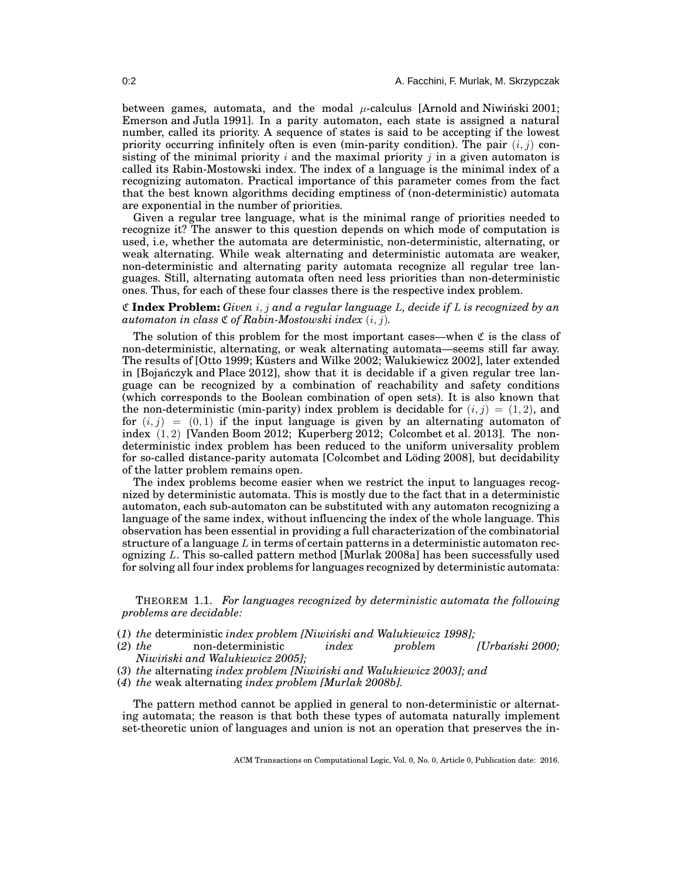between games, automata, and the modal  $\mu$ -calculus [\[Arnold and Niwinski 2001;](#page-36-0) [Emerson and Jutla 1991\]](#page-37-4). In a parity automaton, each state is assigned a natural number, called its priority. A sequence of states is said to be accepting if the lowest priority occurring infinitely often is even (min-parity condition). The pair  $(i, j)$  consisting of the minimal priority  $i$  and the maximal priority  $j$  in a given automaton is called its Rabin-Mostowski index. The index of a language is the minimal index of a recognizing automaton. Practical importance of this parameter comes from the fact that the best known algorithms deciding emptiness of (non-deterministic) automata are exponential in the number of priorities.

Given a regular tree language, what is the minimal range of priorities needed to recognize it? The answer to this question depends on which mode of computation is used, i.e, whether the automata are deterministic, non-deterministic, alternating, or weak alternating. While weak alternating and deterministic automata are weaker, non-deterministic and alternating parity automata recognize all regular tree languages. Still, alternating automata often need less priorities than non-deterministic ones. Thus, for each of these four classes there is the respective index problem.

# C **Index Problem:** *Given* i, j *and a regular language* L*, decide if* L *is recognized by an automaton in class*  $\mathfrak C$  *of Rabin-Mostowski index*  $(i, j)$ *.*

The solution of this problem for the most important cases—when  $\mathfrak C$  is the class of non-deterministic, alternating, or weak alternating automata—seems still far away. The results of [\[Otto 1999;](#page-37-5) [Küsters and Wilke 2002;](#page-37-6) [Walukiewicz 2002\]](#page-38-0), later extended in  $[Boj$ anczyk and Place 2012], show that it is decidable if a given regular tree language can be recognized by a combination of reachability and safety conditions (which corresponds to the Boolean combination of open sets). It is also known that the non-deterministic (min-parity) index problem is decidable for  $(i, j) = (1, 2)$ , and for  $(i, j) = (0, 1)$  if the input language is given by an alternating automaton of index (1, 2) [\[Vanden Boom 2012;](#page-37-7) [Kuperberg 2012;](#page-37-8) [Colcombet et al. 2013\]](#page-37-9). The nondeterministic index problem has been reduced to the uniform universality problem for so-called distance-parity automata [\[Colcombet and Löding 2008\]](#page-37-10), but decidability of the latter problem remains open.

The index problems become easier when we restrict the input to languages recognized by deterministic automata. This is mostly due to the fact that in a deterministic automaton, each sub-automaton can be substituted with any automaton recognizing a language of the same index, without influencing the index of the whole language. This observation has been essential in providing a full characterization of the combinatorial structure of a language  $L$  in terms of certain patterns in a deterministic automaton recognizing L. This so-called pattern method [\[Murlak 2008a\]](#page-37-11) has been successfully used for solving all four index problems for languages recognized by deterministic automata:

<span id="page-1-0"></span>THEOREM 1.1. *For languages recognized by deterministic automata the following problems are decidable:*

- (*1*) *the* deterministic *index problem [\[Niwi ´nski and Walukiewicz 1998\]](#page-37-12);*
- (2) the non-deterministic *index problem [Urbański 2000; [Niwi ´nski and Walukiewicz 2005\]](#page-37-14);*
- (*3*) *the* alternating *index problem [\[Niwi ´nski and Walukiewicz 2003\]](#page-37-15); and*
- (*4*) *the* weak alternating *index problem [\[Murlak 2008b\]](#page-37-16).*

The pattern method cannot be applied in general to non-deterministic or alternating automata; the reason is that both these types of automata naturally implement set-theoretic union of languages and union is not an operation that preserves the in-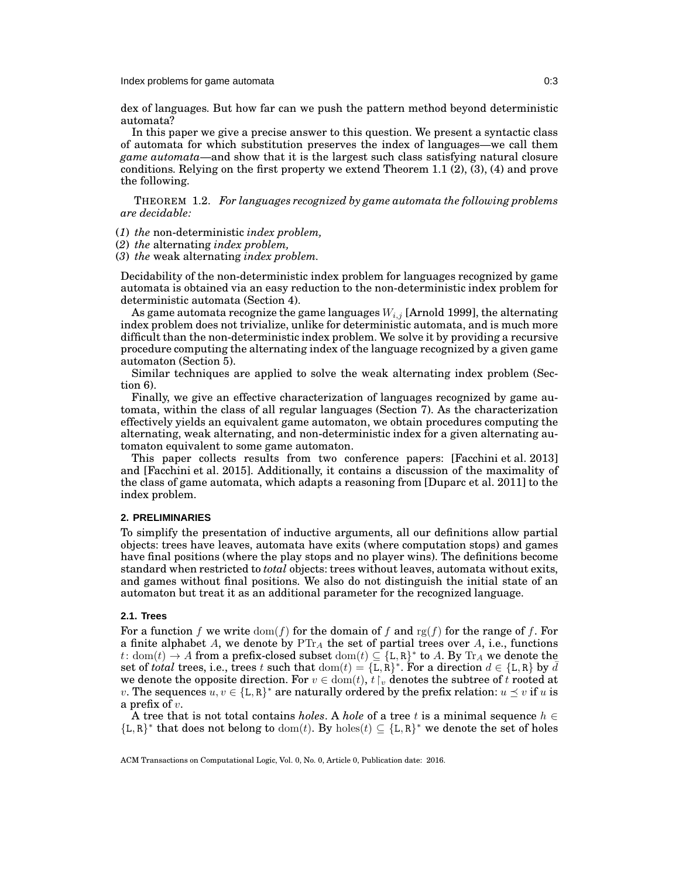dex of languages. But how far can we push the pattern method beyond deterministic automata?

In this paper we give a precise answer to this question. We present a syntactic class of automata for which substitution preserves the index of languages—we call them *game automata*—and show that it is the largest such class satisfying natural closure conditions. Relying on the first property we extend Theorem [1.1](#page-1-0) (2), (3), (4) and prove the following.

THEOREM 1.2. *For languages recognized by game automata the following problems are decidable:*

(*1*) *the* non-deterministic *index problem,*

(*2*) *the* alternating *index problem,*

(*3*) *the* weak alternating *index problem.*

Decidability of the non-deterministic index problem for languages recognized by game automata is obtained via an easy reduction to the non-deterministic index problem for deterministic automata (Section [4\)](#page-8-0).

As game automata recognize the game languages  $W_{i,j}$  [\[Arnold 1999\]](#page-36-2), the alternating index problem does not trivialize, unlike for deterministic automata, and is much more difficult than the non-deterministic index problem. We solve it by providing a recursive procedure computing the alternating index of the language recognized by a given game automaton (Section [5\)](#page-10-0).

Similar techniques are applied to solve the weak alternating index problem (Section [6\)](#page-21-0).

Finally, we give an effective characterization of languages recognized by game automata, within the class of all regular languages (Section [7\)](#page-28-0). As the characterization effectively yields an equivalent game automaton, we obtain procedures computing the alternating, weak alternating, and non-deterministic index for a given alternating automaton equivalent to some game automaton.

This paper collects results from two conference papers: [\[Facchini et al. 2013\]](#page-37-17) and [\[Facchini et al. 2015\]](#page-37-18). Additionally, it contains a discussion of the maximality of the class of game automata, which adapts a reasoning from [\[Duparc et al. 2011\]](#page-37-19) to the index problem.

## **2. PRELIMINARIES**

To simplify the presentation of inductive arguments, all our definitions allow partial objects: trees have leaves, automata have exits (where computation stops) and games have final positions (where the play stops and no player wins). The definitions become standard when restricted to *total* objects: trees without leaves, automata without exits, and games without final positions. We also do not distinguish the initial state of an automaton but treat it as an additional parameter for the recognized language.

# **2.1. Trees**

For a function f we write  $\text{dom}(f)$  for the domain of f and rg(f) for the range of f. For a finite alphabet  $A$ , we denote by  $\text{PTr}_A$  the set of partial trees over  $A$ , i.e., functions t: dom(t)  $\rightarrow$  A from a prefix-closed subset dom(t)  $\subseteq$  {L, R}<sup>\*</sup> to A. By Tr<sub>A</sub> we denote the set of *total* trees, i.e., trees t such that  $dom(t) = {\{\overline{L}, \overline{R}\}}^*$ . For a direction  $d \in {\{\text{L}, \text{R}\}}$  by  $\overline{d}$ we denote the opposite direction. For  $v \in \text{dom}(t)$ ,  $t \upharpoonright v$  denotes the subtree of t rooted at v. The sequences  $u, v \in \{L, R\}^*$  are naturally ordered by the prefix relation:  $u \preceq v$  if u is a prefix of  $v$ .

A tree that is not total contains *holes*. A *hole* of a tree t is a minimal sequence  $h \in$  ${L,R}^*$  that does not belong to  $dom(t)$ . By  $holes(t) \subseteq {L,R}^*$  we denote the set of holes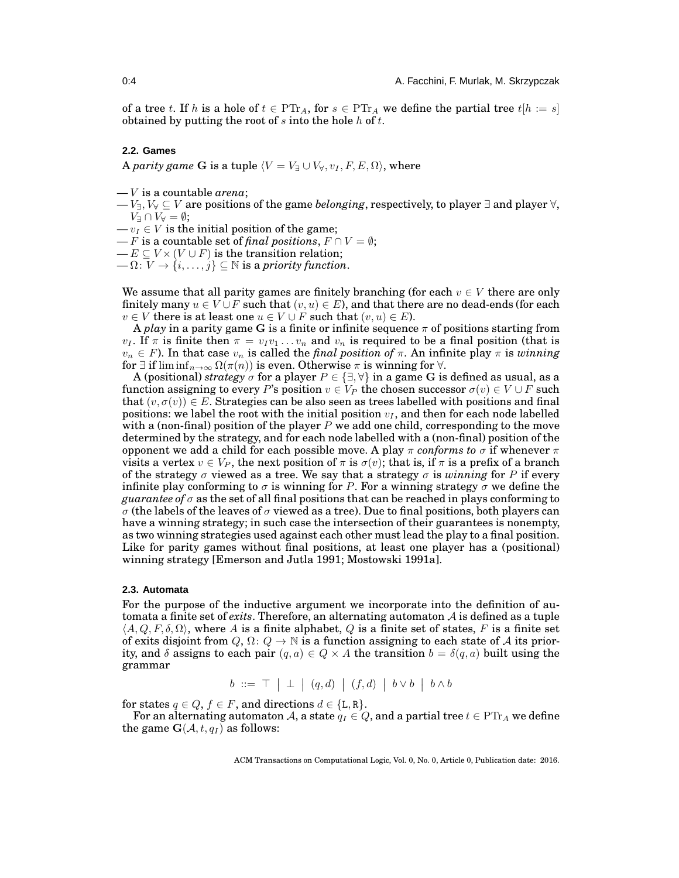of a tree t. If h is a hole of  $t \in \text{PTr}_A$ , for  $s \in \text{PTr}_A$  we define the partial tree  $t[h := s]$ obtained by putting the root of  $s$  into the hole  $h$  of  $t$ .

# **2.2. Games**

A *parity game* G is a tuple  $\langle V = V_{\exists} \cup V_{\forall}, v_I, F, E, \Omega \rangle$ , where

- V is a countable *arena*;
- $V_{\exists}$ ,  $V_{\forall} \subseteq V$  are positions of the game *belonging*, respectively, to player  $\exists$  and player  $\forall$ ,  $V$ <sup> $\exists \cap V \forall = \emptyset;$ </sup>
- $-v_I \in V$  is the initial position of the game;
- F is a countable set of *final positions*,  $F \cap V = \emptyset$ ;
- $-E \subseteq V \times (V \cup F)$  is the transition relation;
- $-\Omega: V \to \{i,\ldots,j\} \subseteq \mathbb{N}$  is a *priority function*.

We assume that all parity games are finitely branching (for each  $v \in V$  there are only finitely many  $u \in V \cup F$  such that  $(v, u) \in E$ ), and that there are no dead-ends (for each  $v \in V$  there is at least one  $u \in V \cup F$  such that  $(v, u) \in E$ ).

A *play* in a parity game G is a finite or infinite sequence  $\pi$  of positions starting from  $v_I$ . If  $\pi$  is finite then  $\pi = v_I v_1 \dots v_n$  and  $v_n$  is required to be a final position (that is  $v_n \in F$ ). In that case  $v_n$  is called the *final position of*  $\pi$ . An infinite play  $\pi$  is *winning* for  $\exists$  if lim inf $_{n\to\infty}$   $\Omega(\pi(n))$  is even. Otherwise  $\pi$  is winning for  $\forall$ .

A (positional) *strategy*  $\sigma$  for a player  $P \in \{\exists, \forall\}$  in a game G is defined as usual, as a function assigning to every P's position  $v \in V_P$  the chosen successor  $\sigma(v) \in V \cup F$  such that  $(v, \sigma(v)) \in E$ . Strategies can be also seen as trees labelled with positions and final positions: we label the root with the initial position  $v_I$ , and then for each node labelled with a (non-final) position of the player  $P$  we add one child, corresponding to the move determined by the strategy, and for each node labelled with a (non-final) position of the opponent we add a child for each possible move. A play  $\pi$  *conforms to*  $\sigma$  if whenever  $\pi$ visits a vertex  $v \in V_P$ , the next position of  $\pi$  is  $\sigma(v)$ ; that is, if  $\pi$  is a prefix of a branch of the strategy  $\sigma$  viewed as a tree. We say that a strategy  $\sigma$  is *winning* for P if every infinite play conforming to  $\sigma$  is winning for P. For a winning strategy  $\sigma$  we define the *guarantee of*  $\sigma$  as the set of all final positions that can be reached in plays conforming to σ (the labels of the leaves of σ viewed as a tree). Due to final positions, both players can have a winning strategy; in such case the intersection of their guarantees is nonempty, as two winning strategies used against each other must lead the play to a final position. Like for parity games without final positions, at least one player has a (positional) winning strategy [\[Emerson and Jutla 1991;](#page-37-4) [Mostowski 1991a\]](#page-37-2).

#### <span id="page-3-0"></span>**2.3. Automata**

For the purpose of the inductive argument we incorporate into the definition of automata a finite set of *exits*. Therefore, an alternating automaton A is defined as a tuple  $\langle A, Q, F, \delta, \Omega \rangle$ , where A is a finite alphabet, Q is a finite set of states, F is a finite set of exits disjoint from  $Q, \Omega: Q \to \mathbb{N}$  is a function assigning to each state of A its priority, and  $\delta$  assigns to each pair  $(q, a) \in Q \times A$  the transition  $b = \delta(q, a)$  built using the grammar

$$
b \ ::= \top \ | \perp \ | \ (q, d) \ | \ (f, d) \ | \ b \vee b \ | \ b \wedge b
$$

for states  $q \in Q$ ,  $f \in F$ , and directions  $d \in \{L, R\}$ .

For an alternating automaton A, a state  $q_I \in Q$ , and a partial tree  $t \in \text{PT}_{I}$  we define the game  $\mathbf{G}(\mathcal{A}, t, q_I)$  as follows: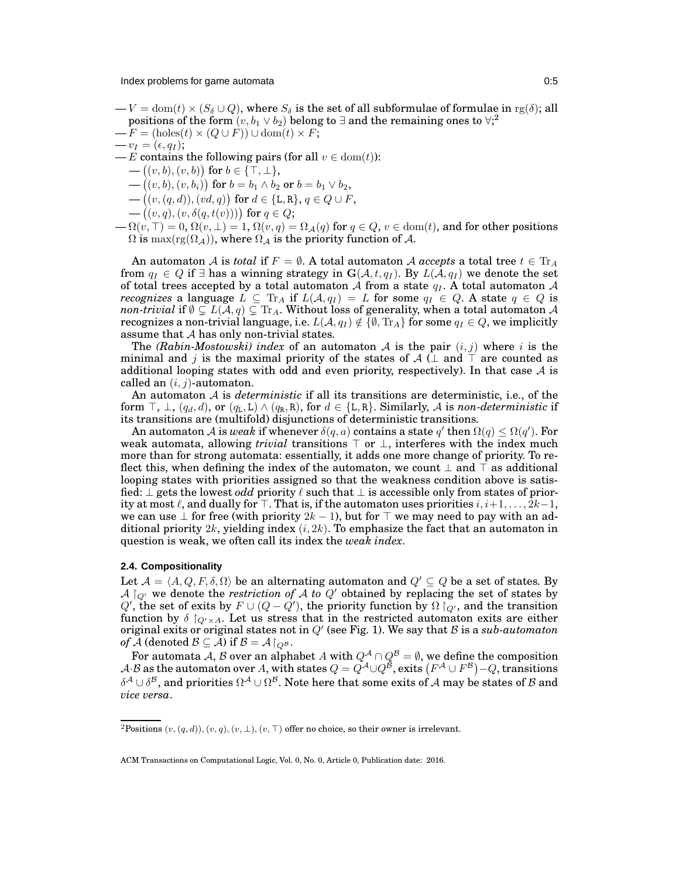- $-V = \text{dom}(t) \times (S_{\delta} \cup Q)$ , where  $S_{\delta}$  is the set of all subformulae of formulae in  $\text{rg}(\delta)$ ; all positions of the form  $(v,b_1 \vee b_2)$  $(v,b_1 \vee b_2)$  $(v,b_1 \vee b_2)$  belong to  $\exists$  and the remaining ones to  $\forall$ ;
- $-F = (holes(t) \times (Q \cup F)) \cup dom(t) \times F;$
- $-v_I = (\epsilon, q_I);$
- E contains the following pairs (for all  $v \in \text{dom}(t)$ ):
	- $-((v, b), (v, b))$  for  $b \in {\{\top, \bot\}}$ ,
	- $-((v, b), (v, b<sub>i</sub>))$  for  $b = b_1 \wedge b_2$  or  $b = b_1 \vee b_2$ ,
	- $-((v, (q, d)), (vd, q))$  for  $d \in \{\text{L}, \text{R}\}, q \in Q \cup F$ ,
- $\big( (v, q), (v, \delta(q, t(v))) \big)$  for  $q \in Q$ ;
- $-\Omega(v, \top) = 0$ ,  $\Omega(v, \bot) = 1$ ,  $\Omega(v, q) = \Omega_{\mathcal{A}}(q)$  for  $q \in Q$ ,  $v \in \text{dom}(t)$ , and for other positions  $\Omega$  is  $\max(\text{rg}(\Omega_{\mathcal{A}}))$ , where  $\Omega_{\mathcal{A}}$  is the priority function of  $\mathcal{A}$ .

An automaton A is *total* if  $F = \emptyset$ . A total automaton A *accepts* a total tree  $t \in {\rm Tr}_A$ from  $q_I \in Q$  if  $\exists$  has a winning strategy in  $\mathbf{G}(\mathcal{A}, t, q_I)$ . By  $L(\mathcal{A}, q_I)$  we denote the set of total trees accepted by a total automaton A from a state  $q_I$ . A total automaton A *recognizes* a language  $L \subseteq {\text{Tr}}_A$  if  $L(\mathcal{A}, q_I) = L$  for some  $q_I \in Q$ . A state  $q \in Q$  is *non-trivial* if  $\emptyset\subsetneq L(\mathcal{A},q)\subsetneq\mathrm{Tr}_A.$  Without loss of generality, when a total automaton  $\mathcal{A}$ recognizes a non-trivial language, i.e.  $L(A, q_I) \notin \{ \emptyset, \text{Tr}_A \}$  for some  $q_I \in Q$ , we implicitly assume that A has only non-trivial states.

The *(Rabin-Mostowski) index* of an automaton  $A$  is the pair  $(i, j)$  where i is the minimal and j is the maximal priority of the states of  $A$  ( $\perp$  and  $\perp$  are counted as additional looping states with odd and even priority, respectively). In that case  $A$  is called an  $(i, j)$ -automaton.

An automaton A is *deterministic* if all its transitions are deterministic, i.e., of the form  $\top$ ,  $\bot$ ,  $(q_d, d)$ , or  $(q_L, L) \wedge (q_R, R)$ , for  $d \in \{L, R\}$ . Similarly, A is *non-deterministic* if its transitions are (multifold) disjunctions of deterministic transitions.

An automaton  ${\cal A}$  is *weak* if whenever  $\delta(q,a)$  contains a state  $q'$  then  $\Omega(q)\leq \Omega(q').$  For weak automata, allowing *trivial* transitions ⊤ or ⊥, interferes with the index much more than for strong automata: essentially, it adds one more change of priority. To reflect this, when defining the index of the automaton, we count  $\perp$  and  $\top$  as additional looping states with priorities assigned so that the weakness condition above is satisfied: ⊥ gets the lowest *odd* priority ℓ such that ⊥ is accessible only from states of priority at most  $\ell$ , and dually for  $\top$ . That is, if the automaton uses priorities  $i, i+1, \ldots, 2k-1$ , we can use  $\perp$  for free (with priority  $2k - 1$ ), but for  $\top$  we may need to pay with an additional priority  $2k$ , yielding index  $(i, 2k)$ . To emphasize the fact that an automaton in question is weak, we often call its index the *weak index*.

#### **2.4. Compositionality**

Let  $\mathcal{A} = \langle A, Q, F, \delta, \Omega \rangle$  be an alternating automaton and  $Q' \subseteq Q$  be a set of states. By  $A \mid_{Q'}$  we denote the *restriction of* A *to* Q' obtained by replacing the set of states by Q', the set of exits by  $F \cup (Q - Q')$ , the priority function by  $\Omega \restriction_{Q'}$ , and the transition function by  $\delta \upharpoonright_{Q' \times A}$ . Let us stress that in the restricted automaton exits are either original exits or original states not in  $Q'$  (see Fig. [1\)](#page-5-0). We say that  $\beta$  is a sub-automaton *of*  $\overline{\mathcal{A}}$  (denoted  $\mathcal{B} \subseteq \mathcal{A}$ ) if  $\mathcal{B} = \mathcal{A}\vert_{Q^{\mathcal{B}}}$ .

For automata A, B over an alphabet A with  $Q^\mathcal{A} \cap Q^\mathcal{B} = \emptyset,$  we define the composition A B as the automaton over A, with states  $Q = Q^{\mathcal{A}} \cup Q^{\mathcal{B}}$ , exits  $(F^{\mathcal{A}} \cup F^{\mathcal{B}}) - Q$ , transitions  $\delta^{\cal A}\cup\delta^{\cal B},$  and priorities  $\Omega^{\cal A}\cup\Omega^{\cal B}.$  Note here that some exits of  $\cal A$  may be states of  $\cal B$  and *vice versa*.

<span id="page-4-0"></span><sup>&</sup>lt;sup>2</sup>Positions  $(v, (q, d)), (v, q), (v, \perp), (v, \top)$  offer no choice, so their owner is irrelevant.

ACM Transactions on Computational Logic, Vol. 0, No. 0, Article 0, Publication date: 2016.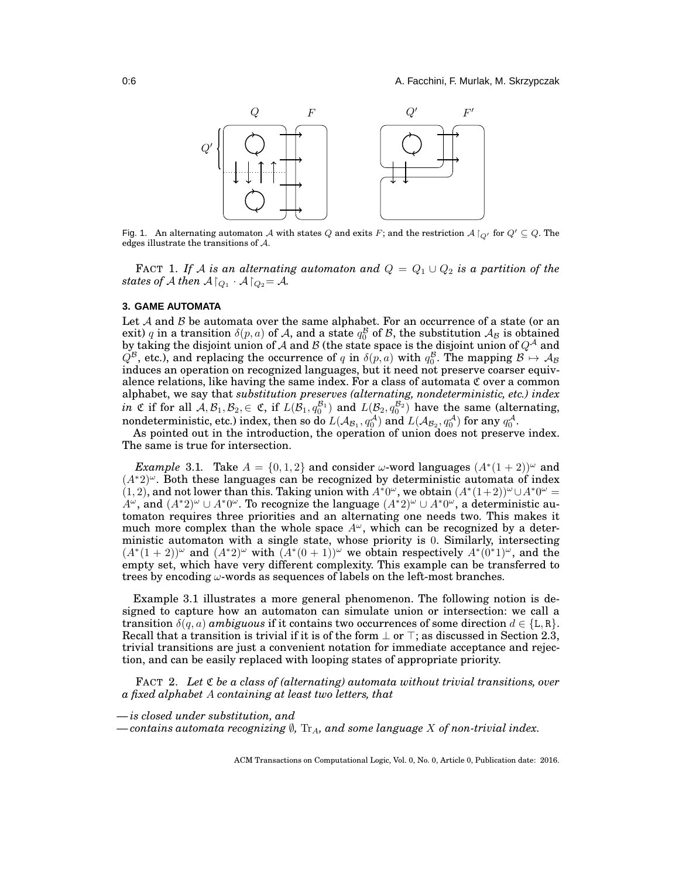

<span id="page-5-0"></span>Fig. 1. An alternating automaton A with states Q and exits F; and the restriction  $A\upharpoonright_{Q'}$  for  $Q' \subseteq Q$ . The edges illustrate the transitions of A.

FACT 1. If A is an alternating automaton and  $Q = Q_1 \cup Q_2$  is a partition of the *states of A then*  $A \nvert_{Q_1} \cdot A \nvert_{Q_2} = A$ *.* 

### **3. GAME AUTOMATA**

Let  $A$  and  $B$  be automata over the same alphabet. For an occurrence of a state (or an exit) q in a transition  $\delta(p, a)$  of A, and a state  $q_0^{\mathcal{B}}$  of B, the substitution  $\mathcal{A}_{\mathcal{B}}$  is obtained by taking the disjoint union of  $\mathcal A$  and  $\mathcal B$  (the state space is the disjoint union of  $Q^{\mathcal A}$  and  $Q^{\mathcal{B}}$ , etc.), and replacing the occurrence of q in  $\delta(p,a)$  with  $q_0^{\mathcal{B}}$ . The mapping  $\mathcal{B} \mapsto \mathcal{A}_{\mathcal{B}}$ induces an operation on recognized languages, but it need not preserve coarser equivalence relations, like having the same index. For a class of automata  $\mathfrak C$  over a common alphabet, we say that *substitution preserves (alternating, nondeterministic, etc.) index in*  $\mathfrak C$  if for all  $\mathcal A, \mathcal B_1, \mathcal B_2, \in \mathfrak C$ , if  $L(\mathcal B_1, q_0^{\mathcal B_1})$  and  $L(\mathcal B_2, q_0^{\mathcal B_2})$  have the same (alternating, nondeterministic, etc.) index, then so do  $L(A_{\mathcal{B}_1}, q_0^{\mathcal{A}})$  and  $L(\mathcal{A}_{\mathcal{B}_2}, q_0^{\mathcal{A}})$  for any  $q_0^{\mathcal{A}}$ .

<span id="page-5-1"></span>As pointed out in the introduction, the operation of union does not preserve index. The same is true for intersection.

*Example* 3.1. Take  $A = \{0, 1, 2\}$  and consider  $\omega$ -word languages  $(A^*(1+2))^{\omega}$  and  $(A^*2)^\omega$ . Both these languages can be recognized by deterministic automata of index  $(1, 2)$ , and not lower than this. Taking union with  $A^*0^\omega$ , we obtain  $(A^*(1+2))^\omega \cup A^*0^\omega =$  $A^{\omega}$ , and  $(A^*2)^{\omega} \cup A^*0^{\omega}$ . To recognize the language  $(A^*2)^{\omega} \cup A^*0^{\omega}$ , a deterministic automaton requires three priorities and an alternating one needs two. This makes it much more complex than the whole space  $A^{\omega}$ , which can be recognized by a deterministic automaton with a single state, whose priority is 0. Similarly, intersecting  $(A^*(1+2))^{\omega}$  and  $(A^*2)^{\omega}$  with  $(A^*(0+1))^{\omega}$  we obtain respectively  $A^*(0^*1)^{\omega}$ , and the empty set, which have very different complexity. This example can be transferred to trees by encoding  $\omega$ -words as sequences of labels on the left-most branches.

Example [3.1](#page-5-1) illustrates a more general phenomenon. The following notion is designed to capture how an automaton can simulate union or intersection: we call a transition  $\delta(q, a)$  *ambiguous* if it contains two occurrences of some direction  $d \in \{L, R\}$ . Recall that a transition is trivial if it is of the form  $\perp$  or  $\perp$ ; as discussed in Section [2.3,](#page-3-0) trivial transitions are just a convenient notation for immediate acceptance and rejection, and can be easily replaced with looping states of appropriate priority.

<span id="page-5-2"></span>FACT 2. *Let* C *be a class of (alternating) automata without trivial transitions, over a fixed alphabet* A *containing at least two letters, that*

*— is closed under substitution, and*

 $−$  *contains automata recognizing* ∅, Tr<sub>A</sub>*, and some language X of non-trivial index.*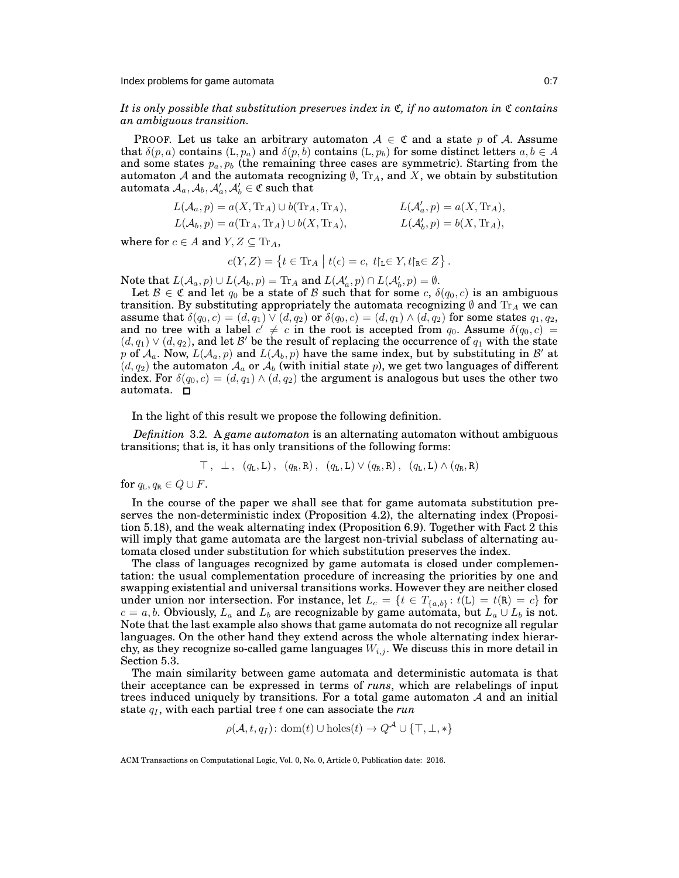*It is only possible that substitution preserves index in*  $\mathfrak{C}$ *, if no automaton in*  $\mathfrak{C}$  *contains an ambiguous transition.*

PROOF. Let us take an arbitrary automaton  $A \in \mathfrak{C}$  and a state p of A. Assume that  $\delta(p, a)$  contains  $(L, p_a)$  and  $\delta(p, b)$  contains  $(L, p_b)$  for some distinct letters  $a, b \in A$ and some states  $p_a, p_b$  (the remaining three cases are symmetric). Starting from the automaton  ${\mathcal A}$  and the automata recognizing  $\emptyset,$   ${\rm Tr}_A,$  and  $X,$  we obtain by substitution  $\text{automata}~\mathcal{A}_a, \mathcal{A}_b, \mathcal{A}'_a, \mathcal{A}'_b \in \mathfrak{C}~\text{such that}$ 

$$
L(\mathcal{A}_a, p) = a(X, \text{Tr}_A) \cup b(\text{Tr}_A, \text{Tr}_A),
$$
  
\n
$$
L(\mathcal{A}'_a, p) = a(X, \text{Tr}_A),
$$
  
\n
$$
L(\mathcal{A}'_b, p) = a(\text{Tr}_A, \text{Tr}_A) \cup b(X, \text{Tr}_A),
$$
  
\n
$$
L(\mathcal{A}'_b, p) = b(X, \text{Tr}_A),
$$

where for  $c \in A$  and  $Y, Z \subseteq \text{Tr}_A$ ,

$$
c(Y,Z) = \left\{ t \in \text{Tr}_A \bigm| t(\epsilon) = c, \ t \!\!\upharpoonright_{\mathbb{L}} \in Y, t \!\!\upharpoonright_{\mathbb{R}} \in Z \right\}.
$$

Note that  $L(A_a, p) \cup L(A_b, p) = \text{Tr}_A$  and  $L(A'_a, p) \cap L(A'_b, p) = \emptyset$ .

Let  $\mathcal{B} \in \mathfrak{C}$  and let  $q_0$  be a state of  $\mathcal{B}$  such that for some  $c, \delta(q_0, c)$  is an ambiguous transition. By substituting appropriately the automata recognizing  $\emptyset$  and Tr<sub>A</sub> we can assume that  $\delta(q_0, c) = (d, q_1) \vee (d, q_2)$  or  $\delta(q_0, c) = (d, q_1) \wedge (d, q_2)$  for some states  $q_1, q_2$ , and no tree with a label  $c' \neq c$  in the root is accepted from  $q_0$ . Assume  $\delta(q_0, c)$  =  $(d, q_1) \vee (d, q_2)$ , and let  $\mathcal{B}'$  be the result of replacing the occurrence of  $q_1$  with the state p of  $A_a$ . Now,  $L(A_a, p)$  and  $L(A_b, p)$  have the same index, but by substituting in  $\mathcal{B}'$  at  $(d, q_2)$  the automaton  $\mathcal{A}_a$  or  $\mathcal{A}_b$  (with initial state p), we get two languages of different index. For  $\delta(q_0, c) = (d, q_1) \wedge (d, q_2)$  the argument is analogous but uses the other two automata.

In the light of this result we propose the following definition.

*Definition* 3.2*.* A *game automaton* is an alternating automaton without ambiguous transitions; that is, it has only transitions of the following forms:

$$
\top
$$
,  $\bot$ ,  $(q_L, L)$ ,  $(q_R, R)$ ,  $(q_L, L) \vee (q_R, R)$ ,  $(q_L, L) \wedge (q_R, R)$ 

for  $q_L, q_R \in Q \cup F$ .

In the course of the paper we shall see that for game automata substitution preserves the non-deterministic index (Proposition [4.2\)](#page-9-0), the alternating index (Proposition [5.18\)](#page-20-0), and the weak alternating index (Proposition [6.9\)](#page-28-1). Together with Fact [2](#page-5-2) this will imply that game automata are the largest non-trivial subclass of alternating automata closed under substitution for which substitution preserves the index.

The class of languages recognized by game automata is closed under complementation: the usual complementation procedure of increasing the priorities by one and swapping existential and universal transitions works. However they are neither closed under union nor intersection. For instance, let  $L_c = \{t \in T_{\{a,b\}} : t(L) = t(R) = c\}$  for  $c = a, b$ . Obviously,  $L_a$  and  $L_b$  are recognizable by game automata, but  $L_a \cup L_b$  is not. Note that the last example also shows that game automata do not recognize all regular languages. On the other hand they extend across the whole alternating index hierarchy, as they recognize so-called game languages  $W_{i,j}$ . We discuss this in more detail in Section [5.3.](#page-14-0)

The main similarity between game automata and deterministic automata is that their acceptance can be expressed in terms of *runs*, which are relabelings of input trees induced uniquely by transitions. For a total game automaton  $A$  and an initial state  $q_I$ , with each partial tree t one can associate the  $run$ 

$$
\rho(\mathcal{A}, t, q_I): \text{dom}(t) \cup \text{holes}(t) \to Q^{\mathcal{A}} \cup \{\top, \bot, *\}
$$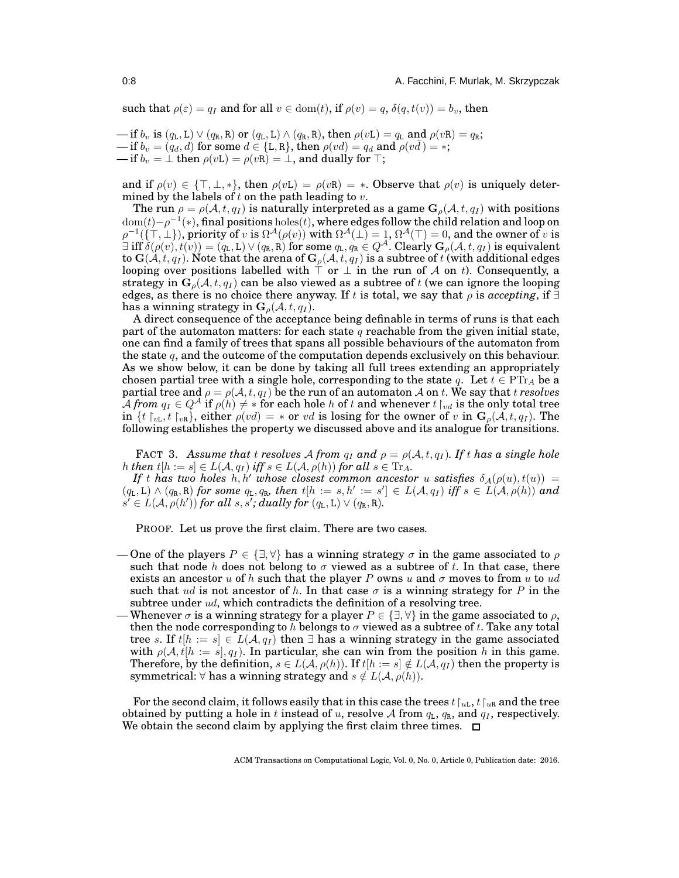such that  $\rho(\varepsilon) = q_I$  and for all  $v \in \text{dom}(t)$ , if  $\rho(v) = q$ ,  $\delta(q, t(v)) = b_v$ , then

— if  $b_v$  is  $(q_L, L) \vee (q_R, R)$  or  $(q_L, L) \wedge (q_R, R)$ , then  $\rho(vL) = q_L$  and  $\rho(vR) = q_R$ ; — if  $b_v = (q_d, d)$  for some  $d \in \{L, R\}$ , then  $\rho(vd) = q_d$  and  $\rho(vd) = *$ ; — if  $b_v = \perp$  then  $\rho(vL) = \rho(vR) = \perp$ , and dually for  $\top$ ;

and if  $\rho(v) \in {\{\top, \bot, *\}}$ , then  $\rho(v) = \rho(v) = *$ . Observe that  $\rho(v)$  is uniquely determined by the labels of t on the path leading to  $v$ .

The run  $\rho = \rho(\mathcal{A}, t, q_I)$  is naturally interpreted as a game  $\mathbf{G}_{\rho}(\mathcal{A}, t, q_I)$  with positions  ${\rm dom}(t)-\rho^{-1}(*)$ , final positions  ${\rm holes}(t),$  where edges follow the child relation and loop on  $\rho^{-1}(\{\top, \bot\}),$  priority of  $v$  is  $\Omega^\mathcal{A}(\rho(v))$  with  $\Omega^\mathcal{A}(\bot)=1,$   $\Omega^\mathcal{A}(\top)=0,$  and the owner of  $v$  is  $\exists$  iff  $\delta(\rho(v), t(v)) = (q_L, L) \vee (q_R, R)$  for some  $q_L, q_R \in Q^{\mathcal{A}}$ . Clearly  $\mathbf{G}_{\rho}(\mathcal{A}, t, q_I)$  is equivalent to  $\mathbf{G}(\mathcal{A},t,q_I)$ . Note that the arena of  $\mathbf{G}_{\rho}(\mathcal{A},t,q_I)$  is a subtree of t (with additional edges looping over positions labelled with  $\top$  or  $\bot$  in the run of A on t). Consequently, a strategy in  $\mathbf{G}_{\rho}(\mathcal{A}, t, q_I)$  can be also viewed as a subtree of t (we can ignore the looping edges, as there is no choice there anyway. If t is total, we say that  $\rho$  is *accepting*, if  $\exists$ has a winning strategy in  $\mathbf{G}_{\rho}(\mathcal{A}, t, q_I)$ .

A direct consequence of the acceptance being definable in terms of runs is that each part of the automaton matters: for each state q reachable from the given initial state, one can find a family of trees that spans all possible behaviours of the automaton from the state  $q$ , and the outcome of the computation depends exclusively on this behaviour. As we show below, it can be done by taking all full trees extending an appropriately chosen partial tree with a single hole, corresponding to the state q. Let  $t \in \text{PT}_{A}$  be a partial tree and  $\rho = \rho(A, t, q_I)$  be the run of an automaton A on t. We say that t *resolves*  $\bar{\mathcal{A}}$  *from*  $q_I \in Q^{\mathcal{A}}$  if  $\rho(h) \neq *$  for each hole h of t and whenever  $t \restriction_{vd}$  is the only total tree in  $\{t \upharpoonright_{vL} , t \upharpoonright_{vR}$ , either  $\rho(vd) = *$  or  $vd$  is losing for the owner of v in  $\mathbf{G}_{\rho}(\mathcal{A}, t, q_I)$ . The following establishes the property we discussed above and its analogue for transitions.

<span id="page-7-0"></span>**FACT** 3. Assume that t resolves A from  $q_I$  and  $\rho = \rho(A, t, q_I)$ . If t has a single hole *h then*  $t[h := s] \in L(\mathcal{A}, q_I)$  *iff*  $s \in L(\mathcal{A}, \rho(h))$  *for all*  $s \in \text{Tr}_A$ *.* 

*If* t has two holes h, h' whose closest common ancestor u satisfies  $\delta_A(\rho(u), t(u)) =$  $(q_L, L) \wedge (q_R, R)$  *for some*  $q_L, q_R$ *, then*  $t[h := s, h' := s'] \in L(\mathcal{A}, q_I)$  *iff*  $s \in L(\mathcal{A}, \rho(h))$  and  $s' \in L(\mathcal{A}, \rho(h'))$  for all s, s'; dually for  $(q_L, L) \vee (q_R, R)$ .

PROOF. Let us prove the first claim. There are two cases.

- One of the players  $P \in \{\exists, \forall\}$  has a winning strategy  $\sigma$  in the game associated to  $\rho$ such that node h does not belong to  $\sigma$  viewed as a subtree of t. In that case, there exists an ancestor u of h such that the player P owns u and  $\sigma$  moves to from u to ud such that ud is not ancestor of h. In that case  $\sigma$  is a winning strategy for P in the subtree under ud, which contradicts the definition of a resolving tree.
- Whenever  $\sigma$  is a winning strategy for a player  $P \in \{\exists, \forall\}$  in the game associated to  $\rho$ , then the node corresponding to h belongs to  $\sigma$  viewed as a subtree of t. Take any total tree s. If  $t[h := s] \in L(\mathcal{A}, q_I)$  then  $\exists$  has a winning strategy in the game associated with  $\rho(A, t[h := s], q_I)$ . In particular, she can win from the position h in this game. Therefore, by the definition,  $s \in L(\mathcal{A}, \rho(h))$ . If  $t[h := s] \notin L(\mathcal{A}, q_I)$  then the property is symmetrical:  $\forall$  has a winning strategy and  $s \notin L(A, \rho(h))$ .

For the second claim, it follows easily that in this case the trees  $t \upharpoonright_{u} t \upharpoonright_{u} t$  and the tree obtained by putting a hole in t instead of u, resolve A from  $q_L$ ,  $q_R$ , and  $q_I$ , respectively. We obtain the second claim by applying the first claim three times.  $\Box$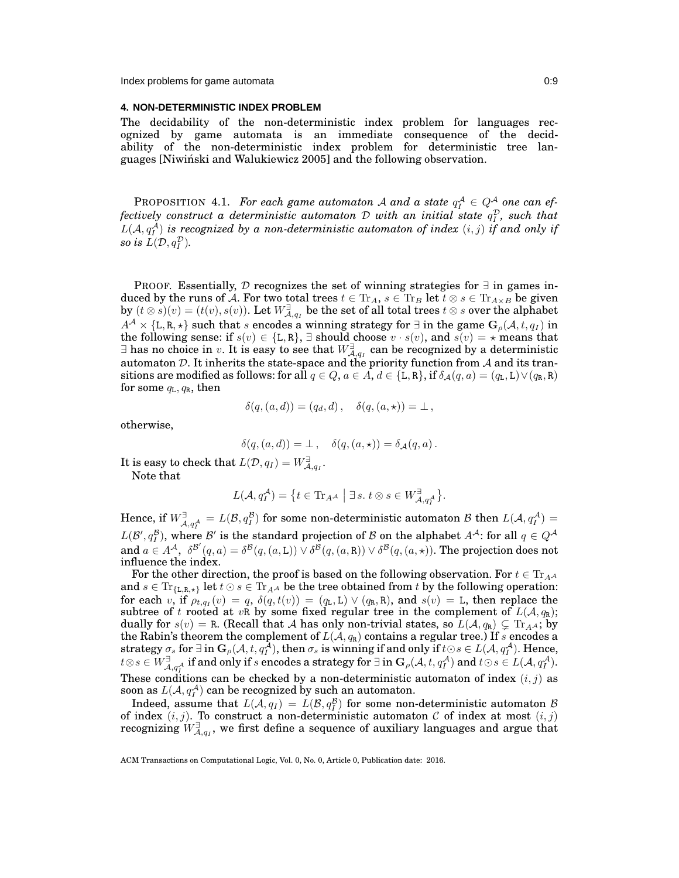#### <span id="page-8-0"></span>**4. NON-DETERMINISTIC INDEX PROBLEM**

<span id="page-8-1"></span>The decidability of the non-deterministic index problem for languages recognized by game automata is an immediate consequence of the decidability of the non-deterministic index problem for deterministic tree languages [\[Niwinski and Walukiewicz 2005\]](#page-37-14) and the following observation. ´

PROPOSITION 4.1. *For each game automaton* A and a state  $q_I^{\mathcal{A}} \in Q^{\mathcal{A}}$  one can effectively construct a deterministic automaton  ${\cal D}$  with an initial state  $q_I^{\cal D}$ , such that  $L(\mathcal{A}, q_I^{\mathcal{A}})$  is recognized by a non-deterministic automaton of index  $(i, j)$  if and only if so is  $L(D, q_I^{\mathcal{D}})$ .

PROOF. Essentially,  $D$  recognizes the set of winning strategies for  $\exists$  in games induced by the runs of A. For two total trees  $t \in Tr_A$ ,  $s \in Tr_B$  let  $t \otimes s \in Tr_{A \times B}$  be given by  $(t\otimes s)(v)=(t(v),s(v)).$  Let  $W_{\mathcal{A},q_I}^\exists$  be the set of all total trees  $t\otimes s$  over the alphabet  $A^{\mathcal{A}} \times \{L, R, \star\}$  such that s encodes a winning strategy for  $\exists$  in the game  $G_{\rho}(\mathcal{A}, t, q_1)$  in the following sense: if  $s(v) \in \{L, R\}$ ,  $\exists$  should choose  $v \cdot s(v)$ , and  $s(v) = \star$  means that  $\exists$  has no choice in  $v.$  It is easy to see that  $W^\exists_{\mathcal{A},q_I}$  can be recognized by a deterministic automaton  $D$ . It inherits the state-space and the priority function from  $A$  and its transitions are modified as follows: for all  $q \in Q$ ,  $a \in A$ ,  $d \in \{L, R\}$ , if  $\delta_{\mathcal{A}}(q, a) = (q_L, L) \vee (q_R, R)$ for some  $q_L, q_R$ , then

$$
\delta(q,(a,d))=(q_d,d)\,,\quad \delta(q,(a,\star))=\bot\,,
$$

otherwise,

$$
\delta(q,(a,d)) = \bot , \quad \delta(q,(a,\star)) = \delta_{\mathcal{A}}(q,a) .
$$

It is easy to check that  $L(\mathcal{D}, q_I) = W_{\mathcal{A}, q_I}^{\exists}.$ 

Note that

$$
L(\mathcal{A}, q_I^{\mathcal{A}}) = \big\{ t \in \text{Tr}_{A^{\mathcal{A}}} \mid \exists s. \ t \otimes s \in W_{\mathcal{A}, q_I^{\mathcal{A}}}^{\exists} \big\}.
$$

Hence, if  $W_{\cal A, qf}^{\exists} = L(\mathcal B, qI^{\mathcal B})$  for some non-deterministic automaton  ${\cal B}$  then  $L(\cal A, qI^{\mathcal A})=0$  $L(\mathcal{B}', q_I^{\mathcal{B}})$ , where  $\mathcal{B}'$  is the standard projection of  $\mathcal B$  on the alphabet  $A^{\mathcal{A}}$ : for all  $q \in Q^{\mathcal{A}}$ and  $a \in A^{\mathcal{A}}, \ \delta^{\mathcal{B}'}(q, a) = \delta^{\mathcal{B}}(q, (a, L)) \vee \delta^{\mathcal{B}}(q, (a, R)) \vee \delta^{\mathcal{B}}(q, (a, \star))$ . The projection does not influence the index.

For the other direction, the proof is based on the following observation. For  $t \in Tr_{A}A$ and  $s \in \text{Tr}_{\{L,R,\star\}}$  let  $t \odot s \in \text{Tr}_{AA}$  be the tree obtained from t by the following operation: for each  $v$ , if  $\rho_{t,qI}(v) = q$ ,  $\delta(q,t(v)) = (q_L, L) \vee (q_R, R)$ , and  $s(v) = L$ , then replace the subtree of t rooted at vR by some fixed regular tree in the complement of  $L(A, q_R)$ ; dually for  $s(v) = R$ . (Recall that A has only non-trivial states, so  $L(\mathcal{A}, q_R) \subsetneq \mathrm{Tr}_{A^{\mathcal{A}}}$ ; by the Rabin's theorem the complement of  $L(\mathcal{A}, q_\text{R})$  contains a regular tree.) If  $s$  encodes a  ${\rm strategy} \ \sigma_s \ {\rm for} \ \exists \ {\rm in} \ {\bf G}_\rho({\cal A},t,q_I^{\cal A}), \ {\rm then} \ \sigma_s \ {\rm is} \ {\rm winning} \ {\rm if} \ {\rm and} \ {\rm only} \ {\rm if} \ t \odot s \in L({\cal A},q_I^{\cal A}). \ {\rm Hence},$  $t\otimes s\in W_{\mathcal{A},qf}^{\exists} \ \text{ if and only if } s \text{ encodes a strategy for } \exists \text{ in } \mathbf{G}_{\rho}(\mathcal{A},t,qf^{\mathcal{A}}) \text{ and } t\odot s \in L(\mathcal{A},qf^{\mathcal{A}}).$ These conditions can be checked by a non-deterministic automaton of index  $(i, j)$  as soon as  $L(\mathcal{A}, q_I^{\mathcal{A}})$  can be recognized by such an automaton.

Indeed, assume that  $L(A, q_I) = L(\mathcal{B}, q_I^{\mathcal{B}})$  for some non-deterministic automaton  $\mathcal{B}$ of index  $(i, j)$ . To construct a non-deterministic automaton C of index at most  $(i, j)$ recognizing  $W_{\mathcal{A},q_I}^\exists$ , we first define a sequence of auxiliary languages and argue that

ACM Transactions on Computational Logic, Vol. 0, No. 0, Article 0, Publication date: 2016.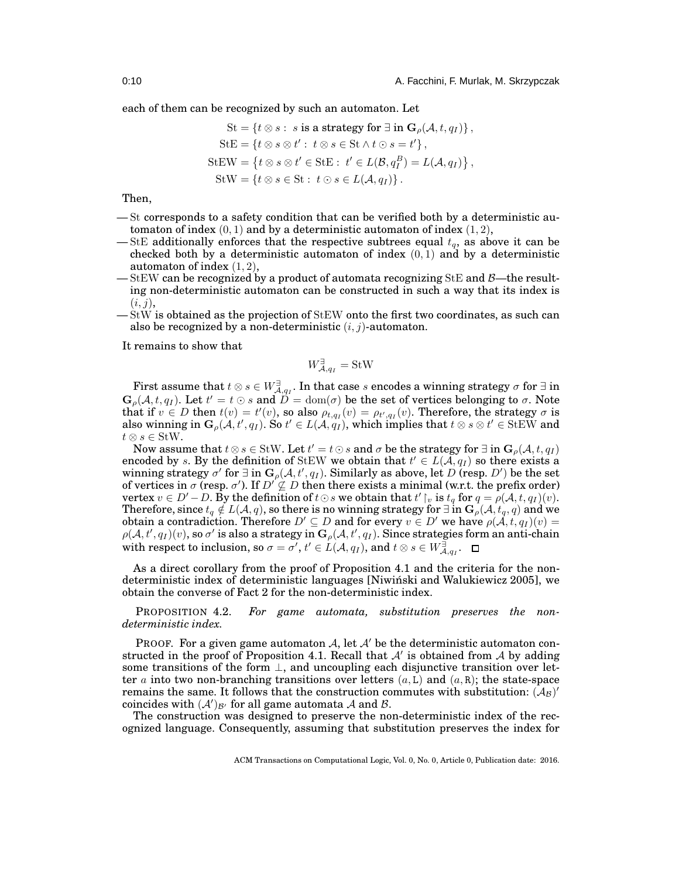each of them can be recognized by such an automaton. Let

$$
\mathrm{St} = \{t \otimes s : s \text{ is a strategy for } \exists \text{ in } \mathbf{G}_\rho(\mathcal{A}, t, q_I)\},\
$$

$$
\mathrm{StE} = \{t \otimes s \otimes t' : t \otimes s \in \mathrm{St} \wedge t \odot s = t'\},\
$$

$$
\mathrm{StEW} = \{t \otimes s \otimes t' \in \mathrm{StE} : t' \in L(\mathcal{B}, q_I^B) = L(\mathcal{A}, q_I)\},\
$$

$$
\mathrm{StW} = \{t \otimes s \in \mathrm{St} : t \odot s \in L(\mathcal{A}, q_I)\}.
$$

Then,

— St corresponds to a safety condition that can be verified both by a deterministic automaton of index  $(0, 1)$  and by a deterministic automaton of index  $(1, 2)$ ,

- StE additionally enforces that the respective subtrees equal  $t_q$ , as above it can be checked both by a deterministic automaton of index  $(0, 1)$  and by a deterministic automaton of index  $(1, 2)$ ,
- $-$  StEW can be recognized by a product of automata recognizing StE and  $\beta$ —the resulting non-deterministic automaton can be constructed in such a way that its index is  $(i, j),$
- StW is obtained as the projection of StEW onto the first two coordinates, as such can also be recognized by a non-deterministic  $(i, j)$ -automaton.

It remains to show that

$$
W^\exists_{\mathcal{A},q_I} = \text{StW}
$$

First assume that  $t\otimes s\in W_{\mathcal{A},q_I}^{\exists}.$  In that case  $s$  encodes a winning strategy  $\sigma$  for  $\exists$  in  $\mathbf{G}_{\rho}(\mathcal{A}, t, q_I)$ . Let  $t' = t \odot s$  and  $\overline{D} = \text{dom}(\sigma)$  be the set of vertices belonging to  $\sigma$ . Note that if  $v \in D$  then  $t(v) = t'(v)$ , so also  $\rho_{t,qI}(v) = \rho_{t',qI}(v)$ . Therefore, the strategy  $\sigma$  is also winning in  $G_{\rho}(\mathcal{A},t',q_I)$ . So  $t' \in L(\mathcal{A},q_I)$ , which implies that  $t \otimes s \otimes t' \in \text{StEW}$  and  $t \otimes s \in \text{StW}.$ 

Now assume that  $t \otimes s \in \operatorname{StW}$ . Let  $t' = t \odot s$  and  $\sigma$  be the strategy for  $\exists$  in  $\mathbf{G}_{\rho}(\mathcal{A},t,q_I)$ encoded by s. By the definition of StEW we obtain that  $t' \in L(A, q_I)$  so there exists a winning strategy  $\sigma'$  for  $\exists$  in  $\mathbf{G}_{\rho}(\mathcal{A},t',q_I)$ . Similarly as above, let  $D$  (resp.  $D'$ ) be the set of vertices in  $\sigma$  (resp.  $\sigma'$ ). If  $D'\nsubseteq D$  then there exists a minimal (w.r.t. the prefix order) vertex  $v\in D'-D.$  By the definition of  $t\odot s$  we obtain that  $t'\restriction_v$  is  $t_q$  for  $q=\rho(\mathcal{A},t,q_I)(v).$ Therefore, since  $t_q \notin L(\mathcal{A}, q)$ , so there is no winning strategy for  $\exists$  in  $\mathbf{G}_\rho(\mathcal{A}, t_q, q)$  and we obtain a contradiction. Therefore  $D' \subseteq D$  and for every  $v \in D'$  we have  $\rho(\mathcal{A}, t, q_1)(v) =$  $\rho(\mathcal{A},t',q_I)(v)$ , so  $\sigma'$  is also a strategy in  $\mathbf{G}_{\rho}(\mathcal{A},t',q_I)$ . Since strategies form an anti-chain with respect to inclusion, so  $\sigma = \sigma', t' \in L(\mathcal{A}, q_I)$ , and  $t \otimes s \in W_{\mathcal{A}, q_I}^{\exists}$ .

As a direct corollary from the proof of Proposition [4.1](#page-8-1) and the criteria for the nondeterministic index of deterministic languages [\[Niwinski and Walukiewicz 2005\]](#page-37-14), we ´ obtain the converse of Fact [2](#page-5-2) for the non-deterministic index.

<span id="page-9-0"></span>PROPOSITION 4.2. *For game automata, substitution preserves the nondeterministic index.*

PROOF. For a given game automaton A, let  $A'$  be the deterministic automaton con-structed in the proof of Proposition [4.1.](#page-8-1) Recall that  $A'$  is obtained from  $A$  by adding some transitions of the form  $\perp$ , and uncoupling each disjunctive transition over letter a into two non-branching transitions over letters  $(a, L)$  and  $(a, R)$ ; the state-space remains the same. It follows that the construction commutes with substitution:  $(\bar{\cal A}_\mathcal{B})'$ coincides with  $(A')_{\mathcal{B}'}$  for all game automata  $\mathcal A$  and  $\mathcal B$ .

The construction was designed to preserve the non-deterministic index of the recognized language. Consequently, assuming that substitution preserves the index for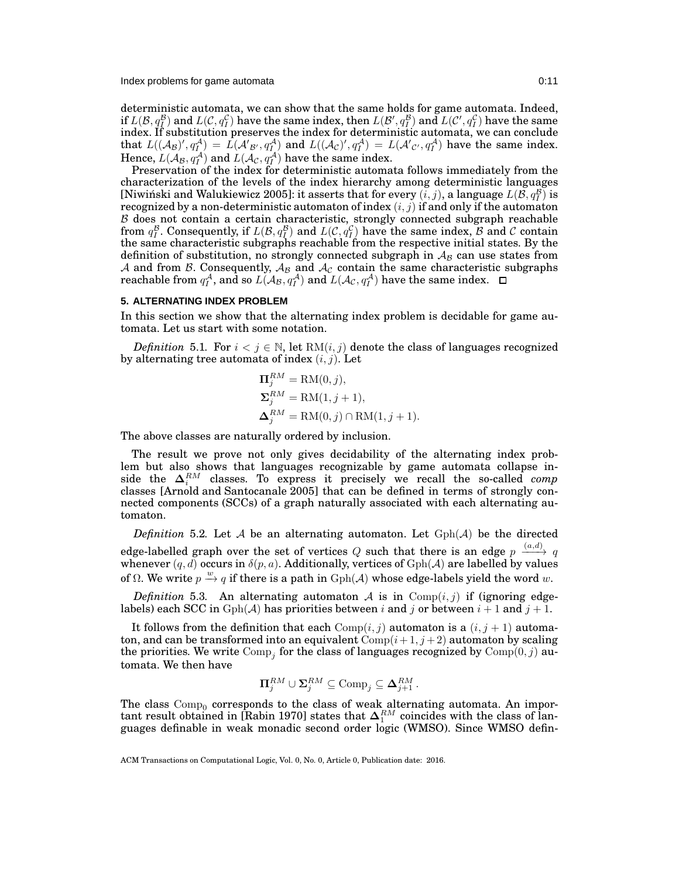Index problems for game automata 0:11

deterministic automata, we can show that the same holds for game automata. Indeed, if  $L(\mathcal{B},q^{\mathcal{B}}_{I})$  and  $L(\mathcal{C},q^{\mathcal{C}}_{I})$  have the same index, then  $L(\mathcal{B}',q^{\mathcal{B}}_{I})$  and  $L(\mathcal{C}',q^{\mathcal{C}}_{I})$  have the same index. If substitution preserves the index for deterministic automata, we can conclude that  $L((\mathcal{A}_{\mathcal{B}})' , q_I^{\mathcal{A}}) = L(\mathcal{A}'_{\mathcal{B}'}, q_I^{\mathcal{A}})$  and  $L((\mathcal{A}_{\mathcal{C}})' , q_I^{\mathcal{A}}) = L(\mathcal{A}'_{\mathcal{C}'}, q_I^{\mathcal{A}})$  have the same index. Hence,  $L(A_\mathcal{B}, q_I^{\mathcal{A}})$  and  $L(A_\mathcal{C}, q_I^{\mathcal{A}})$  have the same index.

Preservation of the index for deterministic automata follows immediately from the characterization of the levels of the index hierarchy among deterministic languages [Niwiński and Walukiewicz 2005]: it asserts that for every  $(i,j)$ , a language  $L(\mathcal{B}, q_I^{\mathcal{B}})$  is recognized by a non-deterministic automaton of index  $(i, j)$  if and only if the automaton  $\beta$  does not contain a certain characteristic, strongly connected subgraph reachable from  $q_I^{\mathcal{B}}$ . Consequently, if  $L(\mathcal{B}, q_I^{\mathcal{B}})$  and  $L(\mathcal{C}, q_I^{\mathcal{C}})$  have the same index,  $\mathcal B$  and  $\mathcal C$  contain the same characteristic subgraphs reachable from the respective initial states. By the definition of substitution, no strongly connected subgraph in  $A_B$  can use states from A and from B. Consequently,  $A_B$  and  $A_C$  contain the same characteristic subgraphs reachable from  $q_I^{\mathcal{A}},$  and so  $L(\mathcal{A}_{\mathcal{B}}, q_I^{\mathcal{A}})$  and  $L(\mathcal{A}_{\mathcal{C}}, q_I^{\mathcal{A}})$  have the same index.

# <span id="page-10-0"></span>**5. ALTERNATING INDEX PROBLEM**

In this section we show that the alternating index problem is decidable for game automata. Let us start with some notation.

*Definition* 5.1. For  $i < j \in \mathbb{N}$ , let  $RM(i, j)$  denote the class of languages recognized by alternating tree automata of index  $(i, j)$ . Let

$$
\Pi_j^{RM} = \text{RM}(0, j),
$$
  
\n
$$
\Sigma_j^{RM} = \text{RM}(1, j + 1),
$$
  
\n
$$
\Delta_j^{RM} = \text{RM}(0, j) \cap \text{RM}(1, j + 1).
$$

The above classes are naturally ordered by inclusion.

The result we prove not only gives decidability of the alternating index problem but also shows that languages recognizable by game automata collapse inside the  $\Delta_i^{RM}$  classes. To express it precisely we recall the so-called *comp* classes [\[Arnold and Santocanale 2005\]](#page-36-3) that can be defined in terms of strongly connected components (SCCs) of a graph naturally associated with each alternating automaton.

*Definition* 5.2. Let  $A$  be an alternating automaton. Let  $Gph(A)$  be the directed edge-labelled graph over the set of vertices  $Q$  such that there is an edge  $p \stackrel{(a,d)}{\longrightarrow} q$ whenever  $(q, d)$  occurs in  $\delta(p, a)$ . Additionally, vertices of  $Gph(A)$  are labelled by values of Ω. We write  $p \stackrel{w}{\rightarrow} q$  if there is a path in  $Gph(\mathcal{A})$  whose edge-labels yield the word w.

*Definition* 5.3. An alternating automaton A is in  $Comp(i, j)$  if (ignoring edgelabels) each SCC in  $Gph(\mathcal{A})$  has priorities between i and j or between  $i + 1$  and  $j + 1$ .

It follows from the definition that each  $Comp(i, j)$  automaton is a  $(i, j + 1)$  automaton, and can be transformed into an equivalent  $\text{Comp}(i+1, j+2)$  automaton by scaling the priorities. We write  $\mathrm{Comp}_j$  for the class of languages recognized by  $\mathrm{Comp}(0,j)$  automata. We then have

$$
\Pi_j^{RM} \cup \Sigma_j^{RM} \subseteq \text{Comp}_j \subseteq \Delta_{j+1}^{RM}.
$$

The class  $\text{Comp}_0$  corresponds to the class of weak alternating automata. An impor-tant result obtained in [\[Rabin 1970\]](#page-37-20) states that  $\Delta_1^{RM}$  coincides with the class of languages definable in weak monadic second order logic (WMSO). Since WMSO defin-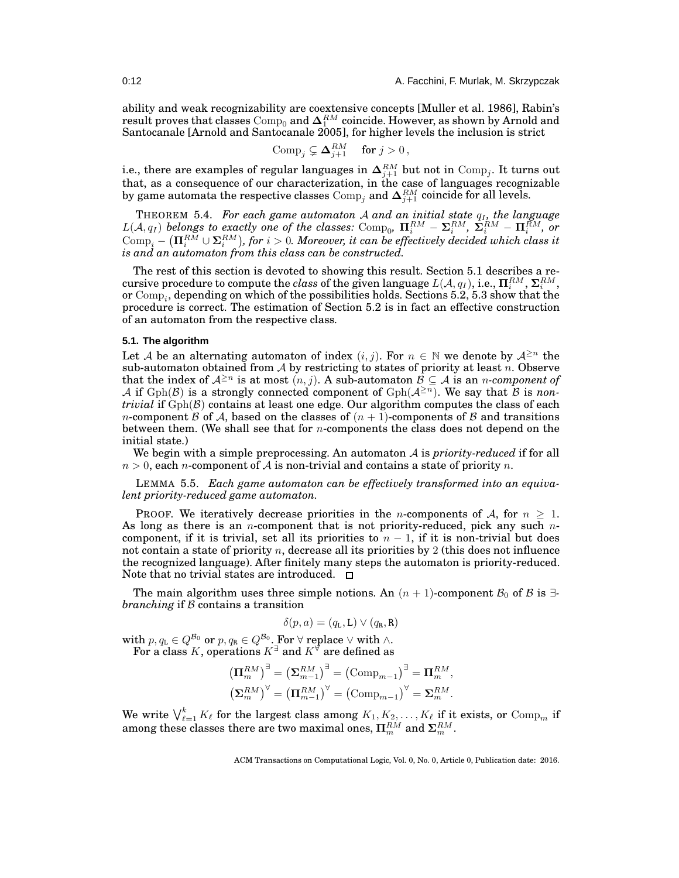ability and weak recognizability are coextensive concepts [\[Muller et al. 1986\]](#page-37-21), Rabin's result proves that classes  $\mathrm{Comp}_0$  and  $\mathbf{\Delta}^{RM}_1$  coincide. However, as shown by Arnold and Santocanale [\[Arnold and Santocanale 2005\]](#page-36-3), for higher levels the inclusion is strict

$$
Comp_j \subsetneq \mathbf{\Delta}_{j+1}^{RM} \text{ for } j > 0,
$$

i.e., there are examples of regular languages in  $\mathbf{\Delta}_{j+1}^{RM}$  but not in  $\mathrm{Comp}_j.$  It turns out that, as a consequence of our characterization, in the case of languages recognizable by game automata the respective classes  $\mathrm{Comp}_j$  and  $\mathbf{\Delta}_{j+1}^{RM}$  coincide for all levels.

<span id="page-11-2"></span>THEOREM 5.4. *For each game automaton A and an initial state*  $q_I$ *, the language*  $L(\mathcal{A}, q_I)$  belongs to exactly one of the classes: Comp<sub>0</sub>,  $\mathbf{\Pi}_i^{RM} - \mathbf{\Sigma}_i^{RM}$ ,  $\mathbf{\Sigma}_i^{RM} - \mathbf{\Pi}_i^{RM}$ , or  $\text{Comp}_i - (\Pi_i^{RM} \cup \Sigma_i^{RM}),$  for  $i > 0$ . Moreover, it can be effectively decided which class it *is and an automaton from this class can be constructed.*

The rest of this section is devoted to showing this result. Section [5.1](#page-11-0) describes a re- $\text{cursive procedure to compute the class of the given language } L(\mathcal{A}, q_I), \text{i.e., } \Pi_i^{RM}, \Sigma_i^{RM},$ or  $\mathrm{Comp}_i,$  depending on which of the possibilities holds. Sections [5.2,](#page-12-0) [5.3](#page-14-0) show that the procedure is correct. The estimation of Section [5.2](#page-12-0) is in fact an effective construction of an automaton from the respective class.

# <span id="page-11-0"></span>**5.1. The algorithm**

Let A be an alternating automaton of index  $(i, j)$ . For  $n \in \mathbb{N}$  we denote by  $\mathcal{A}^{\geq n}$  the sub-automaton obtained from  $\mathcal A$  by restricting to states of priority at least n. Observe that the index of  $\mathcal{A}^{\geq n}$  is at most  $(n, j)$ . A sub-automaton  $\mathcal{B} \subseteq \mathcal{A}$  is an *n*-component of A if  $Gph(\mathcal{B})$  is a strongly connected component of  $Gph(\mathcal{A}^{\geq n})$ . We say that  $\mathcal B$  is *nontrivial* if  $Gph(B)$  contains at least one edge. Our algorithm computes the class of each *n*-component B of A, based on the classes of  $(n + 1)$ -components of B and transitions between them. (We shall see that for  $n$ -components the class does not depend on the initial state.)

<span id="page-11-1"></span>We begin with a simple preprocessing. An automaton A is *priority-reduced* if for all  $n > 0$ , each *n*-component of A is non-trivial and contains a state of priority *n*.

LEMMA 5.5. *Each game automaton can be effectively transformed into an equivalent priority-reduced game automaton.*

PROOF. We iteratively decrease priorities in the *n*-components of  $A$ , for  $n \geq 1$ . As long as there is an *n*-component that is not priority-reduced, pick any such  $n$ component, if it is trivial, set all its priorities to  $n-1$ , if it is non-trivial but does not contain a state of priority  $n$ , decrease all its priorities by 2 (this does not influence the recognized language). After finitely many steps the automaton is priority-reduced. Note that no trivial states are introduced.  $\square$ 

The main algorithm uses three simple notions. An  $(n + 1)$ -component  $\mathcal{B}_0$  of  $\mathcal{B}$  is  $\exists$ *branching* if B contains a transition

$$
\delta(p, a) = (q_{\tt L}, \tt L) \vee (q_{\tt R}, \tt R)
$$

with  $p,q_\text{\tiny L}\in Q^{\mathcal{B}_0}$  or  $p,q_\text{\tiny R}\in Q^{\mathcal{B}_0}.$  For  $\forall$  replace  $\vee$  with  $\wedge.$ For a class  $K,$  operations  $K^{\exists}$  and  $K^{\forall}$  are defined as

$$
\begin{aligned} \left(\boldsymbol{\Pi}_{m}^{RM}\right)^{\exists} &= \left(\boldsymbol{\Sigma}_{m-1}^{RM}\right)^{\exists} = \left(\mathrm{Comp}_{m-1}\right)^{\exists} = \boldsymbol{\Pi}_{m}^{RM},\\ \left(\boldsymbol{\Sigma}_{m}^{RM}\right)^{\forall} &= \left(\boldsymbol{\Pi}_{m-1}^{RM}\right)^{\forall} = \left(\mathrm{Comp}_{m-1}\right)^{\forall} = \boldsymbol{\Sigma}_{m}^{RM}. \end{aligned}
$$

We write  $\bigvee_{\ell=1}^k K_{\ell}$  for the largest class among  $K_1, K_2, \ldots, K_{\ell}$  if it exists, or  $\mathrm{Comp}_m$  if among these classes there are two maximal ones,  $\Pi_m^{RM}$  and  $\Sigma_m^{RM}.$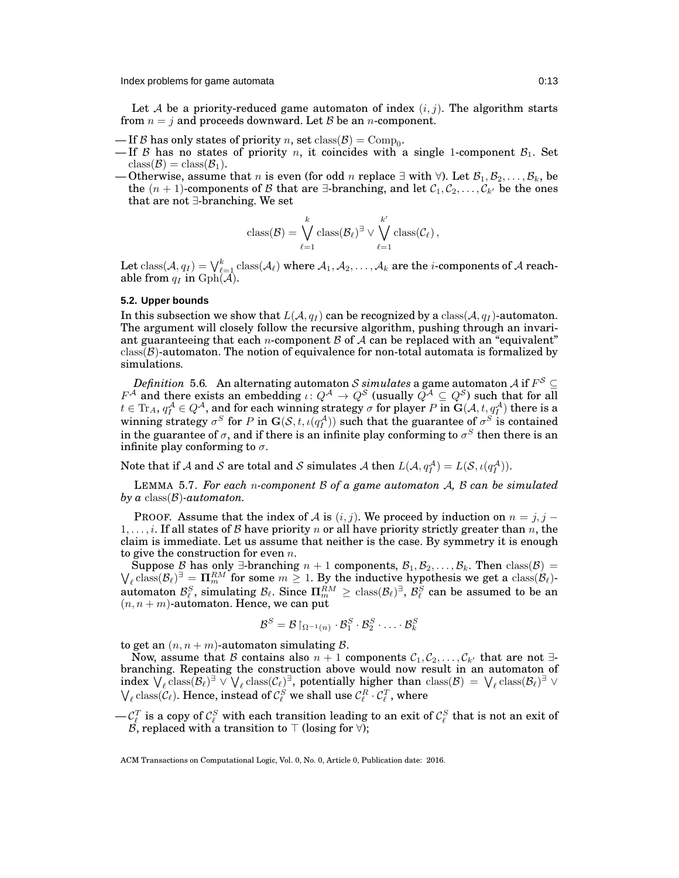Let A be a priority-reduced game automaton of index  $(i, j)$ . The algorithm starts from  $n = j$  and proceeds downward. Let  $\beta$  be an *n*-component.

- $\text{If } \mathcal{B} \text{ has only states of priority } n \text{, set } \text{class}(\mathcal{B}) = \text{Comp}_0.$
- If B has no states of priority n, it coincides with a single 1-component  $B_1$ . Set  $class(\mathcal{B}) = class(\mathcal{B}_1).$
- Otherwise, assume that n is even (for odd n replace  $\exists$  with  $\forall$ ). Let  $\mathcal{B}_1, \mathcal{B}_2, \ldots, \mathcal{B}_k$ , be the  $(n + 1)$ -components of B that are  $\exists$ -branching, and let  $C_1, C_2, \ldots, C_{k'}$  be the ones that are not ∃-branching. We set

$$
\text{class}(\mathcal{B}) = \bigvee_{\ell=1}^k \text{class}(\mathcal{B}_{\ell})^{\exists} \vee \bigvee_{\ell=1}^{k'} \text{class}(\mathcal{C}_{\ell}),
$$

Let  $\text{class}(\mathcal{A}, q_I) = \bigvee_{\ell=1}^k \text{class}(\mathcal{A}_\ell)$  where  $\mathcal{A}_1, \mathcal{A}_2, \ldots, \mathcal{A}_k$  are the  $i\text{-components}$  of  $\mathcal A$  reachable from  $q_I$  in  $Gph(\overline{\mathcal{A}})$ .

### <span id="page-12-0"></span>**5.2. Upper bounds**

In this subsection we show that  $L(A, q_I)$  can be recognized by a class( $A, q_I$ )-automaton. The argument will closely follow the recursive algorithm, pushing through an invariant guaranteeing that each *n*-component  $\beta$  of  $\mathcal A$  can be replaced with an "equivalent"  $class(\mathcal{B})$ -automaton. The notion of equivalence for non-total automata is formalized by simulations.

<span id="page-12-1"></span>*Definition 5.6.* An alternating automaton  $\mathcal S$  *simulates* a game automaton  $\mathcal A$  if  $F^\mathcal S$   $\subseteq$  $F^{\mathcal{A}}$  and there exists an embedding  $\iota: Q^{\mathcal{A}} \to Q^{\mathcal{S}}$  (usually  $Q^{\mathcal{A}} \subseteq Q^{\mathcal{S}}$ ) such that for all  $t\in \text{Tr}_A, q_I^{\mathcal{A}}\in Q^{\mathcal{A}},$  and for each winning strategy  $\sigma$  for player  $P$  in  $\mathbf{G}(\mathcal{A},t,q_I^{\mathcal{A}})$  there is a winning strategy  $\sigma^S$  for P in  $\mathbf{G}(\mathcal{S},t,\iota(q_I^{\mathcal{A}}))$  such that the guarantee of  $\sigma^S$  is contained in the guarantee of  $\sigma,$  and if there is an infinite play conforming to  $\sigma^S$  then there is an infinite play conforming to  $\sigma$ .

Note that if  $A$  and  $S$  are total and  $S$  simulates  $A$  then  $L(A, q_I^A) = L(S, \iota(q_I^A)).$ 

LEMMA 5.7. *For each* n*-component* B *of a game automaton* A*,* B *can be simulated by a* class(B)*-automaton.*

PROOF. Assume that the index of A is  $(i, j)$ . We proceed by induction on  $n = j, j - j$  $1, \ldots, i$ . If all states of B have priority n or all have priority strictly greater than n, the claim is immediate. Let us assume that neither is the case. By symmetry it is enough to give the construction for even  $n$ .

 $\bigvee_{\ell} \text{class}(\mathcal{B}_{\ell})^{\exists} = \prod_{m=1}^{RM}$  for some  $m \geq 1$ . By the inductive hypothesis we get a class( $\mathcal{B}_{\ell}$ )-Suppose B has only ∃-branching  $n + 1$  components,  $\mathcal{B}_1, \mathcal{B}_2, \ldots, \mathcal{B}_k$ . Then class( $\mathcal{B}$ ) = automaton  $\mathcal{B}_{\ell}^S$ , simulating  $\mathcal{B}_{\ell}$ . Since  $\Pi_m^{RM} \geq \text{class}(\mathcal{B}_{\ell})^{\exists}$ ,  $\mathcal{B}_{\ell}^S$  can be assumed to be an  $(n, n + m)$ -automaton. Hence, we can put

$$
\mathcal{B}^S = \mathcal{B} \!\upharpoonright_{\Omega^{-1}(n)} \cdot \mathcal{B}_1^S \cdot \mathcal{B}_2^S \cdot \ldots \cdot \mathcal{B}_k^S
$$

to get an  $(n, n + m)$ -automaton simulating  $\beta$ .

Now, assume that B contains also  $n + 1$  components  $C_1, C_2, \ldots, C_{k'}$  that are not  $\exists$ branching. Repeating the construction above would now result in an automaton of index  $\bigvee_{\ell} \text{class}(\mathcal{B}_{\ell})^{\exists} \vee \bigvee_{\ell} \text{class}(\mathcal{C}_{\ell})^{\exists}$ , potentially higher than  $\text{class}(\mathcal{B}) = \bigvee_{\ell} \text{class}(\mathcal{B}_{\ell})^{\exists} \vee$  $\bigvee_{\ell}$  class( $C_{\ell}$ ). Hence, instead of  $C_{\ell}^{S}$  we shall use  $C_{\ell}^{R} \cdot C_{\ell}^{T}$ , where

 $-\mathcal{C}^T_\ell$  is a copy of  $\mathcal{C}^S_\ell$  with each transition leading to an exit of  $\mathcal{C}^S_\ell$  that is not an exit of  $\mathcal{B},$  replaced with a transition to  $\top$  (losing for ∀);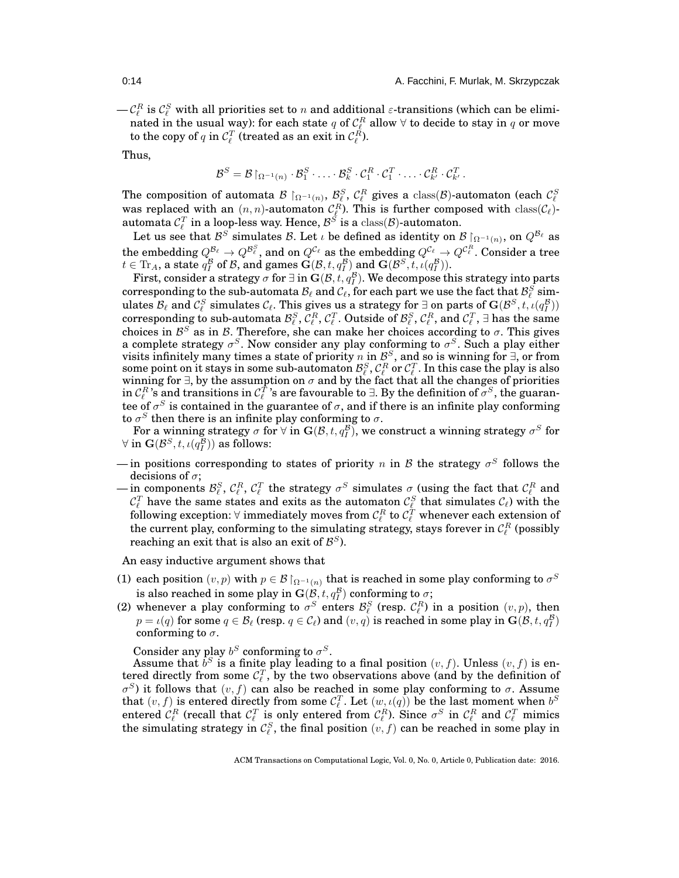$-\mathcal{C}_{\ell}^R$  is  $\mathcal{C}_{\ell}^S$  with all priorities set to n and additional  $\varepsilon$ -transitions (which can be eliminated in the usual way): for each state  $q$  of  $\mathcal{C}_{\ell}^R$  allow  $\forall$  to decide to stay in  $q$  or move to the copy of  $q$  in  $\mathcal{C}_{\ell}^T$  (treated as an exit in  $\mathcal{C}_{\ell}^R$ ).

Thus,

$$
\mathcal{B}^S = \mathcal{B} \upharpoonright_{\Omega^{-1}(n)} \cdot \mathcal{B}_1^S \cdot \ldots \cdot \mathcal{B}_k^S \cdot \mathcal{C}_1^R \cdot \mathcal{C}_1^T \cdot \ldots \cdot \mathcal{C}_{k'}^R \cdot \mathcal{C}_{k'}^T.
$$

The composition of automata  $\mathcal{B} \restriction_{\Omega^{-1}(n)} \mathcal{B}_{\ell}^S$ ,  $\mathcal{C}_{\ell}^R$  gives a class( $\mathcal{B}$ )-automaton (each  $\mathcal{C}_{\ell}^S$ ) was replaced with an  $(n, n)$ -automaton  $\mathcal{C}_{\ell}^R$ ). This is further composed with  $\text{class}(\mathcal$ automata  $\mathcal{C}_{\ell}^T$  in a loop-less way. Hence,  $\mathcal{B}^S$  is a  $\mathrm{class}(\mathcal{B})$ -automaton.

Let us see that  $\mathcal{B}^S$  simulates  $\mathcal{B}.$  Let  $\iota$  be defined as identity on  $\mathcal{B} \restriction_{\Omega^{-1}(n)},$  on  $Q^{\mathcal{B}_\ell}$  as the embedding  $Q^{{\cal B}_\ell}\to Q^{{\cal B}_\ell^S},$  and on  $Q^{{\cal C}_\ell}$  as the embedding  $Q^{{\cal C}_\ell}\to Q^{{\cal C}_\ell^R}.$  Consider a tree  $t \in \text{Tr}_A$ , a state  $q_I^B$  of B, and games  $\mathbf{G}(\mathcal{B}, t, q_I^B)$  and  $\mathbf{G}(\mathcal{B}^S, t, \iota(q_I^B))$ .

First, consider a strategy  $\sigma$  for  $\exists$  in  $\mathbf{G}(\mathcal{B},t,q^{\mathcal{B}}_{I}).$  We decompose this strategy into parts corresponding to the sub-automata  ${\cal B}_\ell$  and  ${\cal C}_\ell$ , for each part we use the fact that  ${\cal B}_\ell^S$  simulates  $\mathcal{B}_\ell$  and  $\mathcal{C}_\ell^S$  simulates  $\mathcal{C}_\ell$ . This gives us a strategy for ∃ on parts of  $\mathbf{G}(\mathcal{B}^S,t,\iota(q_I^{\mathcal{B}}))$ corresponding to sub-automata  $\mathcal{B}_\ell^S$ ,  $\mathcal{C}_\ell^R$ ,  $\mathcal{C}_\ell^T$ . Outside of  $\mathcal{B}_\ell^S$ ,  $\mathcal{C}_\ell^R$ , and  $\mathcal{C}_\ell^T$ ,  $\exists$  has the same choices in  $\mathcal{B}^S$  as in  $\mathcal{B}$ . Therefore, she can make her choices according to  $\sigma$ . This gives a complete strategy  $\sigma^S$ . Now consider any play conforming to  $\sigma^S$ . Such a play either visits infinitely many times a state of priority n in  $\mathcal{B}^S$ , and so is winning for  $\exists$ , or from some point on it stays in some sub-automaton  $\mathcal{B}^S_\ell, \mathcal{C}^R_\ell$  or  $\mathcal{C}^T_\ell$  . In this case the play is also winning for ∃, by the assumption on  $\sigma$  and by the fact that all the changes of priorities in  $\mathcal{C}_{\ell}^R$ 's and transitions in  $\mathcal{C}_{\ell}^T$ 's are favourable to  $\exists.$  By the definition of  $\sigma^S,$  the guarantee of  $\sigma^S$  is contained in the guarantee of  $\sigma,$  and if there is an infinite play conforming to  $\sigma^S$  then there is an infinite play conforming to  $\sigma$ .

For a winning strategy  $\sigma$  for  $\forall$  in  $\mathbf{G}(\mathcal{B},t,q^{\mathcal{B}}_I)$ , we construct a winning strategy  $\sigma^S$  for  $\forall \text{ in } \mathbf{G}(\mathcal{B}^S, t, \iota(q^{\overline{B}}_I)) \text{ as follows: }$ 

- in positions corresponding to states of priority n in B the strategy  $\sigma^S$  follows the decisions of  $\sigma$ ;
- $-\ln \text{ components } \mathcal{B}_{\ell}^S, \mathcal{C}_{\ell}^R, \mathcal{C}_{\ell}^T$  the strategy  $\sigma^S$  simulates  $\sigma$  (using the fact that  $\mathcal{C}_{\ell}^R$  and  $\mathcal{C}_{\ell}^T$  have the same states and exits as the automaton  $\mathcal{C}_{\ell}^S$  that simulates  $\mathcal{C}_{\ell}$ ) with the following exception:  $\forall$  immediately moves from  $\mathcal{C}_{\ell}^R$  to  $\mathcal{C}_{\ell}^T$  whenever each extension of the current play, conforming to the simulating strategy, stays forever in  $\mathcal{C}_{\ell}^R$  (possibly reaching an exit that is also an exit of  $\mathcal{B}^S$ ).

An easy inductive argument shows that

- (1) each position  $(v, p)$  with  $p \in \mathcal{B} \mathord{\restriction}_{\Omega^{-1}(n)}$  that is reached in some play conforming to  $\sigma^S$ is also reached in some play in  $\mathbf{G}(\mathcal{B},t,q^{\mathcal{B}}_{I})$  conforming to  $\sigma;$
- (2) whenever a play conforming to  $\sigma^S$  enters  $\mathcal{B}_{\ell}^S$  (resp.  $\mathcal{C}_{\ell}^R$ ) in a position  $(v, p)$ , then  $p=\iota(q) \text{ for some } q\in \mathcal{B}_\ell$  (resp.  $q\in \mathcal{C}_\ell$ ) and  $(v,q)$  is reached in some play in  $\mathbf{G}(\mathcal{B},t,q^{\mathcal{B}}_I)$ conforming to  $\sigma$ .

Consider any play  $b^S$  conforming to  $\sigma^S$ .

Assume that  $b^S$  is a finite play leading to a final position  $(v, f)$ . Unless  $(v, f)$  is entered directly from some  $\mathcal{C}_{\ell}^T$ , by the two observations above (and by the definition of  $\sigma^{S}$ ) it follows that  $(v, f)$  can also be reached in some play conforming to  $\sigma$ . Assume that  $(v, f)$  is entered directly from some  $\mathcal{C}_{\ell}^T$ . Let  $(w, \iota(q))$  be the last moment when  $b^S$ entered  $\mathcal{C}^R_\ell$  (recall that  $\mathcal{C}^T_\ell$  is only entered from  $\mathcal{C}^R_\ell$ ). Since  $\sigma^S$  in  $\mathcal{C}^R_\ell$  and  $\mathcal{C}^T_\ell$  mimics the simulating strategy in  $\mathcal{C}_{\ell}^S$ , the final position  $(v, f)$  can be reached in some play in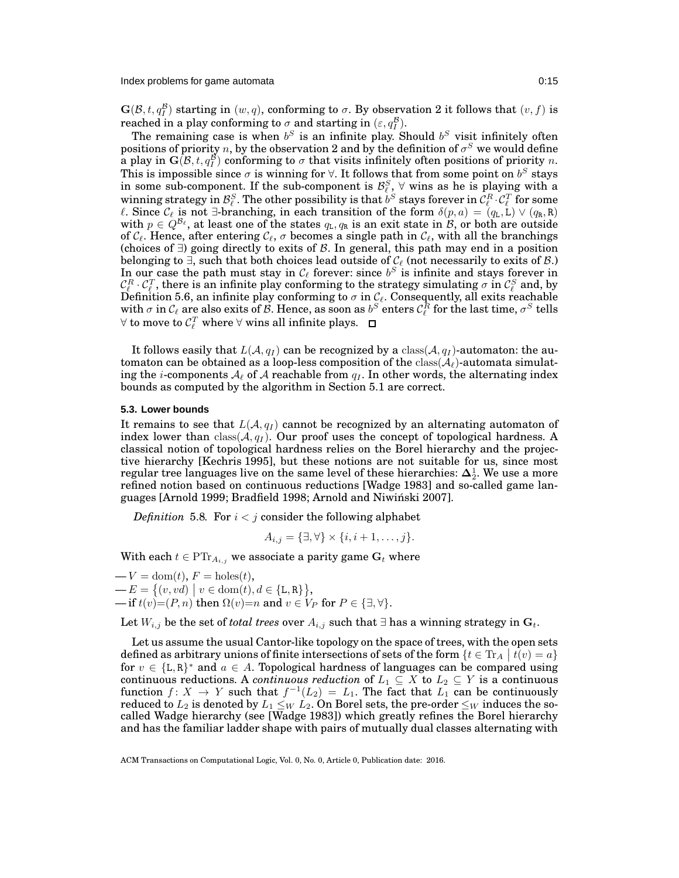Index problems for game automata **0:15** and 0:15

 $\mathbf{G}(\mathcal{B}, t, q_I^{\mathcal{B}})$  starting in  $(w, q)$ , conforming to  $\sigma$ . By observation 2 it follows that  $(v, f)$  is reached in a play conforming to  $\sigma$  and starting in  $(\varepsilon, q_I^B)$ .

The remaining case is when  $b^S$  is an infinite play. Should  $b^S$  visit infinitely often positions of priority  $n,$  by the observation  $2$  and by the definition of  $\sigma^S$  we would define a play in  $\tilde{\mathbf{G}}(\mathcal{B},t,q^{\mathcal{B}}_{I})$  conforming to  $\sigma$  that visits infinitely often positions of priority n. This is impossible since  $\sigma$  is winning for  $\forall$ . It follows that from some point on  $b^S$  stays in some sub-component. If the sub-component is  $\mathcal{B}_{\ell}^S$ ,  $\forall$  wins as he is playing with a winning strategy in  $\mathcal{B}_{\ell}^S$ . The other possibility is that  $b^S$  stays forever in  $\mathcal{C}_{\ell}^R$   $\cdot \mathcal{C}_{\ell}^T$  for some *ℓ*. Since  $C_\ell$  is not ∃-branching, in each transition of the form  $\delta(p, a) = (q_L, L) \vee (q_R, R)$ with  $p \in Q^{\mathcal{B}_{\ell}}$ , at least one of the states  $q_{\text{L}}, q_{\text{R}}$  is an exit state in  $\mathcal{B}$ , or both are outside of  $\mathcal{C}_{\ell}$ . Hence, after entering  $\mathcal{C}_{\ell}$ ,  $\sigma$  becomes a single path in  $\mathcal{C}_{\ell}$ , with all the branchings (choices of  $∃$ ) going directly to exits of  $\beta$ . In general, this path may end in a position belonging to  $\exists$ , such that both choices lead outside of  $\mathcal{C}_{\ell}$  (not necessarily to exits of  $\mathcal{B}$ .) In our case the path must stay in  $\mathcal{C}_{\ell}$  forever: since  $b^S$  is infinite and stays forever in  $\mathcal{C}^R_\ell\cdot\mathcal{C}^T_\ell$ , there is an infinite play conforming to the strategy simulating  $\sigma$  in  $\mathcal{C}^S_\ell$  and, by Definition [5.6,](#page-12-1) an infinite play conforming to  $\sigma$  in  $\mathcal{C}_\ell.$  Consequently, all exits reachable with  $\sigma$  in  $\mathcal{C}_\ell$  are also exits of  $\mathcal{B}.$  Hence, as soon as  $b^S$  enters  $\mathcal{C}_\ell^R$  for the last time,  $\sigma^S$  tells  $\forall$  to move to  $\mathcal{C}_{\ell}^T$  where  $\forall$  wins all infinite plays.

It follows easily that  $L(A, q_I)$  can be recognized by a class( $A, q_I$ )-automaton: the automaton can be obtained as a loop-less composition of the  $\text{class}(\mathcal{A}_{\ell})$ -automata simulating the *i*-components  $A_{\ell}$  of A reachable from  $q_I$ . In other words, the alternating index bounds as computed by the algorithm in Section [5.1](#page-11-0) are correct.

### <span id="page-14-0"></span>**5.3. Lower bounds**

It remains to see that  $L(\mathcal{A}, q_I)$  cannot be recognized by an alternating automaton of index lower than  $\text{class}(\mathcal{A}, q_I)$ . Our proof uses the concept of topological hardness. A classical notion of topological hardness relies on the Borel hierarchy and the projective hierarchy [\[Kechris 1995\]](#page-37-22), but these notions are not suitable for us, since most regular tree languages live on the same level of these hierarchies:  $\mathbf{\Delta}^1_2$ . We use a more refined notion based on continuous reductions [\[Wadge 1983\]](#page-37-23) and so-called game languages [\[Arnold 1999;](#page-36-2) [Bradfield 1998;](#page-37-24) [Arnold and Niwinski 2007\]](#page-36-4). ´

*Definition* 5.8*.* For  $i < j$  consider the following alphabet

$$
A_{i,j} = \{\exists, \forall\} \times \{i, i+1, \ldots, j\}.
$$

With each  $t \in \mathrm{PTr}_{A_{i,j}}$  we associate a parity game  $\mathbf{G}_t$  where

 $-V = \text{dom}(t)$ ,  $F = \text{holes}(t)$ ,  $-E = \{(v, vd) | v \in \text{dom}(t), d \in \{\text{L}, \text{R}\}\},\$ — if  $t(v) = (P, n)$  then  $\Omega(v) = n$  and  $v \in V_P$  for  $P \in \{\exists, \forall\}.$ 

Let  $W_{i,j}$  be the set of *total trees* over  $A_{i,j}$  such that ∃ has a winning strategy in  $G_t$ .

Let us assume the usual Cantor-like topology on the space of trees, with the open sets defined as arbitrary unions of finite intersections of sets of the form  $\{t \in \text{Tr}_A \mid t(v) = a\}$ for  $v \in \{L, R\}^*$  and  $a \in A$ . Topological hardness of languages can be compared using  $\text{continuous reductions. A continuous reduction of } L_1 \subseteq X \text{ to } L_2 \subseteq Y \text{ is a continuous}$ function  $f: X \to Y$  such that  $f^{-1}(L_2) = L_1$ . The fact that  $L_1$  can be continuously reduced to  $L_2$  is denoted by  $L_1 \leq_W L_2$ . On Borel sets, the pre-order  $\leq_W$  induces the socalled Wadge hierarchy (see [\[Wadge 1983\]](#page-37-23)) which greatly refines the Borel hierarchy and has the familiar ladder shape with pairs of mutually dual classes alternating with

ACM Transactions on Computational Logic, Vol. 0, No. 0, Article 0, Publication date: 2016.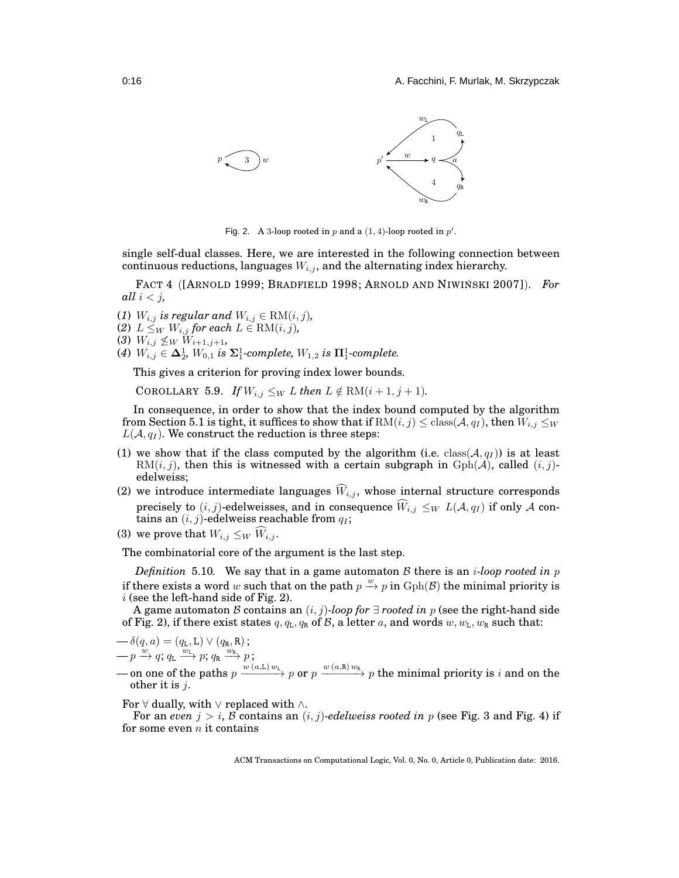

<span id="page-15-0"></span>Fig. 2. A 3-loop rooted in p and a  $(1, 4)$ -loop rooted in p'.

single self-dual classes. Here, we are interested in the following connection between continuous reductions, languages  $W_{i,j}$ , and the alternating index hierarchy.

FACT 4 ([A[RNOLD](#page-36-2) 1999; B[RADFIELD](#page-37-24) 1998; A[RNOLD AND](#page-36-4) NIWINSKI 2007]). For *all*  $i < j$ *,* 

- (*1*)  $W_{i,j}$  is regular and  $W_{i,j} \in \text{RM}(i,j)$ ,
- (2)  $L \leq_W W_{i,j}$  for each  $L \in \text{RM}(i,j)$ ,

(3) 
$$
W_{i,j} \nleq_W W_{i+1,j+1}
$$
,

 $(4)$   $W_{i,j} \in \Delta_2^1$ ,  $W_{0,1}$  is  $\Sigma_1^1$ -complete,  $W_{1,2}$  is  $\Pi_1^1$ -complete.

<span id="page-15-2"></span>This gives a criterion for proving index lower bounds.

COROLLARY 5.9. *If*  $W_{i,j} \leq_W L$  *then*  $L \notin \text{RM}(i+1, j+1)$ *.* 

In consequence, in order to show that the index bound computed by the algorithm from Section [5.1](#page-11-0) is tight, it suffices to show that if  $RM(i, j) \leq class(\mathcal{A}, q_I)$ , then  $W_{i,j} \leq_W$  $L(A, q_I)$ . We construct the reduction is three steps:

- (1) we show that if the class computed by the algorithm (i.e. class( $A, q<sub>I</sub>$ )) is at least  $RM(i, j)$ , then this is witnessed with a certain subgraph in  $Gph(\mathcal{A})$ , called  $(i, j)$ edelweiss;
- (2) we introduce intermediate languages  $\hat{W}_{i,j}$ , whose internal structure corresponds precisely to  $(i, j)$ -edelweisses, and in consequence  $\widehat{W}_{i,j} \leq_W L(\mathcal{A}, q_I)$  if only A contains an  $(i, j)$ -edelweiss reachable from  $q_I$ ;
- (3) we prove that  $W_{i,j} \leq_W W_{i,j}$ .

<span id="page-15-1"></span>The combinatorial core of the argument is the last step.

*Definition* 5.10. We say that in a game automaton B there is an *i-loop rooted in*  $p$ if there exists a word w such that on the path  $p \stackrel{w}{\rightarrow} p$  in  $Gph(\mathcal{B})$  the minimal priority is  $i$  (see the left-hand side of Fig. [2\)](#page-15-0).

A game automaton B contains an  $(i, j)$ *-loop for*  $\exists$  *rooted in* p (see the right-hand side of Fig. [2\)](#page-15-0), if there exist states  $q, q<sub>L</sub>, q<sub>R</sub>$  of B, a letter a, and words  $w, w<sub>L</sub>, w<sub>R</sub>$  such that:

$$
\begin{array}{c}\n-\delta(q,a) = (q_{\text{L}}, \text{L}) \vee (q_{\text{R}}, \text{R}); \\
-p \xrightarrow{w} q; q_{\text{L}} \xrightarrow{w_{\text{L}}} p; q_{\text{R}} \xrightarrow{w_{\text{R}}} p; \n\end{array}
$$

→ on one of the paths  $p \xrightarrow{w (a, L) w_L} p$  or  $p \xrightarrow{w (a, R) w_R} p$  the minimal priority is i and on the other it is  $i$ .

For  $\forall$  dually, with  $\lor$  replaced with  $\land$ .

For an *even*  $j > i$ , B contains an  $(i, j)$ -edelweiss rooted in p (see Fig. [3](#page-16-0) and Fig. [4\)](#page-17-0) if for some even  $n$  it contains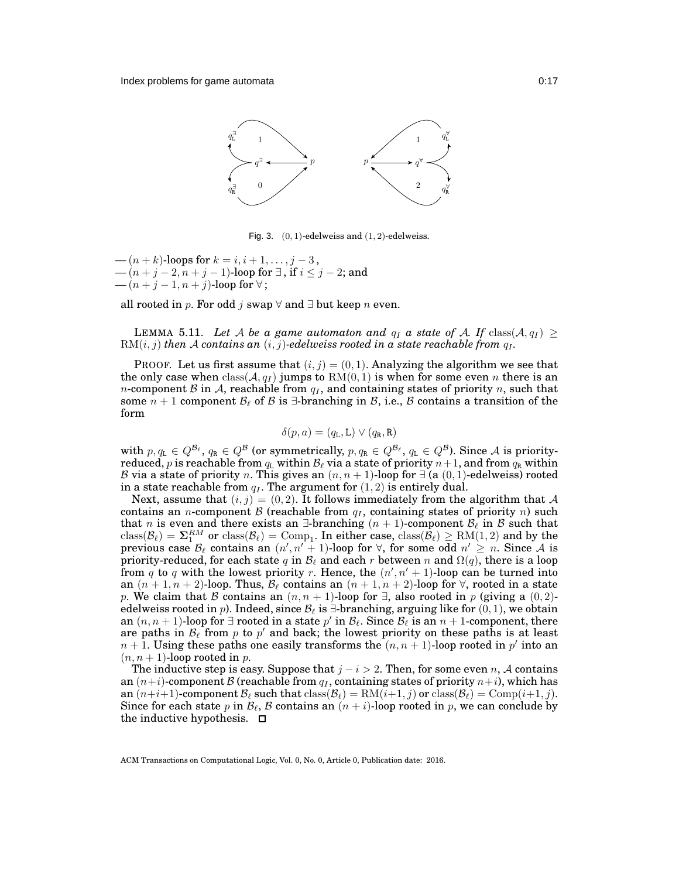

<span id="page-16-0"></span>Fig. 3.  $(0, 1)$ -edelweiss and  $(1, 2)$ -edelweiss.

—  $(n + k)$ -loops for  $k = i, i + 1, ..., j - 3$ , —  $(n+j-2,n+j-1)$ -loop for  $\exists$  , if  $i\leq j-2;$  and  $-(n+j-1,n+j)$ -loop for  $\forall$ ;

<span id="page-16-1"></span>all rooted in p. For odd j swap  $\forall$  and ∃ but keep n even.

**LEMMA** 5.11. Let A be a game automaton and  $q_I$  a state of A. If class( $A, q_I$ )  $\geq$  $RM(i, j)$  *then* A *contains an*  $(i, j)$ *-edelweiss rooted in a state reachable from*  $q<sub>I</sub>$ *.* 

PROOF. Let us first assume that  $(i, j) = (0, 1)$ . Analyzing the algorithm we see that the only case when  $\text{class}(\mathcal{A}, q_I)$  jumps to  $\text{RM}(0, 1)$  is when for some even n there is an *n*-component B in A, reachable from  $q_1$ , and containing states of priority n, such that some  $n + 1$  component  $\mathcal{B}_{\ell}$  of  $\beta$  is  $\exists$ -branching in  $\beta$ , i.e.,  $\beta$  contains a transition of the form

$$
\delta(p, a) = (q_{\tt L}, \tt L) \vee (q_{\tt R}, \tt R)
$$

with  $p, q$ <sub>L</sub>  $\in Q^{\mathcal{B}_{\ell}}, q$ <sub>R</sub>  $\in Q^{\mathcal{B}}$  (or symmetrically,  $p, q$ <sub>R</sub>  $\in Q^{\mathcal{B}_{\ell}}, q$ <sub>L</sub>  $\in Q^{\mathcal{B}}$ ). Since A is priorityreduced,  $p$  is reachable from  $q_\texttt{L}$  within  $\mathcal{B}_\ell$  via a state of priority  $n+1,$  and from  $q_\texttt{R}$  within B via a state of priority n. This gives an  $(n, n + 1)$ -loop for  $\exists$  (a  $(0, 1)$ -edelweiss) rooted in a state reachable from  $q_I$ . The argument for  $(1, 2)$  is entirely dual.

Next, assume that  $(i, j) = (0, 2)$ . It follows immediately from the algorithm that A contains an *n*-component  $\beta$  (reachable from  $q_I$ , containing states of priority *n*) such that *n* is even and there exists an  $\exists$ -branching  $(n + 1)$ -component  $\mathcal{B}_{\ell}$  in  $\mathcal{B}$  such that  $\text{class}(\mathcal{B}_\ell) = \mathbf{\Sigma}_1^{RM}$  or  $\text{class}(\mathcal{B}_\ell) = \text{Comp}_1$ . In either case,  $\text{class}(\mathcal{B}_\ell) \ge \text{RM}(1,2)$  and by the previous case  $\mathcal{B}_{\ell}$  contains an  $(n', n' + 1)$ -loop for  $\forall$ , for some odd  $n' \geq n$ . Since A is priority-reduced, for each state q in  $\mathcal{B}_{\ell}$  and each r between n and  $\Omega(q)$ , there is a loop from q to q with the lowest priority r. Hence, the  $(n', n' + 1)$ -loop can be turned into an  $(n + 1, n + 2)$ -loop. Thus,  $\mathcal{B}_{\ell}$  contains an  $(n + 1, n + 2)$ -loop for  $\forall$ , rooted in a state p. We claim that B contains an  $(n, n + 1)$ -loop for  $\exists$ , also rooted in p (giving a  $(0, 2)$ edelweiss rooted in p). Indeed, since  $\mathcal{B}_{\ell}$  is  $\exists$ -branching, arguing like for  $(0, 1)$ , we obtain an  $(n, n + 1)$ -loop for  $\exists$  rooted in a state  $p'$  in  $\mathcal{B}_\ell$ . Since  $\mathcal{B}_\ell$  is an  $n + 1$ -component, there are paths in  $\mathcal{B}_{\ell}$  from p to p' and back; the lowest priority on these paths is at least  $n+1$ . Using these paths one easily transforms the  $(n, n + 1)$ -loop rooted in  $p'$  into an  $(n, n + 1)$ -loop rooted in p.

The inductive step is easy. Suppose that  $j - i > 2$ . Then, for some even n, A contains an  $(n+i)$ -component B (reachable from  $q<sub>I</sub>$ , containing states of priority  $n+i$ ), which has an  $(n+i+1)$ -component  $\mathcal{B}_{\ell}$  such that  $\text{class}(\mathcal{B}_{\ell}) = \text{RM}(i+1, j)$  or  $\text{class}(\mathcal{B}_{\ell}) = \text{Comp}(i+1, j)$ . Since for each state p in  $\mathcal{B}_{\ell}$ , B contains an  $(n + i)$ -loop rooted in p, we can conclude by the inductive hypothesis.  $\square$ 

ACM Transactions on Computational Logic, Vol. 0, No. 0, Article 0, Publication date: 2016.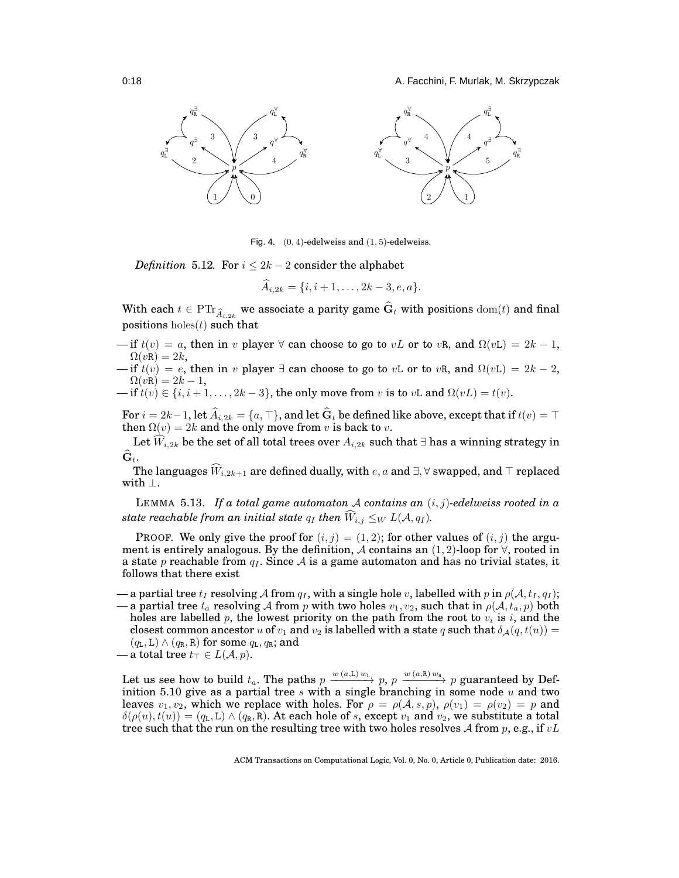0:18 A. Facchini, F. Murlak, M. Skrzypczak



<span id="page-17-0"></span>Fig. 4.  $(0, 4)$ -edelweiss and  $(1, 5)$ -edelweiss.

*Definition* 5.12*.* For  $i \leq 2k - 2$  consider the alphabet

$$
A_{i,2k} = \{i, i+1, \ldots, 2k-3, e, a\}.
$$

With each  $t\in \mathrm{PTr}_{\widehat{A}_{i,2k}}$  we associate a parity game  $\widehat{\mathbf{G}}_t$  with positions  $\mathrm{dom}(t)$  and final positions holes $(t)$  such that

— if  $t(v) = a$ , then in v player  $\forall$  can choose to go to vL or to vR, and  $\Omega(vL) = 2k - 1$ ,  $\Omega(vR) = 2k$ ,

— if  $t(v) = e$ , then in v player  $\exists$  can choose to go to vL or to vR, and  $\Omega(vL) = 2k - 2$ ,  $\Omega(vR) = 2k - 1,$ 

— if  $t(v) \in \{i, i+1, \ldots, 2k-3\}$ , the only move from v is to vL and  $\Omega(vL) = t(v)$ .

For  $i = 2k-1$ , let  $\widehat{A}_{i,2k} = \{a, \top\}$ , and let  $\widehat{G}_t$  be defined like above, except that if  $t(v) = \top$ then  $\Omega(v) = 2k$  and the only move from v is back to v.

Let  $\widehat{W}_{i,2k}$  be the set of all total trees over  $A_{i,2k}$  such that ∃ has a winning strategy in  $\widehat{\mathbf{G}}_t$ .

The languages  $\widehat{W}_{i,2k+1}$  are defined dually, with  $e, a$  and  $\exists, \forall$  swapped, and  $\top$  replaced with ⊥.

<span id="page-17-1"></span>LEMMA 5.13. *If a total game automaton* A *contains an* (i, j)*-edelweiss rooted in a state reachable from an initial state*  $q_I$  *then*  $\widehat{W}_{i,j} \leq_W L(\mathcal{A}, q_I).$ 

PROOF. We only give the proof for  $(i, j) = (1, 2)$ ; for other values of  $(i, j)$  the argument is entirely analogous. By the definition, A contains an  $(1, 2)$ -loop for  $\forall$ , rooted in a state p reachable from  $q_I$ . Since A is a game automaton and has no trivial states, it follows that there exist

— a partial tree  $t_I$  resolving A from  $q_I$ , with a single hole v, labelled with p in  $\rho(\mathcal{A}, t_I, q_I)$ ; — a partial tree  $t_a$  resolving A from p with two holes  $v_1, v_2$ , such that in  $\rho(\mathcal{A}, t_a, p)$  both

holes are labelled p, the lowest priority on the path from the root to  $v_i$  is i, and the closest common ancestor u of  $v_1$  and  $v_2$  is labelled with a state q such that  $\delta_{\mathcal{A}}(q, t(u)) =$  $(q_L, L) \wedge (q_R, R)$  for some  $q_L, q_R$ ; and

— a total tree  $t_{\top} \in L(\mathcal{A}, p)$ .

Let us see how to build  $t_a$ . The paths  $p \xrightarrow{w(a,L) w_L} p$ ,  $p \xrightarrow{w(a,R) w_R} p$  guaranteed by Def-inition [5.10](#page-15-1) give as a partial tree  $s$  with a single branching in some node  $u$  and two leaves  $v_1, v_2$ , which we replace with holes. For  $\rho = \rho(A, s, p)$ ,  $\rho(v_1) = \rho(v_2) = p$  and  $\delta(\rho(u), t(u)) = (q_L, L) \wedge (q_R, R)$ . At each hole of s, except  $v_1$  and  $v_2$ , we substitute a total tree such that the run on the resulting tree with two holes resolves A from p, e.g., if  $vL$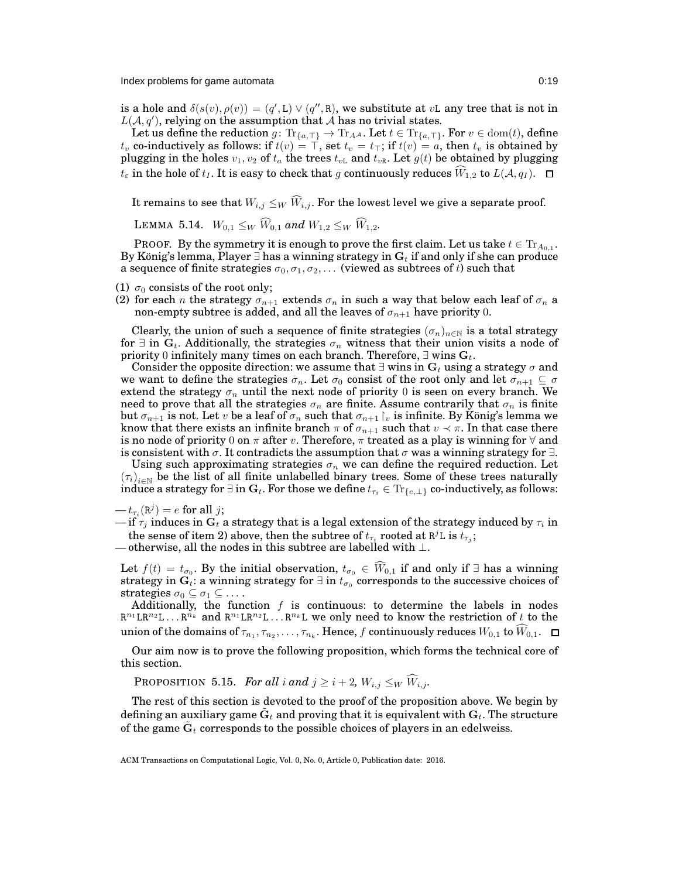is a hole and  $\delta(s(v), \rho(v)) = (q', L) \vee (q'', R)$ , we substitute at vL any tree that is not in  $L(A, q')$ , relying on the assumption that A has no trivial states.

Let us define the reduction  $g\colon \text{Tr}_{\{a,\top\}}\to \text{Tr}_{A^\mathcal{A}}.$  Let  $t\in \text{Tr}_{\{a,\top\}}.$  For  $v\in \text{dom}(t),$  define  $t_v$  co-inductively as follows: if  $t(v) = \top,$  set  $t_v = t_\top;$  if  $t(v) = a,$  then  $t_v$  is obtained by plugging in the holes  $v_1, v_2$  of  $t_a$  the trees  $t_{vL}$  and  $t_{vR}$ . Let  $g(t)$  be obtained by plugging  $t_{\varepsilon}$  in the hole of  $t_I$ . It is easy to check that g continuously reduces  $\hat{W}_{1,2}$  to  $L(\mathcal{A}, q_I)$ .  $\Box$ 

<span id="page-18-0"></span>It remains to see that  $W_{i,j} \leq_W \widehat{W}_{i,j}$ . For the lowest level we give a separate proof.

LEMMA 5.14.  $W_{0,1} \leq_W \widehat{W}_{0,1}$  and  $W_{1,2} \leq_W \widehat{W}_{1,2}$ .

PROOF. By the symmetry it is enough to prove the first claim. Let us take  $t\in \text{Tr}_{A_{0,1}}.$ By König's lemma, Player ∃ has a winning strategy in  $G_t$  if and only if she can produce a sequence of finite strategies  $\sigma_0, \sigma_1, \sigma_2, \ldots$  (viewed as subtrees of t) such that

- (1)  $\sigma_0$  consists of the root only;
- (2) for each n the strategy  $\sigma_{n+1}$  extends  $\sigma_n$  in such a way that below each leaf of  $\sigma_n$  a non-empty subtree is added, and all the leaves of  $\sigma_{n+1}$  have priority 0.

Clearly, the union of such a sequence of finite strategies  $(\sigma_n)_{n\in\mathbb{N}}$  is a total strategy for  $\exists$  in  $\mathbf{G}_t$ . Additionally, the strategies  $\sigma_n$  witness that their union visits a node of priority 0 infinitely many times on each branch. Therefore,  $\exists$  wins  $\mathbf{G}_t$ .

Consider the opposite direction: we assume that  $\exists$  wins in  $G_t$  using a strategy  $\sigma$  and we want to define the strategies  $\sigma_n$ . Let  $\sigma_0$  consist of the root only and let  $\sigma_{n+1} \subseteq \sigma$ extend the strategy  $\sigma_n$  until the next node of priority 0 is seen on every branch. We need to prove that all the strategies  $\sigma_n$  are finite. Assume contrarily that  $\sigma_n$  is finite but  $\sigma_{n+1}$  is not. Let v be a leaf of  $\sigma_n$  such that  $\sigma_{n+1} \upharpoonright v$  is infinite. By König's lemma we know that there exists an infinite branch  $\pi$  of  $\sigma_{n+1}$  such that  $v \prec \pi$ . In that case there is no node of priority 0 on  $\pi$  after v. Therefore,  $\pi$  treated as a play is winning for  $\forall$  and is consistent with  $\sigma$ . It contradicts the assumption that  $\sigma$  was a winning strategy for  $\exists$ .

Using such approximating strategies  $\sigma_n$  we can define the required reduction. Let  $(\tau_i)_{i\in\mathbb{N}}$  be the list of all finite unlabelled binary trees. Some of these trees naturally induce a strategy for  $\exists$  in  $G_t$ . For those we define  $t_{\tau_i} \in \mathrm{Tr}_{\{e,\perp\}}$  co-inductively, as follows:

Let  $f(t) = t_{\sigma_0}$ . By the initial observation,  $t_{\sigma_0} \in W_{0,1}$  if and only if ∃ has a winning strategy in  $G_t$ : a winning strategy for  $\exists$  in  $t_{\sigma_0}$  corresponds to the successive choices of strategies  $\sigma_0 \subseteq \sigma_1 \subseteq \ldots$ .

Additionally, the function  $f$  is continuous: to determine the labels in nodes  $\mathbb{R}^{n_1} \mathbb{L} \mathbb{R}^{n_2} \mathbb{L} \ldots \mathbb{R}^{n_k}$  and  $\mathbb{R}^{n_1} \mathbb{L} \mathbb{R}^{n_2} \mathbb{L} \ldots \mathbb{R}^{n_k} \mathbb{L}$  we only need to know the restriction of t to the union of the domains of  $\tau_{n_1}, \tau_{n_2}, \ldots, \tau_{n_k}.$  Hence,  $f$  continuously reduces  $W_{0,1}$  to  $W_{0,1}.$ 

<span id="page-18-1"></span>Our aim now is to prove the following proposition, which forms the technical core of this section.

**PROPOSITION 5.15.** *For all i and*  $j \geq i + 2$ ,  $W_{i,j} \leq_W \widehat{W}_{i,j}$ .

The rest of this section is devoted to the proof of the proposition above. We begin by defining an auxiliary game  $\tilde{\textbf{G}}_t$  and proving that it is equivalent with  $\textbf{G}_t.$  The structure of the game  $\tilde{\textbf{G}}_t$  corresponds to the possible choices of players in an edelweiss.

 $-t_{\tau_i}(\mathbf{R}^j)=e$  for all j;

<sup>—</sup> if  $\tau_j$  induces in  $\mathbf{G}_t$  a strategy that is a legal extension of the strategy induced by  $\tau_i$  in the sense of item 2) above, then the subtree of  $t_{\tau_i}$  rooted at  $\mathsf{R}^j\mathsf{L}$  is  $t_{\tau_j};$ 

<sup>—</sup> otherwise, all the nodes in this subtree are labelled with  $\bot.$ 

ACM Transactions on Computational Logic, Vol. 0, No. 0, Article 0, Publication date: 2016.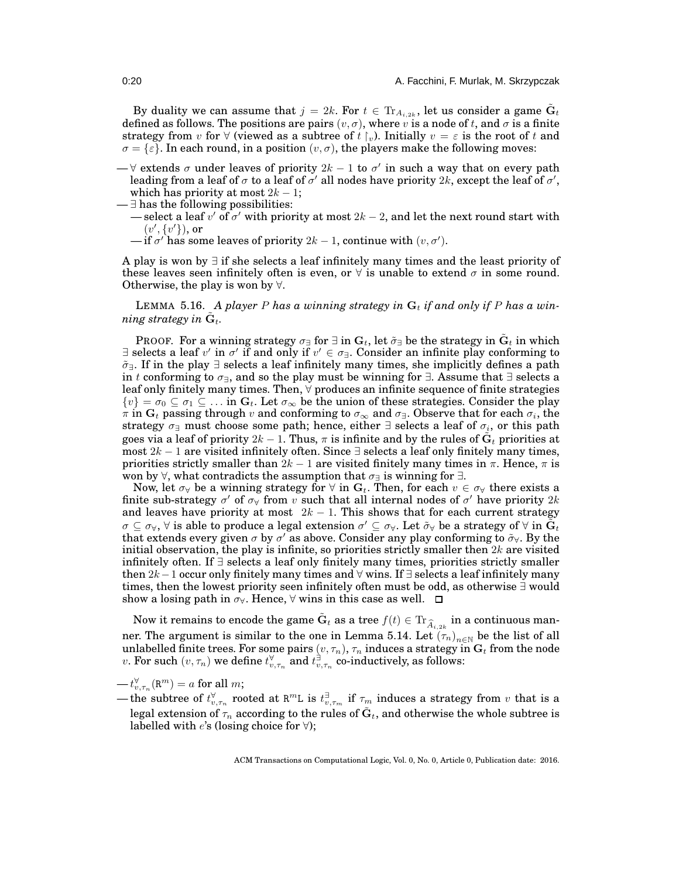By duality we can assume that  $j = 2k$ . For  $t \in \text{Tr}_{A_{i,2k}}$ , let us consider a game  $\tilde{\mathbf{G}}_t$ defined as follows. The positions are pairs  $(v, \sigma)$ , where v is a node of t, and  $\sigma$  is a finite strategy from v for  $\forall$  (viewed as a subtree of t  $\uparrow_{v}$ ). Initially  $v = \varepsilon$  is the root of t and  $\sigma = {\varepsilon}.$  In each round, in a position  $(v, \sigma)$ , the players make the following moves:

 $-$  ∀ extends σ under leaves of priority  $2k - 1$  to σ' in such a way that on every path leading from a leaf of  $\sigma$  to a leaf of  $\sigma'$  all nodes have priority  $2k$ , except the leaf of  $\sigma'$ , which has priority at most  $2k - 1$ ;

 $-\exists$  has the following possibilities:

- select a leaf  $v'$  of  $\sigma'$  with priority at most  $2k-2$ , and let the next round start with  $(v', \{v'\})$ , or
- $\text{---}$  if  $\sigma'$  has some leaves of priority  $2k-1$ , continue with  $(v, \sigma')$ .

A play is won by ∃ if she selects a leaf infinitely many times and the least priority of these leaves seen infinitely often is even, or  $\forall$  is unable to extend  $\sigma$  in some round. Otherwise, the play is won by  $\forall$ .

<span id="page-19-0"></span>LEMMA 5.16. A player P has a winning strategy in  $G_t$  if and only if P has a win $n$ *ing strategy in*  $\tilde{\mathbf{G}}_t$ *.* 

PROOF. For a winning strategy  $\sigma_\exists$  for  $\exists$  in  $\mathbf{G}_t,$  let  $\tilde\sigma_\exists$  be the strategy in  $\tilde{\mathbf{G}}_t$  in which ∃ selects a leaf v' in  $\sigma'$  if and only if  $v' \in \sigma$ ∃. Consider an infinite play conforming to  $\tilde{\sigma}$ =. If in the play ∃ selects a leaf infinitely many times, she implicitly defines a path in t conforming to  $\sigma_{\exists}$ , and so the play must be winning for  $\exists$ . Assume that  $\exists$  selects a leaf only finitely many times. Then, ∀ produces an infinite sequence of finite strategies  $\{v\} = \sigma_0 \subseteq \sigma_1 \subseteq \ldots$  in  $G_t$ . Let  $\sigma_\infty$  be the union of these strategies. Consider the play  $\pi$  in  $G_t$  passing through v and conforming to  $\sigma_{\infty}$  and  $\sigma_{\exists}$ . Observe that for each  $\sigma_i$ , the strategy  $\sigma$ ∃ must choose some path; hence, either  $\exists$  selects a leaf of  $\sigma_i,$  or this path goes via a leaf of priority  $2k-1.$  Thus,  $\pi$  is infinite and by the rules of  $\tilde{\textbf{G}}_t$  priorities at most  $2k - 1$  are visited infinitely often. Since ∃ selects a leaf only finitely many times, priorities strictly smaller than  $2k - 1$  are visited finitely many times in  $\pi$ . Hence,  $\pi$  is won by  $\forall$ , what contradicts the assumption that  $\sigma_{\exists}$  is winning for  $\exists$ .

Now, let  $\sigma_{\forall}$  be a winning strategy for  $\forall$  in  $G_t$ . Then, for each  $v \in \sigma_{\forall}$  there exists a finite sub-strategy  $\sigma'$  of  $\sigma_{\forall}$  from  $v$  such that all internal nodes of  $\sigma'$  have priority  $2k$ and leaves have priority at most  $2k - 1$ . This shows that for each current strategy  $\sigma\subseteq\sigma_\forall, \forall$  is able to produce a legal extension  $\sigma'\subseteq\sigma_\forall.$  Let  $\tilde\sigma_\forall$  be a strategy of  $\forall$  in  $\tilde G_t$ that extends every given  $\sigma$  by  $\sigma'$  as above. Consider any play conforming to  $\tilde{\sigma}_\forall$ . By the initial observation, the play is infinite, so priorities strictly smaller then  $2k$  are visited infinitely often. If ∃ selects a leaf only finitely many times, priorities strictly smaller then  $2k-1$  occur only finitely many times and  $\forall$  wins. If  $\exists$  selects a leaf infinitely many times, then the lowest priority seen infinitely often must be odd, as otherwise ∃ would show a losing path in  $\sigma_{\forall}$ . Hence,  $\forall$  wins in this case as well.  $\Box$ 

Now it remains to encode the game  $\tilde{\mathbf{G}}_t$  as a tree  $f(t)\in \text{Tr}_{\widehat{A}_{i,2k}}$  in a continuous man-ner. The argument is similar to the one in Lemma [5.14.](#page-18-0) Let  $(\tau_n)_{n\in\mathbb{N}}$  be the list of all unlabelled finite trees. For some pairs  $(v, \tau_n)$ ,  $\tau_n$  induces a strategy in  $\mathbf{G}_t$  from the node  $v.$  For such  $(v,\tau_n)$  we define  $t_{v,\tau_n}^\forall$  and  $t_{v,\tau_n}^\exists$  co-inductively, as follows:

- $-t_{v,\tau_n}^{\forall}(\mathbf{R}^m)=a$  for all  $m;$
- the subtree of  $t_{v,\tau_n}^\forall$  rooted at  $\mathtt{R}^m$ L is  $t_{v,\tau_m}^\exists$  if  $\tau_m$  induces a strategy from  $v$  that is a legal extension of  $\tau_n$  according to the rules of  $\tilde{\textbf{G}}_t,$  and otherwise the whole subtree is labelled with  $e$ 's (losing choice for  $\forall$ );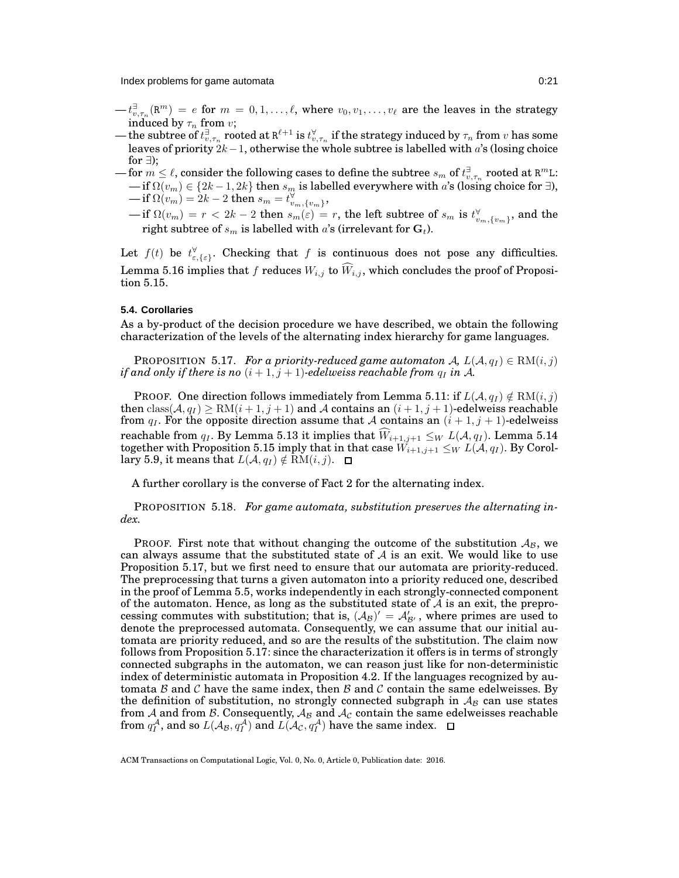Index problems for game automata 0:21

- $-t^{\exists}_{v,\tau_n}(\mathbb{R}^m) = e$  for  $m = 0,1,\ldots,\ell$ , where  $v_0,v_1,\ldots,v_\ell$  are the leaves in the strategy induced by  $\tau_n$  from v;
- the subtree of  $t_{v,\tau_n}^\exists$  rooted at  $\mathtt{R}^{\ell+1}$  is  $t_{v,\tau_n}^\forall$  if the strategy induced by  $\tau_n$  from  $v$  has some leaves of priority  $2k-1$ , otherwise the whole subtree is labelled with a's (losing choice for  $\exists$ ):
- $-$  for  $m\leq \ell,$  consider the following cases to define the subtree  $s_m$  of  $t^{\exists}_{v,\tau_n}$  rooted at  $\mathtt{R}^m$ L:  $-\operatorname{if}\Omega(v_m)\in\{2k-1,2k\}$  then  $s_m$  is labelled everywhere with  $a$ 's (losing choice for ∃),  $-\operatorname{if}\Omega(v_m)=2k-2 \text{ then } s_m=t_{v_m,\{v_m\}}^\forall,$ 
	- $-\operatorname{if}\Omega(v_m)=r< 2k-2 \text{ then } s_m(\varepsilon)=r,$  the left subtree of  $s_m$  is  $t^\forall_{v_m,\{v_m\}},$  and the right subtree of  $s_m$  is labelled with a's (irrelevant for  $G_t$ ).

Let  $f(t)$  be  $t_{\varepsilon,\{\varepsilon\}}^{\forall}$ . Checking that f is continuous does not pose any difficulties. Lemma [5.16](#page-19-0) implies that f reduces  $W_{i,j}$  to  $\widehat{W}_{i,j}$ , which concludes the proof of Proposition [5.15.](#page-18-1)

# **5.4. Corollaries**

<span id="page-20-1"></span>As a by-product of the decision procedure we have described, we obtain the following characterization of the levels of the alternating index hierarchy for game languages.

**PROPOSITION** 5.17. *For a priority-reduced game automaton* A,  $L(A, q_I) \in RM(i, j)$ *if and only if there is no*  $(i + 1, j + 1)$ -edelweiss reachable from  $q_I$  in A.

PROOF. One direction follows immediately from Lemma [5.11:](#page-16-1) if  $L(A, q_I) \notin RM(i, j)$ then  $\text{class}(\mathcal{A}, q_1) \ge \text{RM}(i+1, j+1)$  and A contains an  $(i+1, j+1)$ -edelweiss reachable from  $q_I$ . For the opposite direction assume that A contains an  $(i + 1, j + 1)$ -edelweiss reachable from  $q_I$ . By Lemma [5.13](#page-17-1) it implies that  $\widehat{W}_{i+1,j+1} \leq_W L(\mathcal{A}, q_I)$ . Lemma [5.14](#page-18-0) together with Proposition [5.15](#page-18-1) imply that in that case  $W_{i+1,j+1} \leq_W L(\mathcal{A}, q_I)$ . By Corol-lary [5.9,](#page-15-2) it means that  $L(A, q_I) \notin RM(i, j)$ .  $\Box$ 

<span id="page-20-0"></span>A further corollary is the converse of Fact [2](#page-5-2) for the alternating index.

PROPOSITION 5.18. *For game automata, substitution preserves the alternating index.*

PROOF. First note that without changing the outcome of the substitution  $A_{\mathcal{B}}$ , we can always assume that the substituted state of  $A$  is an exit. We would like to use Proposition [5.17,](#page-20-1) but we first need to ensure that our automata are priority-reduced. The preprocessing that turns a given automaton into a priority reduced one, described in the proof of Lemma [5.5,](#page-11-1) works independently in each strongly-connected component of the automaton. Hence, as long as the substituted state of  $A$  is an exit, the preprocessing commutes with substitution; that is,  $(A_B)' = A'_{B'}$ , where primes are used to denote the preprocessed automata. Consequently, we can assume that our initial automata are priority reduced, and so are the results of the substitution. The claim now follows from Proposition [5.17:](#page-20-1) since the characterization it offers is in terms of strongly connected subgraphs in the automaton, we can reason just like for non-deterministic index of deterministic automata in Proposition [4.2.](#page-9-0) If the languages recognized by automata B and C have the same index, then B and C contain the same edelweisses. By the definition of substitution, no strongly connected subgraph in  $A_B$  can use states from  ${\cal A}$  and from  ${\cal B}.$  Consequently,  ${\cal A}_{{\cal B}}$  and  ${\cal A}_{{\cal C}}$  contain the same edelweisses reachable from  $q_I^{\mathcal{A}}$ , and so  $L(\mathcal{A}_{\mathcal{B}}, q_I^{\mathcal{A}})$  and  $L(\mathcal{A}_{\mathcal{C}}, q_I^{\mathcal{A}})$  have the same index.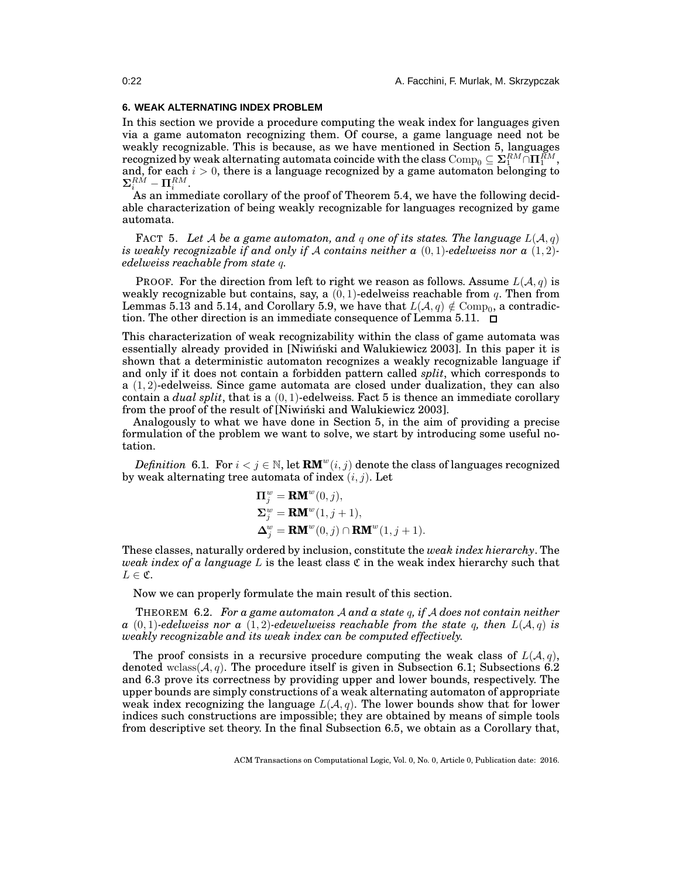# <span id="page-21-0"></span>**6. WEAK ALTERNATING INDEX PROBLEM**

In this section we provide a procedure computing the weak index for languages given via a game automaton recognizing them. Of course, a game language need not be weakly recognizable. This is because, as we have mentioned in Section [5,](#page-10-0) languages recognized by weak alternating automata coincide with the class  $\mathrm{Comp}_0 \subseteq \Sigma_1^{RM} \cap \Pi_1^{\tilde{R}M},$ and, for each  $i > 0$ , there is a language recognized by a game automaton belonging to  $\mathbf{\Sigma}_i^{R\acute{M}}-\mathbf{\Pi}_i^{RM}.$ 

As an immediate corollary of the proof of Theorem [5.4,](#page-11-2) we have the following decidable characterization of being weakly recognizable for languages recognized by game automata.

<span id="page-21-1"></span>FACT 5. Let A be a game automaton, and q one of its states. The language  $L(A,q)$ *is weakly recognizable if and only if* A *contains neither a* (0, 1)*-edelweiss nor a* (1, 2) *edelweiss reachable from state* q*.*

PROOF. For the direction from left to right we reason as follows. Assume  $L(\mathcal{A}, q)$  is weakly recognizable but contains, say, a  $(0, 1)$ -edelweiss reachable from q. Then from Lemmas [5.13](#page-17-1) and [5.14,](#page-18-0) and Corollary [5.9,](#page-15-2) we have that  $L(\mathcal{A},q)\notin \mathrm{Comp}_{0}$ , a contradic-tion. The other direction is an immediate consequence of Lemma [5.11.](#page-16-1)  $\Box$ 

This characterization of weak recognizability within the class of game automata was essentially already provided in [\[Niwinski and Walukiewicz 2003\]](#page-37-15). In this paper it is ´ shown that a deterministic automaton recognizes a weakly recognizable language if and only if it does not contain a forbidden pattern called *split*, which corresponds to  $a(1, 2)$ -edelweiss. Since game automata are closed under dualization, they can also contain a *dual split*, that is a  $(0, 1)$ -edelweiss. Fact [5](#page-21-1) is thence an immediate corollary from the proof of the result of [\[Niwinski and Walukiewicz 2003\]](#page-37-15).

Analogously to what we have done in Section [5,](#page-10-0) in the aim of providing a precise formulation of the problem we want to solve, we start by introducing some useful notation.

 $Definition \; 6.1. \; For \; i < j \in \mathbb{N}, \, let \; \mathbf{RM}^w(i,j) \; denote \; the \; class \; of \; languages \; recognized \; and \; the \; class \; of \; languages \; are \; required \; and \; the \; class \; of \; languages \; are \; associated \; of \; the \; class \; of \; languages \; are \; associated \; of \; the \; class \; of \; languages \; are \; associated \; of \; the \; class \; of \; languages \; are \; associated \; of \; the \; class \; of \; class \; of \; class \; are \; as \; the \; class \; of \; class \; is \; the \; class \; of \; class \; is$ by weak alternating tree automata of index  $(i, j)$ . Let

$$
\begin{aligned} \n\Pi_j^w &= \mathbf{R}\mathbf{M}^w(0,j), \\ \n\Sigma_j^w &= \mathbf{R}\mathbf{M}^w(1,j+1), \\ \n\Delta_j^w &= \mathbf{R}\mathbf{M}^w(0,j) \cap \mathbf{R}\mathbf{M}^w(1,j+1). \n\end{aligned}
$$

These classes, naturally ordered by inclusion, constitute the *weak index hierarchy*. The *weak index of a language* L is the least class C in the weak index hierarchy such that  $L \in \mathfrak{C}$ .

<span id="page-21-2"></span>Now we can properly formulate the main result of this section.

THEOREM 6.2. *For a game automaton* A *and a state* q*, if* A *does not contain neither*  $a(0,1)$ *-edelweiss nor a*  $(1,2)$ *-edewelweiss reachable from the state* q, then  $L(\mathcal{A}, q)$  *is weakly recognizable and its weak index can be computed effectively.*

The proof consists in a recursive procedure computing the weak class of  $L(\mathcal{A}, q)$ , denoted wclass( $A, q$ ). The procedure itself is given in Subsection [6.1;](#page-22-0) Subsections [6.2](#page-23-0) and [6.3](#page-25-0) prove its correctness by providing upper and lower bounds, respectively. The upper bounds are simply constructions of a weak alternating automaton of appropriate weak index recognizing the language  $L(\mathcal{A}, q)$ . The lower bounds show that for lower indices such constructions are impossible; they are obtained by means of simple tools from descriptive set theory. In the final Subsection [6.5,](#page-28-2) we obtain as a Corollary that,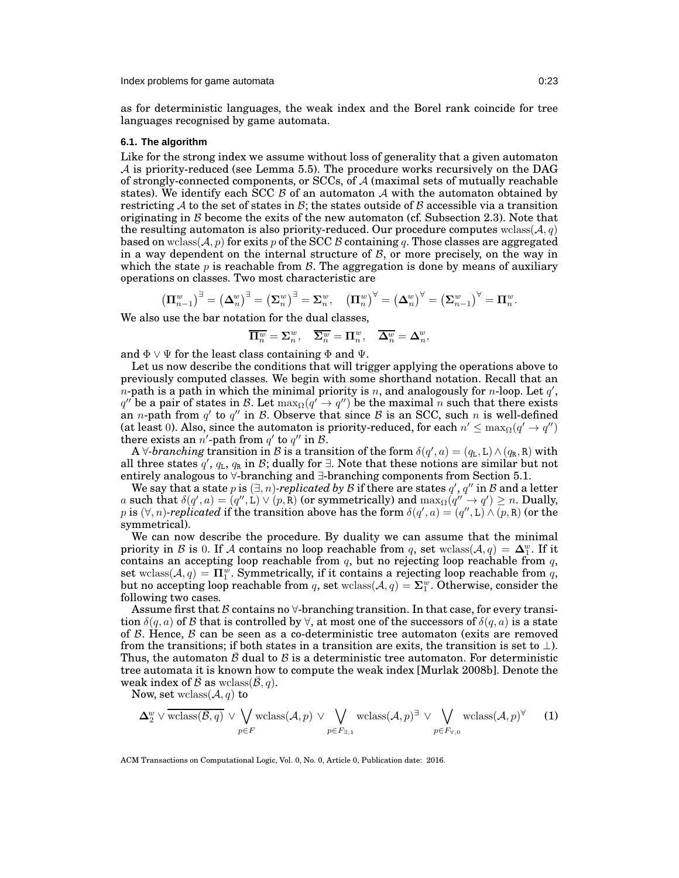as for deterministic languages, the weak index and the Borel rank coincide for tree languages recognised by game automata.

#### <span id="page-22-0"></span>**6.1. The algorithm**

Like for the strong index we assume without loss of generality that a given automaton  $\mathcal A$  is priority-reduced (see Lemma [5.5\)](#page-11-1). The procedure works recursively on the DAG of strongly-connected components, or SCCs, of A (maximal sets of mutually reachable states). We identify each SCC  $\beta$  of an automaton  $\mathcal A$  with the automaton obtained by restricting A to the set of states in B; the states outside of B accessible via a transition originating in  $\beta$  become the exits of the new automaton (cf. Subsection [2.3\)](#page-3-0). Note that the resulting automaton is also priority-reduced. Our procedure computes wclass( $A, q$ ) based on wclass( $\mathcal{A}, p$ ) for exits p of the SCC B containing q. Those classes are aggregated in a way dependent on the internal structure of  $\beta$ , or more precisely, on the way in which the state  $p$  is reachable from  $\mathcal{B}$ . The aggregation is done by means of auxiliary operations on classes. Two most characteristic are

$$
\left(\Pi_{n-1}^w\right)^{\exists} = \left(\Delta_n^w\right)^{\exists} = \left(\Sigma_n^w\right)^{\exists} = \Sigma_n^w, \quad \left(\Pi_n^w\right)^{\forall} = \left(\Delta_n^w\right)^{\forall} = \left(\Sigma_{n-1}^w\right)^{\forall} = \Pi_n^w.
$$

We also use the bar notation for the dual classes,

$$
\overline{\mathbf{\Pi}^w_n} = \boldsymbol{\Sigma}^w_n, \quad \overline{\boldsymbol{\Sigma}^w_n} = \boldsymbol{\Pi}^w_n, \quad \overline{\boldsymbol{\Delta}^w_n} = \boldsymbol{\Delta}^w_n,
$$

and  $\Phi \vee \Psi$  for the least class containing  $\Phi$  and  $\Psi$ .

Let us now describe the conditions that will trigger applying the operations above to previously computed classes. We begin with some shorthand notation. Recall that an n-path is a path in which the minimal priority is n, and analogously for n-loop. Let  $q'$ ,  $q''$  be a pair of states in  $\mathcal{B}.$  Let  $\max_\Omega (q' \to q'')$  be the maximal  $n$  such that there exists an *n*-path from  $q'$  to  $q''$  in  $\mathcal{B}$ . Observe that since  $\mathcal{B}$  is an SCC, such *n* is well-defined (at least 0). Also, since the automaton is priority-reduced, for each  $n'\leq \max_\Omega (q'\to q'')$ there exists an  $n'$ -path from  $q'$  to  $q''$  in  $\mathcal{B}$ .

A  $\forall$ -branching transition in B is a transition of the form  $\delta(q', a) = (q_L, L) \wedge (q_R, R)$  with all three states  $q'$ ,  $q_L$ ,  $q_R$  in  $\mathcal{B}$ ; dually for  $\exists$ . Note that these notions are similar but not entirely analogous to ∀-branching and ∃-branching components from Section [5.1.](#page-11-0)

We say that a state p is  $(\exists, n)$ *-replicated by B* if there are states  $q', q''$  in *B* and a letter a such that  $\delta(q', a) = (q'', b) \vee (p, R)$  (or symmetrically) and  $\max_{\Omega}(q'' \to q') \geq n$ . Dually, p is  $(\forall, n)$ -replicated if the transition above has the form  $\delta(q', a) = (q'', L) \wedge (p, R)$  (or the symmetrical).

We can now describe the procedure. By duality we can assume that the minimal priority in B is 0. If A contains no loop reachable from q, set wclass( $A, q$ ) =  $\Delta_1^w$ . If it contains an accepting loop reachable from  $q$ , but no rejecting loop reachable from  $q$ , set wclass( $A, q$ ) =  $\Pi_1^w$ . Symmetrically, if it contains a rejecting loop reachable from q, but no accepting loop reachable from q, set wclass( $A, q$ ) =  $\Sigma_1^w$ . Otherwise, consider the following two cases.

Assume first that B contains no  $\forall$ -branching transition. In that case, for every transition  $\delta(q, a)$  of B that is controlled by  $\forall$ , at most one of the successors of  $\delta(q, a)$  is a state of  $\beta$ . Hence,  $\beta$  can be seen as a co-deterministic tree automaton (exits are removed from the transitions; if both states in a transition are exits, the transition is set to  $\perp$ ). Thus, the automaton  $\bar{\beta}$  dual to  $\beta$  is a deterministic tree automaton. For deterministic tree automata it is known how to compute the weak index [\[Murlak 2008b\]](#page-37-16). Denote the weak index of  $\bar{\mathcal{B}}$  as wclass( $\bar{\mathcal{B}}, q$ ).

Now, set wclass  $(A, q)$  to

<span id="page-22-1"></span>
$$
\Delta_2^w \vee \overline{\text{wclass}(\overline{\mathcal{B}},q)} \vee \bigvee_{p \in F} \text{wclass}(\mathcal{A},p) \vee \bigvee_{p \in F_{\exists,1}} \text{wclass}(\mathcal{A},p)^{\exists} \vee \bigvee_{p \in F_{\forall,0}} \text{wclass}(\mathcal{A},p)^{\forall} \qquad (1)
$$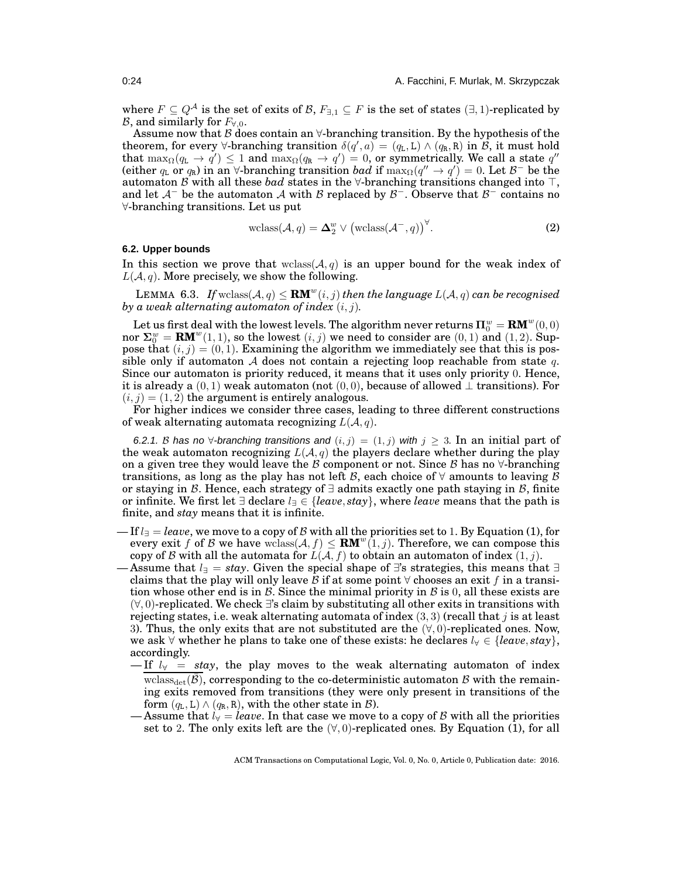where  $F \subseteq Q^{\mathcal{A}}$  is the set of exits of  $\mathcal{B}, F_{\exists,1} \subseteq F$  is the set of states  $(\exists,1)$ -replicated by *B*, and similarly for  $F_{\forall,0}$ .

Assume now that B does contain an  $\forall$ -branching transition. By the hypothesis of the theorem, for every  $\forall$ -branching transition  $\delta(q', a) = (q_L, L) \wedge (q_R, R)$  in  $\mathcal{B}$ , it must hold that  $\max_\Omega (q_{\tt L}\to q')\leq 1$  and  $\max_\Omega (q_{\tt R}\to q')=0$ , or symmetrically. We call a state  $q''$ (either  $q_L$  or  $q_R$ ) in an  $\forall$ -branching transition *bad* if  $\max_{\Omega}(q'' \to q') = 0$ . Let  $\mathcal{B}^-$  be the automaton B with all these *bad* states in the ∀-branching transitions changed into ⊤, and let  $\mathcal{A}^-$  be the automaton  $\mathcal A$  with  $\mathcal B$  replaced by  $\mathcal B^-$ . Observe that  $\mathcal B^-$  contains no ∀-branching transitions. Let us put

<span id="page-23-1"></span>
$$
\text{wclass}(\mathcal{A}, q) = \Delta_2^w \vee \left(\text{wclass}(\mathcal{A}^-, q)\right)^\forall. \tag{2}
$$

#### <span id="page-23-0"></span>**6.2. Upper bounds**

In this section we prove that  $\text{wclass}(\mathcal{A}, q)$  is an upper bound for the weak index of  $L(\mathcal{A}, q)$ . More precisely, we show the following.

LEMMA 6.3. If  $\text{wclass}(\mathcal{A}, q) \leq \text{RM}^w(i, j)$  then the language  $L(\mathcal{A}, q)$  can be recognised *by a weak alternating automaton of index* (i, j)*.*

Let us first deal with the lowest levels. The algorithm never returns  $\Pi_{0}^{w} = {\bf RM}^{w}(0,0)$ nor  $\Sigma_0^w = \mathbf{RM}^w(1,1)$ , so the lowest  $(i, j)$  we need to consider are  $(0, 1)$  and  $(1, 2)$ . Suppose that  $(i, j) = (0, 1)$ . Examining the algorithm we immediately see that this is possible only if automaton A does not contain a rejecting loop reachable from state q. Since our automaton is priority reduced, it means that it uses only priority 0. Hence, it is already a  $(0, 1)$  weak automaton (not  $(0, 0)$ ), because of allowed  $\perp$  transitions). For  $(i, j) = (1, 2)$  the argument is entirely analogous.

For higher indices we consider three cases, leading to three different constructions of weak alternating automata recognizing  $L(A, q)$ .

6.2.1. B has no  $\forall$ -branching transitions and  $(i, j) = (1, j)$  with  $j \geq 3$ . In an initial part of the weak automaton recognizing  $L(\mathcal{A}, q)$  the players declare whether during the play on a given tree they would leave the B component or not. Since B has no  $\forall$ -branching transitions, as long as the play has not left B, each choice of  $\forall$  amounts to leaving B or staying in B. Hence, each strategy of  $\exists$  admits exactly one path staying in B, finite or infinite. We first let ∃ declare l<sup>∃</sup> ∈ {*leave*, *stay*}, where *leave* means that the path is finite, and *stay* means that it is infinite.

- If l<sup>∃</sup> = *leave*, we move to a copy of B with all the priorities set to 1. By Equation [\(1\)](#page-22-1), for every exit f of B we have wclass( $A, f$ )  $\leq$  **RM**<sup>w</sup>(1, j). Therefore, we can compose this copy of B with all the automata for  $L(\mathcal{A}, f)$  to obtain an automaton of index  $(1, j)$ .
- Assume that  $l_{\exists} = stay$ . Given the special shape of ∃'s strategies, this means that  $\exists$ claims that the play will only leave B if at some point  $\forall$  chooses an exit f in a transition whose other end is in  $\mathcal B$ . Since the minimal priority in  $\mathcal B$  is 0, all these exists are  $(\forall, 0)$ -replicated. We check ∃'s claim by substituting all other exits in transitions with rejecting states, i.e. weak alternating automata of index  $(3,3)$  (recall that j is at least 3). Thus, the only exits that are not substituted are the  $(\forall, 0)$ -replicated ones. Now, we ask ∀ whether he plans to take one of these exists: he declares l<sup>∀</sup> ∈ {*leave*, *stay*}, accordingly.
	- $-If$   $l_{\gamma}$  = *stay*, the play moves to the weak alternating automaton of index wclass<sub>det</sub>( $\mathcal{B}$ ), corresponding to the co-deterministic automaton  $\mathcal{B}$  with the remaining exits removed from transitions (they were only present in transitions of the form  $(q_L, L) \wedge (q_R, R)$ , with the other state in  $\mathcal{B}$ ).
	- Assume that  $l_{\forall} = leave$ . In that case we move to a copy of B with all the priorities set to 2. The only exits left are the  $(\forall, 0)$ -replicated ones. By Equation [\(1\)](#page-22-1), for all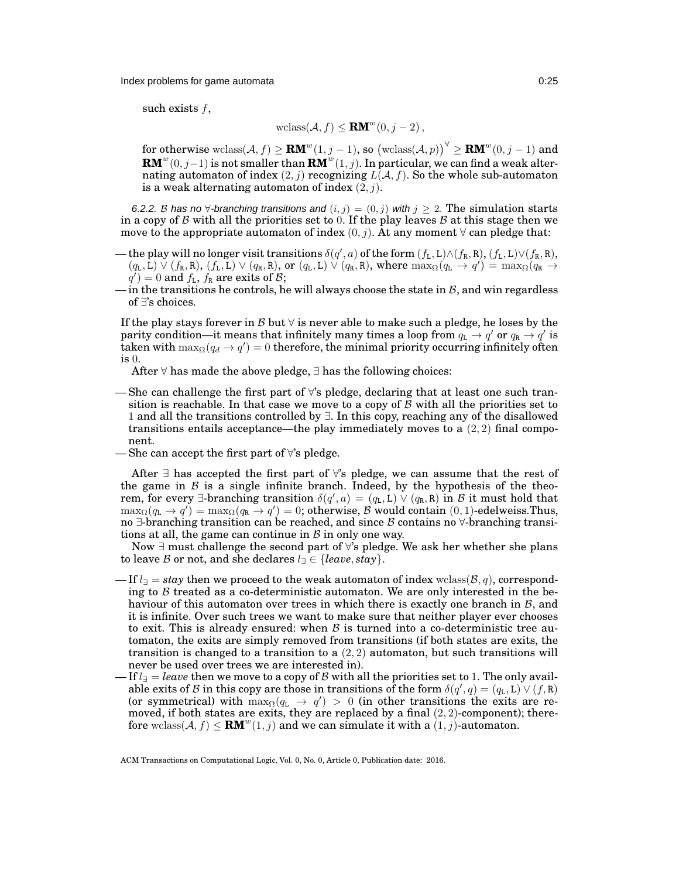Index problems for game automata 0:25

such exists  $f$ ,

$$
\text{wclass}(\mathcal{A}, f) \le \mathbf{RM}^w(0, j-2),
$$

 $\textbf{for otherwise }\text{wclass}(\mathcal{A},f)\geq \textbf{RM}^w(1,j-1)\text{, so } \left(\text{wclass}(\mathcal{A},p)\right)^{\forall}\geq \textbf{RM}^w(0,j-1) \text{ and } \exists \textbf{M}^w(1,j-1)\in \textbf{RM}^w(0,j-1).$  $\mathbf{RM}^w(0,j-1)$  is not smaller than  $\mathbf{RM}^w(1,j)$ . In particular, we can find a weak alternating automaton of index  $(2, j)$  recognizing  $L(\mathcal{A}, f)$ . So the whole sub-automaton is a weak alternating automaton of index  $(2, i)$ .

6.2.2. B has no ∀-branching transitions and  $(i, j) = (0, j)$  with  $j \ge 2$ . The simulation starts in a copy of  $\beta$  with all the priorities set to 0. If the play leaves  $\beta$  at this stage then we move to the appropriate automaton of index  $(0, j)$ . At any moment  $\forall$  can pledge that:

- the play will no longer visit transitions  $\delta(q', a)$  of the form  $(f_L, L) \wedge (f_R, R), (f_L, L) \vee (f_R, R)$ ,  $(q_L, L) \vee (f_R, R), (f_L, L) \vee (q_R, R),$  or  $(q_L, L) \vee (q_R, R),$  where  $\max_{\Omega}(q_L \rightarrow q') = \max_{\Omega}(q_R \rightarrow$  $q'$ ) = 0 and  $f_L$ ,  $f_R$  are exits of  $B$ ;
- in the transitions he controls, he will always choose the state in  $\beta$ , and win regardless of ∃'s choices.

If the play stays forever in B but  $\forall$  is never able to make such a pledge, he loses by the parity condition—it means that infinitely many times a loop from  $q_{\tt L} \to q'$  or  $q_{\tt R} \to q'$  is taken with  $\max_\Omega (q_d \to q') = 0$  therefore, the minimal priority occurring infinitely often is 0.

After ∀ has made the above pledge, ∃ has the following choices:

- She can challenge the first part of  $\forall$ 's pledge, declaring that at least one such transition is reachable. In that case we move to a copy of  $\beta$  with all the priorities set to 1 and all the transitions controlled by ∃. In this copy, reaching any of the disallowed transitions entails acceptance—the play immediately moves to a  $(2, 2)$  final component.
- She can accept the first part of  $\forall$ 's pledge.

After  $\exists$  has accepted the first part of  $\forall$ 's pledge, we can assume that the rest of the game in  $\beta$  is a single infinite branch. Indeed, by the hypothesis of the theorem, for every  $\exists$ -branching transition  $\delta(q', a) = (q_L, L) \vee (q_R, R)$  in  $\beta$  it must hold that  $\max_\Omega (q_{\mathtt{L}} \to q') = \max_\Omega (q_{\mathtt{R}} \to q') = 0;$  otherwise,  ${\mathcal{B}}$  would contain  $(0,1)$ -edelweiss.Thus, no  $\exists$ -branching transition can be reached, and since B contains no  $\forall$ -branching transitions at all, the game can continue in  $\beta$  in only one way.

Now ∃ must challenge the second part of ∀'s pledge. We ask her whether she plans to leave B or not, and she declares  $l = \{leave, stay\}.$ 

- If  $l = stay$  then we proceed to the weak automaton of index wclass( $\mathcal{B}, q$ ), corresponding to  $\beta$  treated as a co-deterministic automaton. We are only interested in the behaviour of this automaton over trees in which there is exactly one branch in  $B$ , and it is infinite. Over such trees we want to make sure that neither player ever chooses to exit. This is already ensured: when  $\beta$  is turned into a co-deterministic tree automaton, the exits are simply removed from transitions (if both states are exits, the transition is changed to a transition to a  $(2, 2)$  automaton, but such transitions will never be used over trees we are interested in).
- $-\text{If } l=\text{leave}$  then we move to a copy of  $\mathcal B$  with all the priorities set to 1. The only available exits of B in this copy are those in transitions of the form  $\delta(q',q) = (q_L, L) \vee (f, R)$ (or symmetrical) with  $\max_{\Omega}(q_L \to q') > 0$  (in other transitions the exits are removed, if both states are exits, they are replaced by a final  $(2, 2)$ -component); therefore wclass( $A, f$ )  $\leq$  **RM**<sup>w</sup>(1, j) and we can simulate it with a (1, j)-automaton.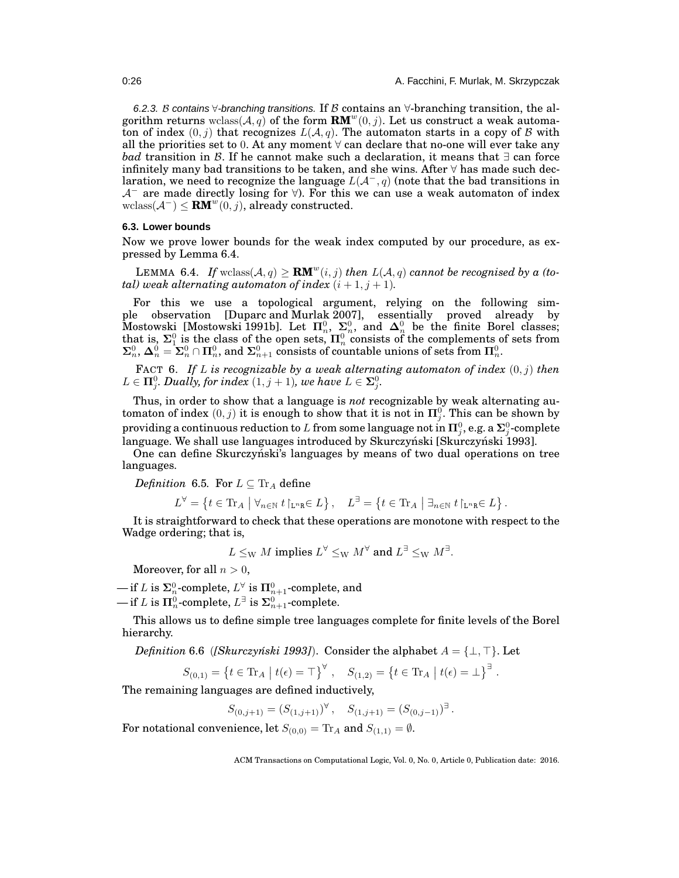6.2.3. B contains  $\forall$ -branching transitions. If B contains an  $\forall$ -branching transition, the algorithm returns wclass( $A$ , q) of the form  $\mathbf{RM}^w(0,j)$ . Let us construct a weak automaton of index  $(0, j)$  that recognizes  $L(\mathcal{A}, q)$ . The automaton starts in a copy of B with all the priorities set to 0. At any moment  $\forall$  can declare that no-one will ever take any *bad* transition in *B*. If he cannot make such a declaration, it means that ∃ can force infinitely many bad transitions to be taken, and she wins. After  $\forall$  has made such declaration, we need to recognize the language  $L(\mathcal{A}^-, q)$  (note that the bad transitions in  $\mathcal{A}^-$  are made directly losing for  $\forall$ ). For this we can use a weak automaton of index wclass( $\mathcal{A}^-$ )  $\leq$  **RM**<sup>w</sup>(0, j), already constructed.

# <span id="page-25-0"></span>**6.3. Lower bounds**

<span id="page-25-1"></span>Now we prove lower bounds for the weak index computed by our procedure, as expressed by Lemma [6.4.](#page-25-1)

LEMMA 6.4. If  $\text{wclass}(A, q) \geq \text{RM}^w(i, j)$  then  $L(A, q)$  cannot be recognised by a (to*tal)* weak alternating automaton of index  $(i + 1, j + 1)$ .

For this we use a topological argument, relying on the following simple observation [\[Duparc and Murlak 2007\]](#page-37-25), essentially proved already by Mostowski [\[Mostowski 1991b\]](#page-37-26). Let  $\Pi_n^0$ ,  $\Sigma_n^0$ , and  $\Delta_n^0$  be the finite Borel classes; that is,  $\Sigma_1^0$  is the class of the open sets,  $\Pi_n^0$  consists of the complements of sets from  $\Sigma_n^0$ ,  $\Delta_n^0 = \Sigma_n^0 \cap \Pi_n^0$ , and  $\Sigma_{n+1}^0$  consists of countable unions of sets from  $\Pi_n^0$ .

<span id="page-25-2"></span>**FACT** 6. If L is recognizable by a weak alternating automaton of index  $(0, j)$  then  $L \in \mathbf{\Pi}^0_j$ *. Dually, for index*  $(1,j+1)$ *, we have*  $L \in \mathbf{\Sigma}^0_j$ *.* 

Thus, in order to show that a language is *not* recognizable by weak alternating automaton of index  $(0, j)$  it is enough to show that it is not in  $\Pi_j^0$ . This can be shown by providing a continuous reduction to  $L$  from some language not in  $\Pi^0_j$ , e.g. a  $\mathbf{\Sigma}^0_j$ -complete language. We shall use languages introduced by Skurczyński [Skurczyński 1993].

One can define Skurczyński's languages by means of two dual operations on tree languages.

*Definition* 6.5*.* For  $L \subseteq Tr_A$  define

$$
L^{\forall} = \left\{ t \in \text{Tr}_A \mid \forall_{n \in \mathbb{N}} \ t \mid_{\mathbf{L}^n \mathbf{R}} \in L \right\}, \quad L^{\exists} = \left\{ t \in \text{Tr}_A \mid \exists_{n \in \mathbb{N}} \ t \mid_{\mathbf{L}^n \mathbf{R}} \in L \right\}.
$$

It is straightforward to check that these operations are monotone with respect to the Wadge ordering; that is,

 $L\le_{\rm W} M$  implies  $L^\forall \le_{\rm W} M^\forall$  and  $L^\exists \le_{\rm W} M^\exists$ .

Moreover, for all  $n > 0$ ,

 $\mathbf{-if}\,L \text{ is } \mathbf{\Sigma}^0_n\text{-complete, } L^{\forall} \text{ is } \mathbf{\Pi}^0_{n+1}\text{-complete, and}$ 

 $\longrightarrow$  if L is  $\Pi^0_n$ -complete,  $L^{\exists}$  is  $\mathbf{\Sigma}^0_{n+1}$ -complete.

This allows us to define simple tree languages complete for finite levels of the Borel hierarchy.

*Definition* 6.6 (*[Skurczyński 1993]*). Consider the alphabet  $A = \{\perp, \top\}$ . Let

$$
S_{(0,1)} = \{ t \in \text{Tr}_A \mid t(\epsilon) = \top \}^{\forall} , \quad S_{(1,2)} = \{ t \in \text{Tr}_A \mid t(\epsilon) = \bot \}^{\exists} .
$$

The remaining languages are defined inductively,

 $S_{(0,j+1)} = (S_{(1,j+1)})^{\forall}, \quad S_{(1,j+1)} = (S_{(0,j-1)})^{\exists}.$ 

For notational convenience, let  $S_{(0,0)} = \text{Tr}_A$  and  $S_{(1,1)} = \emptyset$ .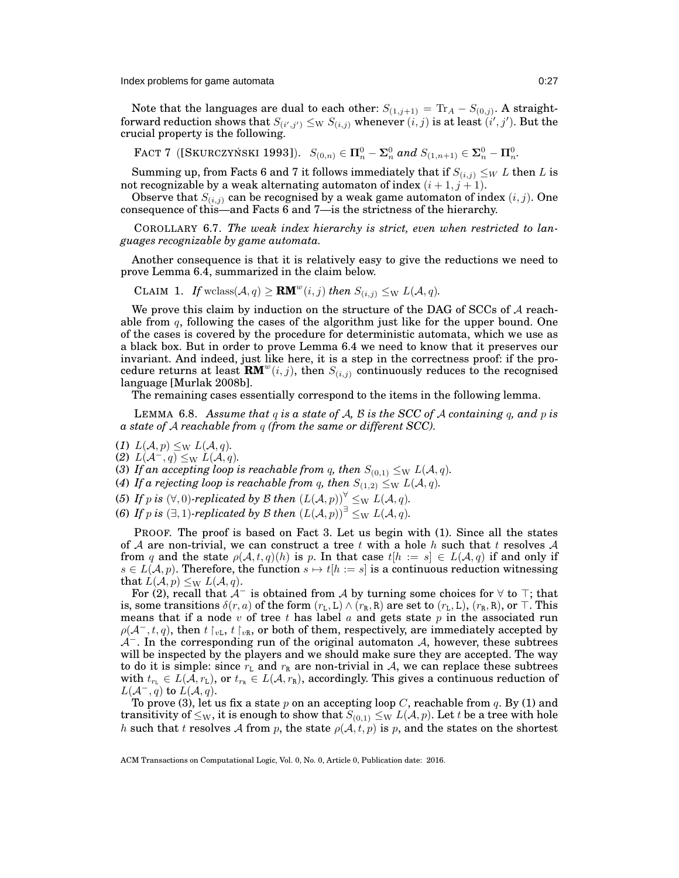Index problems for game automata 0:27

Note that the languages are dual to each other:  $S_{(1,j+1)}={\rm Tr}_A - S_{(0,j)}.$  A straightforward reduction shows that  $S_{(i',j')} \le_{\mathrm{W}} S_{(i,j)}$  whenever  $(i,j)$  is at least  $(i',j').$  But the crucial property is the following.

<span id="page-26-0"></span>FACT 7 ([SKURCZYŃSKI 1993]).  $S_{(0,n)} \in \Pi_n^0 - \Sigma_n^0$  and  $S_{(1,n+1)} \in \Sigma_n^0 - \Pi_n^0$ .

Summing up, from Facts [6](#page-25-2) and [7](#page-26-0) it follows immediately that if  $S_{(i,j)} \leq_W L$  then L is not recognizable by a weak alternating automaton of index  $(i + 1, j + 1)$ .

Observe that  $S_{(i,j)}$  can be recognised by a weak game automaton of index  $(i, j)$ . One consequence of this—and Facts  $6$  and  $7$ —is the strictness of the hierarchy.

COROLLARY 6.7. *The weak index hierarchy is strict, even when restricted to languages recognizable by game automata.*

<span id="page-26-8"></span>Another consequence is that it is relatively easy to give the reductions we need to prove Lemma [6.4,](#page-25-1) summarized in the claim below.

CLAIM 1. If wclass  $(A, q) \geq \text{RM}^w(i, j)$  then  $S_{(i,j)} \leq_{\text{W}} L(A, q)$ .

We prove this claim by induction on the structure of the DAG of SCCs of  $A$  reachable from  $q$ , following the cases of the algorithm just like for the upper bound. One of the cases is covered by the procedure for deterministic automata, which we use as a black box. But in order to prove Lemma [6.4](#page-25-1) we need to know that it preserves our invariant. And indeed, just like here, it is a step in the correctness proof: if the procedure returns at least  $\mathbf{R}\mathbf{M}^w(i,j)$ , then  $S_{(i,j)}$  continuously reduces to the recognised language [\[Murlak 2008b\]](#page-37-16).

<span id="page-26-7"></span>The remaining cases essentially correspond to the items in the following lemma.

LEMMA 6.8. *Assume that* q *is a state of* A*,* B *is the SCC of* A *containing* q*, and* p *is a state of* A *reachable from* q *(from the same or different SCC).*

- <span id="page-26-2"></span><span id="page-26-1"></span>(1)  $L(\mathcal{A}, p) \leq_{\rm W} L(\mathcal{A}, q)$ .
- <span id="page-26-3"></span>(2)  $L(\mathcal{A}^-, q) \leq_{\mathrm{W}} L(\mathcal{A}, q)$ .
- <span id="page-26-4"></span>(3) If an accepting loop is reachable from q, then  $S_{(0,1)} \leq_{\mathrm{W}} L(\mathcal{A}, q)$ .
- <span id="page-26-5"></span>(4) If a rejecting loop is reachable from q, then  $S_{(1,2)} \leq_{\text{W}} L(\mathcal{A}, q)$ .
- <span id="page-26-6"></span>(5) If p is  $(\forall, 0)$ -replicated by B then  $(L(\mathcal{A}, p))^{\forall} \leq_{\text{W}} L(\mathcal{A}, q)$ .
- (6) If p is  $(\exists, 1)$ -replicated by B then  $(L(A, p))^{\exists} \leq_{\text{W}} L(A, q)$ .

PROOF. The proof is based on Fact [3.](#page-7-0) Let us begin with [\(1\)](#page-26-1). Since all the states of A are non-trivial, we can construct a tree t with a hole h such that t resolves A from q and the state  $\rho(\mathcal{A}, t, q)(h)$  is p. In that case  $t[h := s] \in L(\mathcal{A}, q)$  if and only if  $s \in L(\mathcal{A}, p)$ . Therefore, the function  $s \mapsto t[h := s]$  is a continuous reduction witnessing that  $L(\mathcal{A}, p) \leq_{\rm W} L(\mathcal{A}, q)$ .

For [\(2\)](#page-26-2), recall that  $\mathcal{A}^-$  is obtained from  $\mathcal A$  by turning some choices for  $\forall$  to  $\top$ ; that is, some transitions  $\delta(r, a)$  of the form  $(r_L, L) \wedge (r_R, R)$  are set to  $(r_L, L)$ ,  $(r_R, R)$ , or  $\top$ . This means that if a node  $v$  of tree  $t$  has label  $a$  and gets state  $p$  in the associated run  $\rho(\mathcal{A}^-, t, q)$ , then  $t \upharpoonright_{vL} t \upharpoonright_{vR}$ , or both of them, respectively, are immediately accepted by  $A^-$ . In the corresponding run of the original automaton A, however, these subtrees will be inspected by the players and we should make sure they are accepted. The way to do it is simple: since  $r<sub>L</sub>$  and  $r<sub>R</sub>$  are non-trivial in A, we can replace these subtrees with  $t_{r_L} \in L(\overline{A}, r_L)$ , or  $t_{r_R} \in L(A, r_R)$ , accordingly. This gives a continuous reduction of  $L(\mathcal{A}^-, q)$  to  $L(\mathcal{A}, q)$ .

To prove [\(3\)](#page-26-3), let us fix a state p on an accepting loop C, reachable from q. By [\(1\)](#page-26-1) and transitivity of  $\leq_W$ , it is enough to show that  $S_{(0,1)} \leq_W L(\mathcal{A}, p)$ . Let t be a tree with hole h such that t resolves A from p, the state  $\rho(\mathcal{A}, t, p)$  is p, and the states on the shortest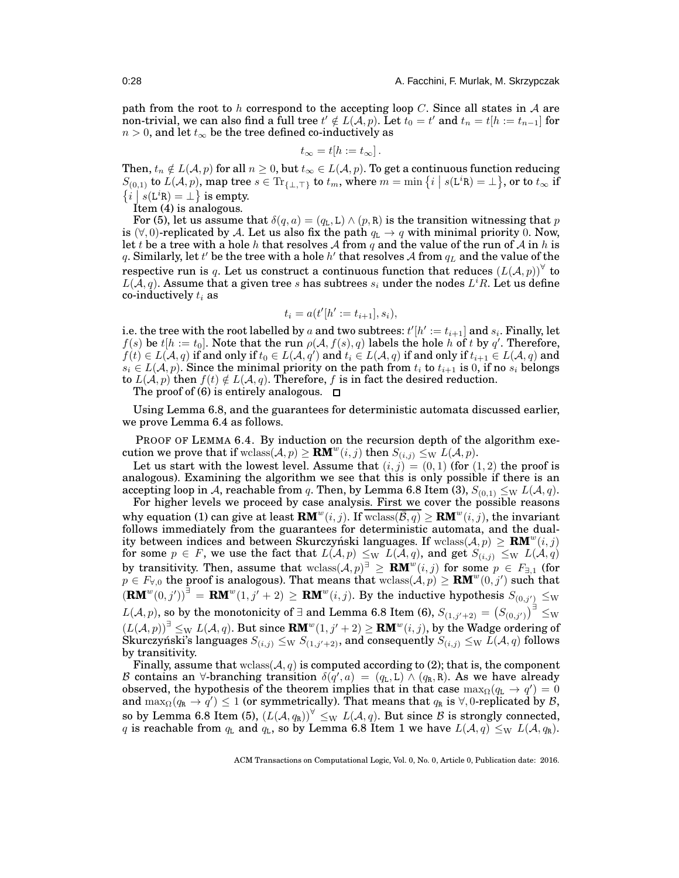path from the root to h correspond to the accepting loop  $C$ . Since all states in A are non-trivial, we can also find a full tree  $t'\notin L(\overline{\mathcal{A}},p).$  Let  $t_0=t'$  and  $t_n=t[h:=t_{n-1}]$  for  $n > 0$ , and let  $t_{\infty}$  be the tree defined co-inductively as

$$
t_{\infty}=t[h:=t_{\infty}].
$$

Then,  $t_n \notin L(\mathcal{A}, p)$  for all  $n \geq 0$ , but  $t_{\infty} \in L(\mathcal{A}, p)$ . To get a continuous function reducing  $S_{(0,1)}$  to  $L(\mathcal{A}, p)$ , map tree  $s \in \text{Tr}_{\{\perp, \top\}}$  to  $t_m$ , where  $m = \min \{i \mid s(\text{L}^i\mathbf{R}) = \perp\}$ , or to  $t_\infty$  if  $\{i \mid s(L^{i}R) = \bot \}$  is empty.

Item [\(4\)](#page-26-4) is analogous.

For [\(5\)](#page-26-5), let us assume that  $\delta(q, a) = (q_L, L) \wedge (p, R)$  is the transition witnessing that p is  $(\forall, 0)$ -replicated by A. Let us also fix the path  $q_L \rightarrow q$  with minimal priority 0. Now, let t be a tree with a hole h that resolves A from q and the value of the run of A in h is q. Similarly, let  $t'$  be the tree with a hole  $h'$  that resolves  ${\cal A}$  from  $q_L$  and the value of the respective run is q. Let us construct a continuous function that reduces  $\left(L(\mathcal{A},p)\right)^\forall$  to  $L(\bar{\mathcal{A}},q).$  Assume that a given tree  $s$  has subtrees  $s_i$  under the nodes  $L^iR.$  Let us define co-inductively  $t_i$  as

$$
t_i = a(t'[h'] := t_{i+1}], s_i),
$$

i.e. the tree with the root labelled by  $a$  and two subtrees:  $t'[h' := t_{i+1}]$  and  $s_i$ . Finally, let  $f(s)$  be  $t[h := t_0]$ . Note that the run  $\rho(\mathcal{A}, f(s), q)$  labels the hole h of t by q'. Therefore,  $f(t)\in L(\mathcal{A},q)$  if and only if  $t_0\in L(\mathcal{A},q')$  and  $t_i\in L(\mathcal{A},q)$  if and only if  $t_{i+1}\in L(\mathcal{A},q)$  and  $s_i \in L(\mathcal{A}, p)$ . Since the minimal priority on the path from  $t_i$  to  $t_{i+1}$  is 0, if no  $s_i$  belongs to  $L(A, p)$  then  $f(t) \notin L(A, q)$ . Therefore, f is in fact the desired reduction.

The proof of [\(6\)](#page-26-6) is entirely analogous.  $\Box$ 

Using Lemma [6.8,](#page-26-7) and the guarantees for deterministic automata discussed earlier, we prove Lemma [6.4](#page-25-1) as follows.

PROOF OF LEMMA [6.4.](#page-25-1) By induction on the recursion depth of the algorithm execution we prove that if wclass( $A, p$ )  $\geq$  **RM**<sup>w</sup>(*i, j*) then  $S_{(i,j)} \leq_{\rm W} L(A, p)$ .

Let us start with the lowest level. Assume that  $(i, j) = (0, 1)$  (for  $(1, 2)$ ) the proof is analogous). Examining the algorithm we see that this is only possible if there is an accepting loop in A, reachable from q. Then, by Lemma [6.8](#page-26-7) Item [\(3\)](#page-26-3),  $S_{(0,1)} \leq_{\text{W}} L(\mathcal{A}, q)$ .

For higher levels we proceed by case analysis. First we cover the possible reasons why equation [\(1\)](#page-22-1) can give at least  $\mathbf{RM}^w(i,j)$ . If  $\overline{\text{wclass}(\overline{B},q)} \geq \mathbf{RM}^w(i,j)$ , the invariant follows immediately from the guarantees for deterministic automata, and the duality between indices and between Skurczyński languages. If  $\text{wclass}(\mathcal{A}, p) \geq \mathbf{RM}^w(i, j)$ for some  $p \in F$ , we use the fact that  $L(\mathcal{A}, p) \le_{\mathrm{W}} L(\mathcal{A}, q)$ , and get  $S_{(i,j)} \le_{\mathrm{W}} L(\mathcal{A}, q)$ by transitivity. Then, assume that wclass( $A, p$ <sup>3</sup>  $\geq$  **RM**<sup>w</sup>(*i, j*) for some  $p \in F_{\exists,1}$  (for  $p \in F_{\forall,0}$  the proof is analogous). That means that wclass( $A, p$ )  $\geq$  **RM**<sup>w</sup>(0, *j'*) such that  $(\mathbf{R}\mathbf{M}^w(0,j'))^{\exists} = \mathbf{R}\mathbf{M}^w(1,j'+2) \geq \mathbf{R}\mathbf{M}^w(i,j)$ . By the inductive hypothesis  $S_{(0,j')}\leq_{\mathrm{W}}$  $L(\mathcal{A},p),$  so by the monotonicity of  $\exists$  and Lemma [6.8](#page-26-7) Item [\(6\)](#page-26-6),  $S_{(1,j'+2)}=\left(S_{(0,j')}\right)^{\exists}\leq_{\mathrm{W}}$  $(L(\mathcal{A}, p))^{\exists} \leq_{\mathrm{W}} L(\mathcal{A}, q)$ . But since  $\mathbf{RM}^w(1, j' + 2) \geq \mathbf{RM}^w(i, j)$ , by the Wadge ordering of Skurczyński's languages  $S_{(i,j)}\leq_{\rm W} S_{(1,j'+2)}$ , and consequently  $S_{(i,j)}\leq_{\rm W} L(\mathcal{A},q)$  follows by transitivity.

Finally, assume that wclass  $(A, q)$  is computed according to [\(2\)](#page-23-1); that is, the component B contains an  $\forall$ -branching transition  $\delta(q', a) = (q_L, L) \wedge (q_R, R)$ . As we have already observed, the hypothesis of the theorem implies that in that case  $\max_{\Omega}(q_{\text{L}} \to q') = 0$ and  $\max_\Omega (q_\mathtt{R} \to \bar{q}') \leq 1$  (or symmetrically). That means that  $q_\mathtt{R}$  is  $\forall,0$ -replicated by  $\mathcal{B},$ so by Lemma [6.8](#page-26-7) Item [\(5\)](#page-26-5),  $(L(\mathcal{A}, q_{\text{R}}))^{\forall} \leq_{\text{W}} L(\mathcal{A}, q)$ . But since  $\mathcal B$  is strongly connected,  $q$  is reachable from  $q_\texttt{L}$  and  $q_\texttt{L}$ , so by Lemma [6.8](#page-26-7) Item [1](#page-26-1) we have  $L(\mathcal{A}, q) \leq_\texttt{W} L(\mathcal{A}, q_\texttt{R})$ .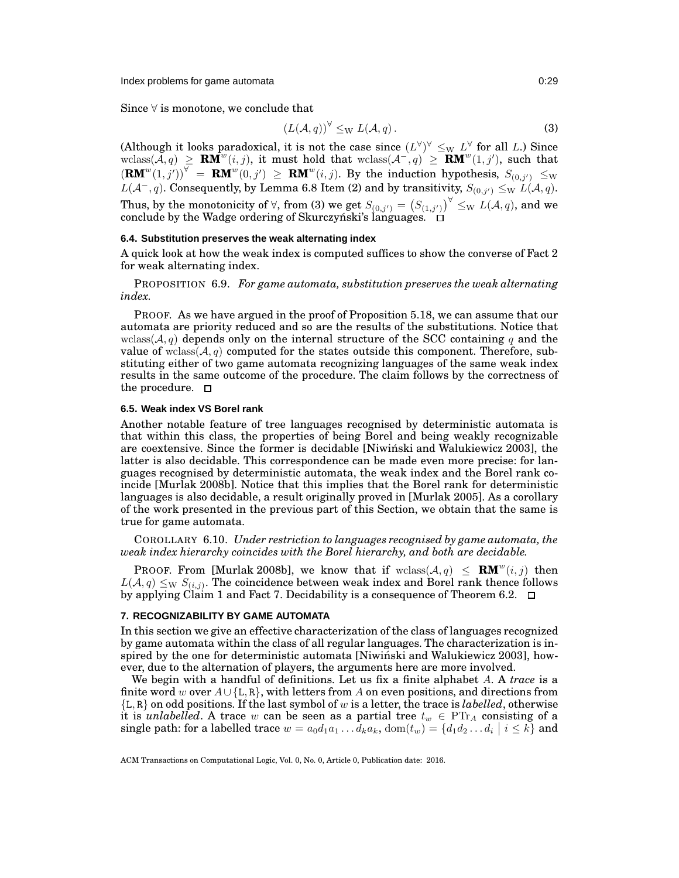Index problems for game automata **0:29** and 0:29

Since  $\forall$  is monotone, we conclude that

<span id="page-28-3"></span>
$$
(L(\mathcal{A}, q))^{\forall} \leq_{\mathrm{W}} L(\mathcal{A}, q). \tag{3}
$$

(Although it looks paradoxical, it is not the case since  $(L^{\forall})^{\forall} \leq_{\text{W}} L^{\forall}$  for all *L*.) Since wclass(*A*, *q*) ≥ **RM**<sup>*w*</sup>(*i*, *j*), such that  $(\mathbf{R}\mathbf{M}^w(1,j'))^{\forall} = \mathbf{R}\mathbf{M}^w(0,j') \geq \mathbf{R}\mathbf{M}^w(i,j)$ . By the induction hypothesis,  $S_{(0,j')} \leq_{\mathbf{W}}$  $L(\mathcal{A}^-, q)$ . Consequently, by Lemma [6.8](#page-26-7) Item [\(2\)](#page-26-2) and by transitivity,  $S_{(0, j')} \leq_{\mathrm{W}} L(\mathcal{A}, q)$ . Thus, by the monotonicity of  $\forall$ , from [\(3\)](#page-28-3) we get  $S_{(0,j')}=\big(S_{(1,j')}\big)^{\forall}\le_{\mathrm{W}} L(\mathcal{A},q),$  and we conclude by the Wadge ordering of Skurczynski's languages.  $\Box$ 

# **6.4. Substitution preserves the weak alternating index**

<span id="page-28-1"></span>A quick look at how the weak index is computed suffices to show the converse of Fact [2](#page-5-2) for weak alternating index.

PROPOSITION 6.9. *For game automata, substitution preserves the weak alternating index.*

PROOF. As we have argued in the proof of Proposition [5.18,](#page-20-0) we can assume that our automata are priority reduced and so are the results of the substitutions. Notice that wclass( $A, q$ ) depends only on the internal structure of the SCC containing q and the value of wclass( $A, q$ ) computed for the states outside this component. Therefore, substituting either of two game automata recognizing languages of the same weak index results in the same outcome of the procedure. The claim follows by the correctness of the procedure.  $\Box$ 

## <span id="page-28-2"></span>**6.5. Weak index VS Borel rank**

Another notable feature of tree languages recognised by deterministic automata is that within this class, the properties of being Borel and being weakly recognizable are coextensive. Since the former is decidable [\[Niwinski and Walukiewicz 2003\]](#page-37-15), the ´ latter is also decidable. This correspondence can be made even more precise: for languages recognised by deterministic automata, the weak index and the Borel rank coincide [\[Murlak 2008b\]](#page-37-16). Notice that this implies that the Borel rank for deterministic languages is also decidable, a result originally proved in [\[Murlak 2005\]](#page-37-28). As a corollary of the work presented in the previous part of this Section, we obtain that the same is true for game automata.

COROLLARY 6.10. *Under restriction to languages recognised by game automata, the weak index hierarchy coincides with the Borel hierarchy, and both are decidable.*

**PROOF.** From [\[Murlak 2008b\]](#page-37-16), we know that if  $\text{wclass}(\mathcal{A}, q) \leq \mathbf{RM}^w(i,j)$  then  $L(\mathcal{A},q)\leq_{\mathrm{W}} S_{(i,j)}.$  The coincidence between weak index and Borel rank thence follows by applying Claim [1](#page-26-8) and Fact [7.](#page-26-0) Decidability is a consequence of Theorem [6.2.](#page-21-2)  $\Box$ 

# <span id="page-28-0"></span>**7. RECOGNIZABILITY BY GAME AUTOMATA**

In this section we give an effective characterization of the class of languages recognized by game automata within the class of all regular languages. The characterization is inspired by the one for deterministic automata [\[Niwinski and Walukiewicz 2003\]](#page-37-15), how- ´ ever, due to the alternation of players, the arguments here are more involved.

We begin with a handful of definitions. Let us fix a finite alphabet A. A *trace* is a finite word w over  $A \cup \{L, R\}$ , with letters from A on even positions, and directions from {L, R} on odd positions. If the last symbol of w is a letter, the trace is *labelled*, otherwise it is *unlabelled*. A trace w can be seen as a partial tree  $t_w \in \text{PT}_{A}$  consisting of a single path: for a labelled trace  $w = a_0d_1a_1 \dots d_ka_k$ ,  $dom(t_w) = \{d_1d_2 \dots d_i \mid i \leq k\}$  and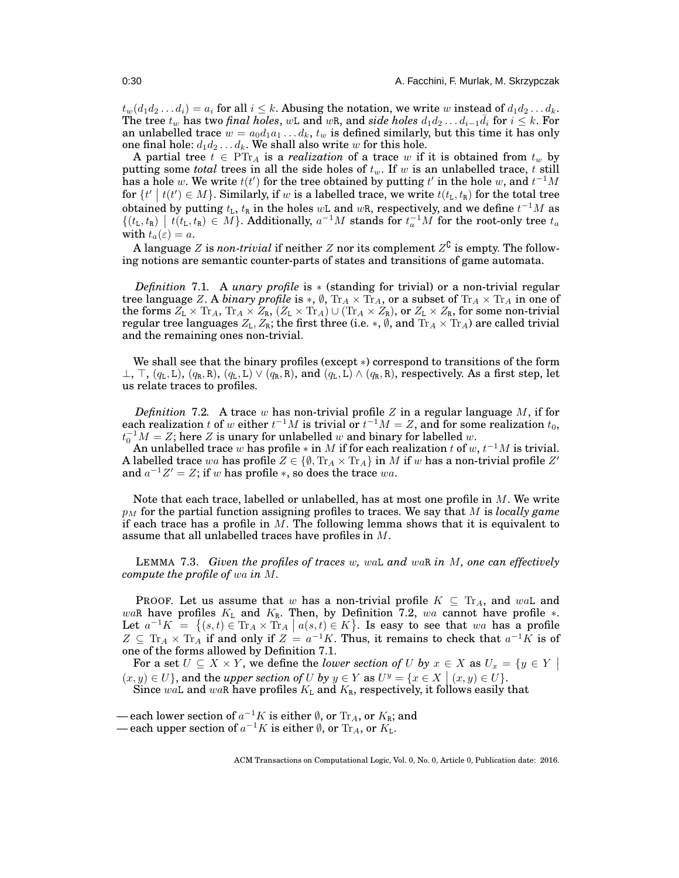$t_w(d_1d_2 \ldots d_i) = a_i$  for all  $i \leq k$ . Abusing the notation, we write w instead of  $d_1d_2 \ldots d_k$ . The tree  $t_w$  has two *final holes*, wL and wR, and *side holes*  $d_1 d_2 \ldots d_{i-1} \bar{d}_i$  for  $i \leq k$ . For an unlabelled trace  $w = a_0d_1a_1 \ldots d_k$ ,  $t_w$  is defined similarly, but this time it has only one final hole:  $d_1d_2 \ldots d_k$ . We shall also write w for this hole.

A partial tree  $t \in \mathrm{PTr}_A$  is a *realization* of a trace w if it is obtained from  $t_w$  by putting some *total* trees in all the side holes of  $t_w$ . If w is an unlabelled trace, t still has a hole w. We write  $t(t')$  for the tree obtained by putting  $t'$  in the hole  $w$ , and  $t^{-1}M$ for  $\{t' \mid t(t') \in M\}$ . Similarly, if w is a labelled trace, we write  $t(t_L, t_R)$  for the total tree obtained by putting  $t_{\text{L}},$   $t_{\text{R}}$  in the holes  $w\text{L}$  and  $w\text{R}$ , respectively, and we define  $t^{-1}M$  as  $\{(t_L, t_R) \mid t(t_L, t_R) \in M\}$ . Additionally,  $a^{-1}M$  stands for  $t_a^{-1}M$  for the root-only tree  $t_a$ with  $t_a(\varepsilon) = a$ .

<span id="page-29-1"></span>A language  $Z$  is  $\emph{non-trivial}$  if neither  $Z$  nor its complement  $Z^{\complement}$  is empty. The following notions are semantic counter-parts of states and transitions of game automata.

*Definition* 7.1*.* A *unary profile* is ∗ (standing for trivial) or a non-trivial regular tree language Z. A *binary profile* is  $*, \emptyset$ ,  $Tr_A \times Tr_A$ , or a subset of  $Tr_A \times Tr_A$  in one of the forms  $Z_L \times \text{Tr}_A$ ,  $\text{Tr}_A \times Z_R$ ,  $(Z_L \times \text{Tr}_A) \cup (\text{Tr}_A \times Z_R)$ , or  $Z_L \times Z_R$ , for some non-trivial regular tree languages  $Z_L, Z_R$ ; the first three (i.e.  $*, \emptyset$ , and  $\text{Tr}_A \times \text{Tr}_A$ ) are called trivial and the remaining ones non-trivial.

We shall see that the binary profiles (except ∗) correspond to transitions of the form  $\perp$ ,  $\top$ ,  $(q_L, L)$ ,  $(q_R, R)$ ,  $(q_L, L) \vee (q_R, R)$ , and  $(q_L, L) \wedge (q_R, R)$ , respectively. As a first step, let us relate traces to profiles.

<span id="page-29-0"></span>*Definition* 7.2. A trace w has non-trivial profile  $Z$  in a regular language  $M$ , if for each realization  $t$  of  $w$  either  $t^{-1}M$  is trivial or  $t^{-1}M=Z,$  and for some realization  $t_0,$  $t_0^{-1}M = Z$ ; here Z is unary for unlabelled w and binary for labelled w.

An unlabelled trace w has profile  $*$  in M if for each realization t of  $w, t^{-1}M$  is trivial. A labelled trace wa has profile  $Z \in \{ \emptyset, \text{Tr}_A \times \text{Tr}_A \}$  in  $M$  if  $w$  has a non-trivial profile  $Z'$ and  $a^{-1}Z' = Z$ ; if w has profile \*, so does the trace wa.

Note that each trace, labelled or unlabelled, has at most one profile in  $M$ . We write  $p_M$  for the partial function assigning profiles to traces. We say that M is *locally game* if each trace has a profile in  $M$ . The following lemma shows that it is equivalent to assume that all unlabelled traces have profiles in M.

<span id="page-29-2"></span>LEMMA 7.3. *Given the profiles of traces* w*,* waL *and* waR *in* M*, one can effectively compute the profile of* wa *in* M*.*

**PROOF.** Let us assume that w has a non-trivial profile  $K \subseteq \text{Tr}_A$ , and wall and waR have profiles  $K_L$  and  $K_R$ . Then, by Definition [7.2,](#page-29-0) wa cannot have profile  $*$ . Let  $a^{-1}K = \{(s,t) \in \text{Tr}_A \times \text{Tr}_A \mid a(s,t) \in K\}$ . Is easy to see that wa has a profile  $Z \subseteq \text{Tr}_A \times \text{Tr}_A$  if and only if  $Z = a^{-1}K$ . Thus, it remains to check that  $a^{-1}K$  is of one of the forms allowed by Definition [7.1.](#page-29-1)

For a set  $U \subseteq X \times Y$ , we define the *lower section of* U by  $x \in X$  as  $U_x = \{y \in Y \mid Y\}$  $(x, y) \in U$ , and the *upper section of* U by  $y \in Y$  as  $U^y = \{x \in X \mid (x, y) \in U\}$ . Since waL and waR have profiles  $K_L$  and  $K_R$ , respectively, it follows easily that

<sup>—</sup> each lower section of  $a^{-1}K$  is either  $\emptyset$ , or  $\text{Tr}_A$ , or  $K_{\text{R}}$ ; and

<sup>—</sup> each upper section of  $a^{-1}K$  is either  $\emptyset$ , or  $\mathrm{Tr}_A$ , or  $K_{\mathrm{L}}$ .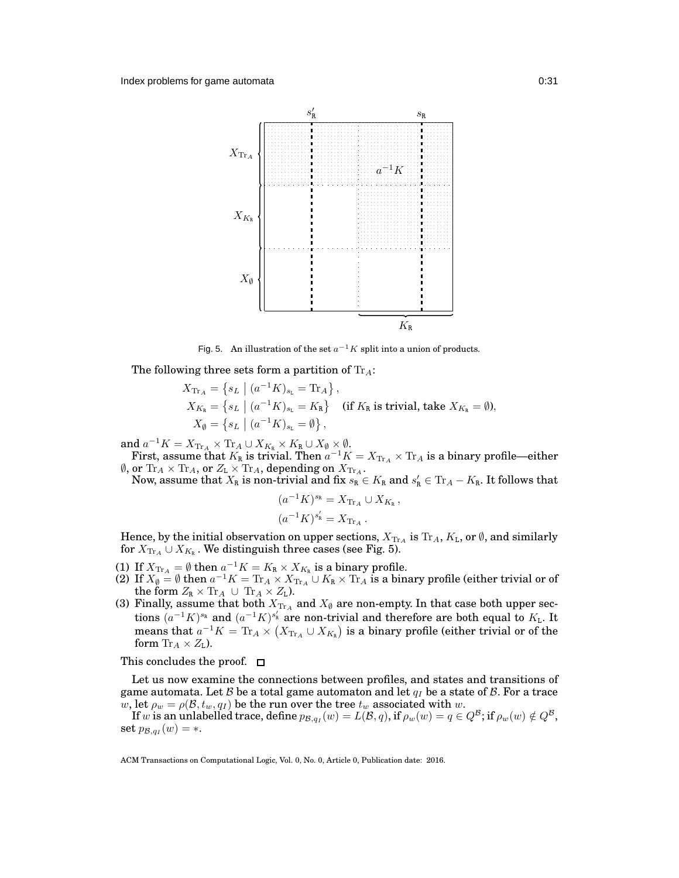

<span id="page-30-0"></span>Fig. 5. An illustration of the set  $a^{-1}K$  split into a union of products.

The following three sets form a partition of  $Tr_A$ :

$$
X_{\text{Tr}_A} = \left\{ s_L \mid (a^{-1}K)_{s_L} = \text{Tr}_A \right\},
$$
  
\n
$$
X_{K_{\text{R}}} = \left\{ s_L \mid (a^{-1}K)_{s_L} = K_{\text{R}} \right\} \text{ (if } K_{\text{R}} \text{ is trivial, take } X_{K_{\text{R}}} = \emptyset),
$$
  
\n
$$
X_{\emptyset} = \left\{ s_L \mid (a^{-1}K)_{s_L} = \emptyset \right\},
$$

and  $a^{-1}K = X_{\text{Tr}_A} \times \text{Tr}_A \cup X_{K_{\mathbb{R}}} \times K_{\mathbb{R}} \cup X_{\emptyset} \times \emptyset$ .

First, assume that  $K_R$  is trivial. Then  $a^{-1}K = X_{\text{Tr}_A} \times \text{Tr}_A$  is a binary profile—either  $\emptyset$ , or  $\text{Tr}_A \times \text{Tr}_A$ , or  $Z_L \times \text{Tr}_A$ , depending on  $X_{\text{Tr}_A}$ .

Now, assume that  $X_R$  is non-trivial and fix  $s_R \in K_R$  and  $s_R' \in \text{Tr}_A - K_R$ . It follows that

$$
(a^{-1}K)^{s_{\rm R}} = X_{\text{Tr}_A} \cup X_{K_{\rm R}},
$$

$$
(a^{-1}K)^{s'_{\rm R}} = X_{\text{Tr}_A}.
$$

Hence, by the initial observation on upper sections,  $X_{\text{Tr}_A}$  is  $\text{Tr}_A$ ,  $K_L$ , or  $\emptyset$ , and similarly for  $X_{\text{Tr}_A} \cup X_{K_\mathtt{R}}$  . We distinguish three cases (see Fig. [5\)](#page-30-0).

- (1) If  $X_{\text{Tr}_A} = \emptyset$  then  $a^{-1}K = K_R \times X_{K_R}$  is a binary profile.
- (2) If  $X_{\emptyset} = \emptyset$  then  $a^{-1}K = \text{Tr}_A \times X_{\text{Tr}_A}$   $\cup$   $K_R \times \text{Tr}_A$  is a binary profile (either trivial or of the form  $Z_R \times \text{Tr}_A \cup \text{Tr}_A \times Z_L$ ).
- (3) Finally, assume that both  $X_{\text{Tr}\,A}$  and  $X_{\emptyset}$  are non-empty. In that case both upper sections  $(a^{-1}K)^{s_R}$  and  $(a^{-1}K)^{s'_R}$  are non-trivial and therefore are both equal to  $K_L$ . It means that  $a^{-1}K = \text{Tr}_A \times (X_{\text{Tr}_A} \cup X_{K_R})$  is a binary profile (either trivial or of the form  $\text{Tr}_A \times Z_L$ ).

This concludes the proof.  $\Box$ 

Let us now examine the connections between profiles, and states and transitions of game automata. Let B be a total game automaton and let  $q_I$  be a state of B. For a trace w, let  $\rho_w = \rho(\mathcal{B}, t_w, q_I)$  be the run over the tree  $t_w$  associated with w.

If  $w$  is an unlabelled trace, define  $p_{{\cal B},q_I}(w)=L({\cal B},q),$  if  $\rho_w(w)=q\in Q^{\cal B};$  if  $\rho_w(w)\notin Q^{\cal B},$  $\text{set } p_{\mathcal{B},q_I}(w) = *$ .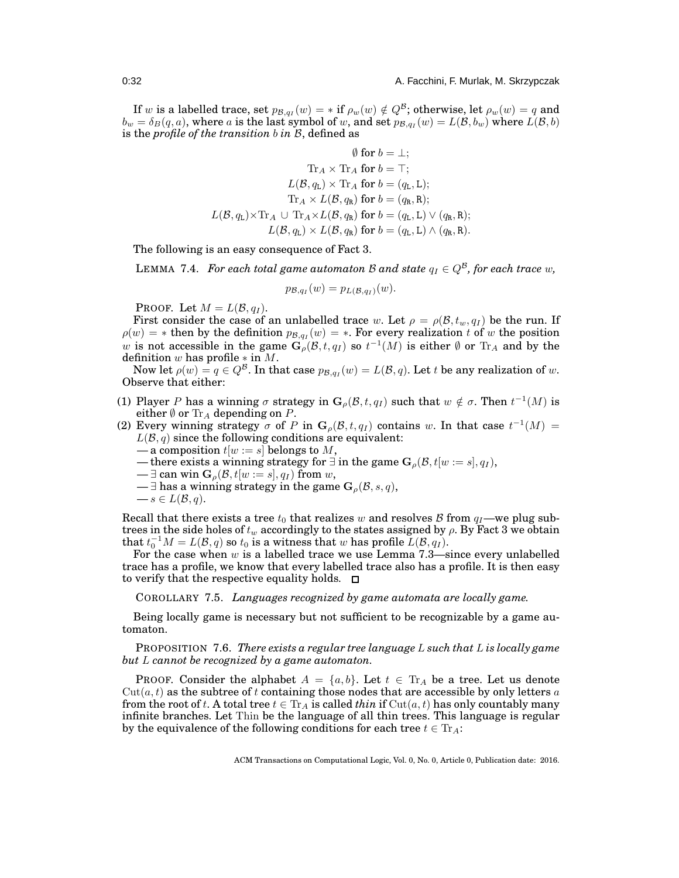If  $w$  is a labelled trace, set  $p_{\mathcal{B},q_I}(w) = *$  if  $\rho_w(w) \notin Q^{\mathcal{B}}$ ; otherwise, let  $\rho_w(w) = q$  and  $b_w = \delta_B(q,a),$  where  $a$  is the last symbol of  $w,$  and set  $p_{\mathcal{B},q_I}(w) = L(\mathcal{B},b_w)$  where  $L(\mathcal{B},b)$ is the *profile of the transition* b *in* B, defined as

$$
\emptyset \text{ for } b = \bot; \\ \mathrm{Tr}_A \times \mathrm{Tr}_A \text{ for } b = \top; \\ L(\mathcal{B}, q_\mathrm{L}) \times \mathrm{Tr}_A \text{ for } b = (q_\mathrm{L}, \mathrm{L}); \\ \mathrm{Tr}_A \times L(\mathcal{B}, q_\mathrm{R}) \text{ for } b = (q_\mathrm{R}, \mathrm{R}); \\ L(\mathcal{B}, q_\mathrm{L}) \times \mathrm{Tr}_A \cup \mathrm{Tr}_A \times L(\mathcal{B}, q_\mathrm{R}) \text{ for } b = (q_\mathrm{L}, \mathrm{L}) \vee (q_\mathrm{R}, \mathrm{R}); \\ L(\mathcal{B}, q_\mathrm{L}) \times L(\mathcal{B}, q_\mathrm{R}) \text{ for } b = (q_\mathrm{L}, \mathrm{L}) \wedge (q_\mathrm{R}, \mathrm{R}).
$$

<span id="page-31-0"></span>The following is an easy consequence of Fact [3.](#page-7-0)

LEMMA 7.4. *For each total game automaton* B and state  $q_I \in Q^{\mathcal{B}}$ , for each trace w,

$$
p_{\mathcal{B},q_I}(w) = p_{L(\mathcal{B},q_I)}(w).
$$

PROOF. Let  $M = L(\mathcal{B}, q_I)$ .

First consider the case of an unlabelled trace w. Let  $\rho = \rho(\mathcal{B}, t_w, q_I)$  be the run. If  $\rho(w) = *$  then by the definition  $p_{\mathcal{B},qI}(w) = *$ . For every realization t of w the position w is not accessible in the game  $G_{\rho}(\mathcal{B}, t, q_1)$  so  $t^{-1}(M)$  is either  $\emptyset$  or  $\text{Tr}_A$  and by the definition w has profile  $*$  in  $M$ .

Now let  $\rho(w) = q \in Q^{\mathcal{B}}$ . In that case  $p_{\mathcal{B},q_I}(w) = L(\mathcal{B},q)$ . Let  $t$  be any realization of  $w$ . Observe that either:

- (1) Player P has a winning  $\sigma$  strategy in  $\mathbf{G}_{\rho}(\mathcal{B}, t, q_I)$  such that  $w \notin \sigma$ . Then  $t^{-1}(M)$  is either  $\emptyset$  or  $\text{Tr}_A$  depending on P.
- (2) Every winning strategy  $\sigma$  of P in  $\mathbf{G}_{\rho}(\mathcal{B}, t, q_I)$  contains w. In that case  $t^{-1}(M)$  =  $L(\mathcal{B}, q)$  since the following conditions are equivalent:
	- a composition  $t[w := s]$  belongs to M,
	- there exists a winning strategy for  $\exists$  in the game  $\mathbf{G}_{\rho}(\mathcal{B}, t|w := s|, q_I)$ ,
	- $\exists$  can win  $\mathbf{G}_{\rho}(\mathcal{B}, t[w := s], q_I)$  from w,
	- $\exists$  has a winning strategy in the game  $\mathbf{G}_{\rho}(\mathcal{B}, s, q)$ ,
	- $-s \in L(\mathcal{B}, q).$

Recall that there exists a tree  $t_0$  that realizes w and resolves B from  $q_1$ —we plug subtrees in the side holes of  $t_w$  accordingly to the states assigned by  $\rho$ . By Fact [3](#page-7-0) we obtain that  $t_0^{-1}M = L(\mathcal{B}, q)$  so  $t_0$  is a witness that w has profile  $L(\mathcal{B}, q_I)$ .

For the case when  $w$  is a labelled trace we use Lemma [7.3—](#page-29-2)since every unlabelled trace has a profile, we know that every labelled trace also has a profile. It is then easy to verify that the respective equality holds.  $\Box$ 

<span id="page-31-1"></span>COROLLARY 7.5. *Languages recognized by game automata are locally game.*

Being locally game is necessary but not sufficient to be recognizable by a game automaton.

PROPOSITION 7.6. *There exists a regular tree language* L *such that* L *is locally game but* L *cannot be recognized by a game automaton.*

**PROOF.** Consider the alphabet  $A = \{a, b\}$ . Let  $t \in \text{Tr}_A$  be a tree. Let us denote  $Cut(a, t)$  as the subtree of t containing those nodes that are accessible by only letters a from the root of t. A total tree  $t \in Tr_A$  is called *thin* if  $Cut(a, t)$  has only countably many infinite branches. Let Thin be the language of all thin trees. This language is regular by the equivalence of the following conditions for each tree  $t \in Tr_A$ :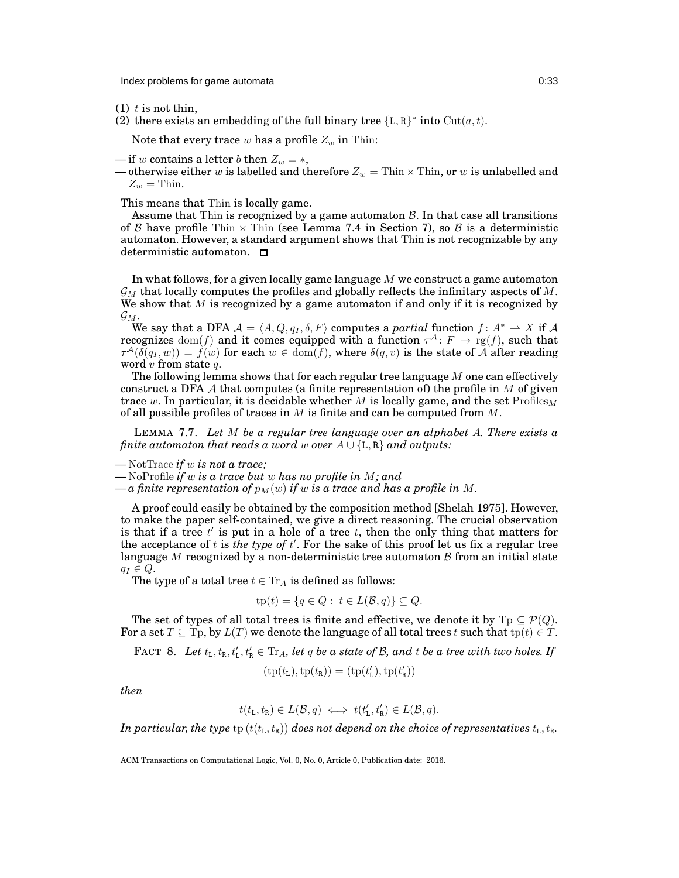Index problems for game automata 0:33

- (1)  $t$  is not thin,
- (2) there exists an embedding of the full binary tree  ${L, R}^*$  into  $Cut(a, t)$ .

Note that every trace w has a profile  $Z_w$  in Thin:

— if w contains a letter b then  $Z_w = *,$ 

— otherwise either w is labelled and therefore  $Z_w =$  Thin  $\times$  Thin, or w is unlabelled and  $Z_w =$ Thin.

This means that Thin is locally game.

Assume that Thin is recognized by a game automaton  $\beta$ . In that case all transitions of B have profile Thin  $\times$  Thin (see Lemma [7.4](#page-31-0) in Section [7\)](#page-28-0), so B is a deterministic automaton. However, a standard argument shows that Thin is not recognizable by any deterministic automaton. □

In what follows, for a given locally game language  $M$  we construct a game automaton  $\mathcal{G}_M$  that locally computes the profiles and globally reflects the infinitary aspects of M. We show that  $M$  is recognized by a game automaton if and only if it is recognized by  $\mathcal{G}_M$ .

We say that a DFA  $A = \langle A, Q, q_I, \delta, F \rangle$  computes a *partial* function  $f : A^* \to X$  if A recognizes  $\text{dom}(f)$  and it comes equipped with a function  $\tau^{\mathcal{A}} \colon F \to \text{rg}(f)$ , such that  $\tau^\mathcal{A}(\bar{\delta(q_I,w)})=\bar{f}(w)$  for each  $w\in\mathrm{dom}(\bar{f}),$  where  $\delta(q,v)$  is the state of  $\bar{\mathcal{A}}$  after reading word  $v$  from state  $q$ .

The following lemma shows that for each regular tree language  $M$  one can effectively construct a DFA A that computes (a finite representation of) the profile in  $M$  of given trace w. In particular, it is decidable whether M is locally game, and the set  $Profiles<sub>M</sub>$ of all possible profiles of traces in  $M$  is finite and can be computed from  $M$ .

LEMMA 7.7. *Let* M *be a regular tree language over an alphabet* A*. There exists a finite automaton that reads a word* w *over*  $A \cup \{L, R\}$  *and outputs:* 

*—* NotTrace *if* w *is not a trace;*

*—* NoProfile *if* w *is a trace but* w *has no profile in* M*; and*

 $-a$  finite representation of  $p_M(w)$  if w is a trace and has a profile in M.

A proof could easily be obtained by the composition method [\[Shelah 1975\]](#page-37-29). However, to make the paper self-contained, we give a direct reasoning. The crucial observation is that if a tree  $t'$  is put in a hole of a tree  $t$ , then the only thing that matters for the acceptance of  $t$  is *the type of*  $t'$ . For the sake of this proof let us fix a regular tree language M recognized by a non-deterministic tree automaton  $\beta$  from an initial state  $q_I \in Q$ .

The type of a total tree  $t \in \text{Tr}_A$  is defined as follows:

$$
tp(t) = \{q \in Q : t \in L(\mathcal{B}, q)\} \subseteq Q.
$$

The set of types of all total trees is finite and effective, we denote it by  $T_p \subseteq \mathcal{P}(Q)$ . For a set  $T \subseteq \text{Tp}$ , by  $L(T)$  we denote the language of all total trees t such that  $tp(t) \in T$ .

FACT 8. Let  $t_L$ ,  $t_R$ ,  $t'_L$ ,  $t'_R \in \text{Tr}_A$ , let q be a state of B, and t be a tree with two holes. If

$$
(\mathrm{tp}(t_\mathrm{L}),\mathrm{tp}(t_\mathrm{R}))=(\mathrm{tp}(t_\mathrm{L}'),\mathrm{tp}(t_\mathrm{R}'))
$$

*then*

$$
t(t_{\mathcal{L}}, t_{\mathcal{R}}) \in L(\mathcal{B}, q) \iff t(t'_{\mathcal{L}}, t'_{\mathcal{R}}) \in L(\mathcal{B}, q).
$$

*In particular, the type*  $\text{tp}(t(t_L, t_R))$  *does not depend on the choice of representatives*  $t_L, t_R$ *.*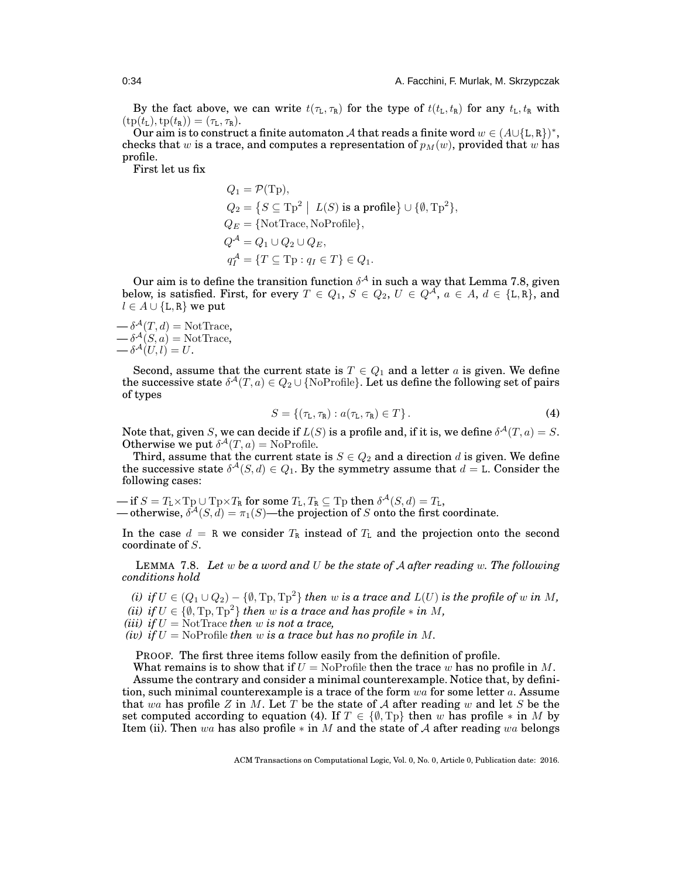By the fact above, we can write  $t(\tau_L, \tau_R)$  for the type of  $t(t_L, t_R)$  for any  $t_L, t_R$  with  $(\text{tp}(t_L), \text{tp}(t_R)) = (\tau_L, \tau_R).$ 

Our aim is to construct a finite automaton A that reads a finite word  $w \in (A \cup \{L, R\})^*$ , checks that w is a trace, and computes a representation of  $p_M(w)$ , provided that w has profile.

First let us fix

$$
Q_1 = \mathcal{P}(\text{Tp}),
$$
  
\n
$$
Q_2 = \{ S \subseteq \text{Tp}^2 \mid L(S) \text{ is a profile} \} \cup \{ \emptyset, \text{Tp}^2 \},
$$
  
\n
$$
Q_E = \{ \text{NotTrace}, \text{NoProfile} \},
$$
  
\n
$$
Q^{\mathcal{A}} = Q_1 \cup Q_2 \cup Q_E,
$$
  
\n
$$
q_I^{\mathcal{A}} = \{ T \subseteq \text{Tp} : q_I \in T \} \in Q_1.
$$

Our aim is to define the transition function  $\delta^{\mathcal{A}}$  in such a way that Lemma [7.8,](#page-33-0) given below, is satisfied. First, for every  $T \in Q_1$ ,  $S \in Q_2$ ,  $U \in Q^{\mathcal{A}}$ ,  $a \in A$ ,  $d \in \{L, R\}$ , and  $l \in A \cup \{L, R\}$  we put

 $-\delta^{\mathcal{A}}(T,d) = \text{NotTrace},$  $-\delta^{\mathcal{A}}(S,a) = \text{NotTrace},$  $-\delta^{\mathcal{A}}(U,l)=U.$ 

Second, assume that the current state is  $T \in Q_1$  and a letter a is given. We define the successive state  $\delta^\mathcal{A}(T,a)\in Q_2\cup\{\text{NoProfile}\}.$  Let us define the following set of pairs of types

<span id="page-33-1"></span>
$$
S = \{ (\tau_{\mathsf{L}}, \tau_{\mathsf{R}}) : a(\tau_{\mathsf{L}}, \tau_{\mathsf{R}}) \in T \}.
$$
\n
$$
\tag{4}
$$

Note that, given S, we can decide if  $L(S)$  is a profile and, if it is, we define  $\delta^{\mathcal{A}}(T,a)=S.$ Otherwise we put  $\delta^{\mathcal{A}}(T,a) = \text{NoProfile}.$ 

Third, assume that the current state is  $S \in Q_2$  and a direction d is given. We define the successive state  $\delta^{\mathcal{A}}(S, d) \in Q_1$ . By the symmetry assume that  $d = L$ . Consider the following cases:

 $\hbox{---} \text{ if } S = T_{\text{L}} {\times} \text{Tp} \cup \text{Tp} {\times} T_{\text{R}} \text{ for some } T_{\text{L}}, T_{\text{R}} \subseteq \text{Tp then } \delta^{\mathcal{A}}(S, d) = T_{\text{L}},$ — otherwise,  $\delta^{\mathcal{A}}(S, d) = \pi_1(S)$ —the projection of S onto the first coordinate.

<span id="page-33-0"></span>In the case  $d = R$  we consider  $T_R$  instead of  $T_L$  and the projection onto the second coordinate of S.

LEMMA 7.8. *Let* w *be a word and* U *be the state of* A *after reading* w*. The following conditions hold*

<span id="page-33-3"></span><span id="page-33-2"></span>(*i*) if  $U \in (Q_1 \cup Q_2) - \{\emptyset, \text{Tp}^2\}$  then  $w$  is a trace and  $L(U)$  is the profile of  $w$  in  $M$ , *(ii) if*  $U \in \{0, T_p, T_p^2\}$  *then*  $w$  *is a trace and has profile*  $*$  *in*  $M$ *,* 

*(iii)* if  $U = \text{NotTrace}$  *then*  $w$  *is not a trace,* 

*(iv) if*  $U = \text{NoProfile}$  *then*  $w$  *is a trace but has no profile in*  $M$ *.* 

PROOF. The first three items follow easily from the definition of profile.

What remains is to show that if  $U = NoP$  rofile then the trace w has no profile in M. Assume the contrary and consider a minimal counterexample. Notice that, by definition, such minimal counterexample is a trace of the form  $wa$  for some letter  $a$ . Assume that wa has profile Z in M. Let T be the state of A after reading w and let S be the set computed according to equation [\(4\)](#page-33-1). If  $T \in \{\emptyset, T_p\}$  then w has profile  $*$  in M by Item [\(ii\)](#page-33-2). Then wa has also profile  $*$  in M and the state of A after reading wa belongs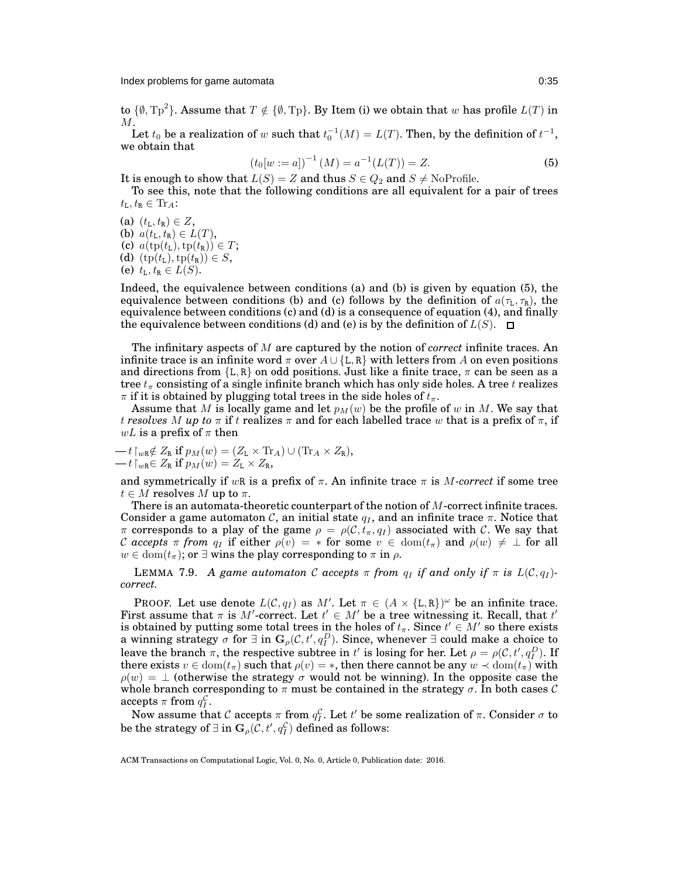Index problems for game automata **0:35** and 0:35

to  $\{\emptyset, \text{Tp}^2\}$ . Assume that  $T \notin \{\emptyset, \text{Tp}\}$ . By Item [\(i\)](#page-33-3) we obtain that w has profile  $L(T)$  in  $M$ .

Let  $t_0$  be a realization of w such that  $t_0^{-1}(M) = L(T)$ . Then, by the definition of  $t^{-1}$ , we obtain that

<span id="page-34-0"></span>
$$
(t_0[w := a])^{-1}(M) = a^{-1}(L(T)) = Z.
$$
 (5)

It is enough to show that  $L(S) = Z$  and thus  $S \in Q_2$  and  $S \neq$  NoProfile.

To see this, note that the following conditions are all equivalent for a pair of trees  $t_{\text{L}}, t_{\text{R}} \in \text{Tr}_A$ :

(a)  $(t_L, t_R) \in Z$ , (b)  $a(t_L, t_R) \in L(T)$ , (c)  $a(\text{tp}(t_L), \text{tp}(t_R)) \in T$ ; (d)  $(tp(t_L),tp(t_R)) \in S$ , (e)  $t_L, t_R \in L(S)$ .

Indeed, the equivalence between conditions (a) and (b) is given by equation [\(5\)](#page-34-0), the equivalence between conditions (b) and (c) follows by the definition of  $a(\tau_L, \tau_R)$ , the equivalence between conditions (c) and (d) is a consequence of equation [\(4\)](#page-33-1), and finally the equivalence between conditions (d) and (e) is by the definition of  $L(S)$ .  $\Box$ 

The infinitary aspects of M are captured by the notion of *correct* infinite traces. An infinite trace is an infinite word  $\pi$  over  $A \cup \{L, R\}$  with letters from A on even positions and directions from  ${L, R}$  on odd positions. Just like a finite trace,  $\pi$  can be seen as a tree  $t_{\pi}$  consisting of a single infinite branch which has only side holes. A tree t realizes  $\pi$  if it is obtained by plugging total trees in the side holes of  $t_{\pi}$ .

Assume that M is locally game and let  $p_M(w)$  be the profile of w in M. We say that *t* resolves M *up to*  $\pi$  if t realizes  $\pi$  and for each labelled trace w that is a prefix of  $\pi$ , if wL is a prefix of  $\pi$  then

$$
-t\upharpoonright_{w\mathbf{R}}\notin Z_{\mathbf{R}}\text{ if }p_M(w)=(Z_{\mathbf{L}}\times\text{Tr}_A)\cup(\text{Tr}_A\times Z_{\mathbf{R}}),\n-t\upharpoonright_{w\mathbf{R}}\in Z_{\mathbf{R}}\text{ if }p_M(w)=Z_{\mathbf{L}}\times Z_{\mathbf{R}},
$$

and symmetrically if wR is a prefix of  $\pi$ . An infinite trace  $\pi$  is M-correct if some tree  $t \in M$  resolves M up to  $\pi$ .

There is an automata-theoretic counterpart of the notion of M-correct infinite traces. Consider a game automaton C, an initial state  $q_I$ , and an infinite trace  $\pi$ . Notice that  $\pi$  corresponds to a play of the game  $\rho = \rho(C, t_{\pi}, q_I)$  associated with C. We say that C accepts  $\pi$  from  $q_I$  if either  $\rho(v) = *$  for some  $v \in \text{dom}(t_\pi)$  and  $\rho(w) \neq \perp$  for all  $w \in \text{dom}(t_{\pi});$  or  $\exists$  wins the play corresponding to  $\pi$  in  $\rho$ .

<span id="page-34-1"></span>**LEMMA** 7.9. *A game automaton* C *accepts*  $\pi$  *from*  $q_I$  *if and only if*  $\pi$  *is*  $L(C, q_I)$ *correct.*

PROOF. Let use denote  $L(C, q_I)$  as M'. Let  $\pi \in (A \times \{L, R\})^{\omega}$  be an infinite trace. First assume that  $\pi$  is M'-correct. Let  $t' \in M'$  be a tree witnessing it. Recall, that  $t'$ is obtained by putting some total trees in the holes of  $t_\pi.$  Since  $t'\in M'$  so there exists a winning strategy  $\sigma$  for  $\exists$  in  $\mathbf{G}_{\rho}(\mathcal{C},t',q_I^D)$ . Since, whenever  $\exists$  could make a choice to leave the branch  $\pi$ , the respective subtree in t' is losing for her. Let  $\rho = \rho(C, t', q_D^D)$ . If there exists  $v \in \text{dom}(t_{\pi})$  such that  $\rho(v) = *$ , then there cannot be any  $w \prec \text{dom}(t_{\pi})$  with  $\rho(w) = \perp$  (otherwise the strategy  $\sigma$  would not be winning). In the opposite case the whole branch corresponding to  $\pi$  must be contained in the strategy  $\sigma$ . In both cases  $\mathcal C$  $accepts \pi$  from  $q_I^{\mathcal{C}}$ .

Now assume that  $\mathcal C$  accepts  $\pi$  from  $q_I^{\mathcal C}.$  Let  $t'$  be some realization of  $\pi.$  Consider  $\sigma$  to be the strategy of  $\exists$  in  $\mathbf{G}_{\rho}(\mathcal{C},t',q^{\mathcal{C}}_I)$  defined as follows: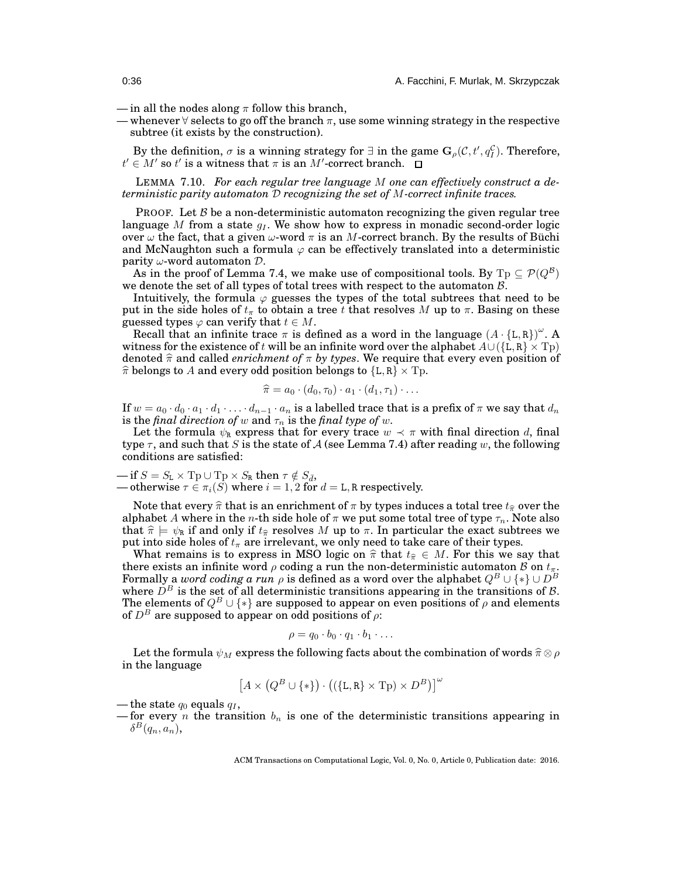- in all the nodes along  $\pi$  follow this branch,
- whenever  $\forall$  selects to go off the branch  $\pi$ , use some winning strategy in the respective subtree (it exists by the construction).

By the definition,  $\sigma$  is a winning strategy for  $\exists$  in the game  $\mathbf{G}_{\rho}(\mathcal{C}, t', q_I^{\mathcal{C}})$ . Therefore,  $t' \in M'$  so  $t'$  is a witness that  $\pi$  is an  $M'$ -correct branch.

LEMMA 7.10. *For each regular tree language* M *one can effectively construct a deterministic parity automaton* D *recognizing the set of* M*-correct infinite traces.*

PROOF. Let  $\beta$  be a non-deterministic automaton recognizing the given regular tree language M from a state  $q_i$ . We show how to express in monadic second-order logic over  $\omega$  the fact, that a given  $\omega$ -word  $\pi$  is an M-correct branch. By the results of Büchi and McNaughton such a formula  $\varphi$  can be effectively translated into a deterministic parity  $\omega$ -word automaton  $\mathcal{D}$ .

As in the proof of Lemma [7.4,](#page-31-0) we make use of compositional tools. By  $\mathrm{Tp} \subseteq \mathcal{P}(Q^{\mathcal{B}})$ we denote the set of all types of total trees with respect to the automaton B.

Intuitively, the formula  $\varphi$  guesses the types of the total subtrees that need to be put in the side holes of  $t_{\pi}$  to obtain a tree t that resolves M up to  $\pi$ . Basing on these guessed types  $\varphi$  can verify that  $t \in M$ .

Recall that an infinite trace  $\pi$  is defined as a word in the language  $(A \cdot \{L, R\})^{\omega}$ . A witness for the existence of t will be an infinite word over the alphabet  $A\cup (\{L, R\} \times T_p)$ denoted  $\hat{\pi}$  and called *enrichment of*  $\pi$  *by types*. We require that every even position of  $\hat{\pi}$  belongs to A and every odd position belongs to  ${L, R} \times T_p$ .

$$
\widehat{\pi} = a_0 \cdot (d_0, \tau_0) \cdot a_1 \cdot (d_1, \tau_1) \cdot \ldots
$$

If  $w = a_0 \cdot d_0 \cdot a_1 \cdot d_1 \cdot \ldots \cdot d_{n-1} \cdot a_n$  is a labelled trace that is a prefix of  $\pi$  we say that  $d_n$ is the *final direction of* w and  $\tau_n$  is the *final type of* w.

Let the formula  $\psi_R$  express that for every trace  $w \prec \pi$  with final direction d, final type  $\tau$ , and such that S is the state of A (see Lemma [7.4\)](#page-31-0) after reading w, the following conditions are satisfied:

$$
-\text{ if } S = S_{\text{L}} \times \text{Tp} \cup \text{Tp} \times S_{\text{R}} \text{ then } \tau \notin S_{\bar{d}},
$$
  
 
$$
-\text{ otherwise } \tau \in \pi_i(S) \text{ where } i = 1, 2 \text{ for } d = \text{L}, \text{R respectively.}
$$

Note that every  $\hat{\pi}$  that is an enrichment of  $\pi$  by types induces a total tree  $t_{\hat{\pi}}$  over the alphabet A where in the n-th side hole of  $\pi$  we put some total tree of type  $\tau_n$ . Note also that  $\hat{\pi} \models \psi_R$  if and only if  $t_{\hat{\pi}}$  resolves M up to  $\pi$ . In particular the exact subtrees we put into side holes of  $t_{\pi}$  are irrelevant, we only need to take care of their types.

What remains is to express in MSO logic on  $\hat{\pi}$  that  $t_{\hat{\pi}} \in M$ . For this we say that there exists an infinite word  $\rho$  coding a run the non-deterministic automaton  ${\cal B}$  on  $t_\pi$ . Formally a  $word$   $coding$   $a$   $run$   $\rho$  is defined as a word over the alphabet  $Q^B \cup \{*\} \cup D^B$ where  $D^B$  is the set of all deterministic transitions appearing in the transitions of B. The elements of  $Q^B \cup \{*\}$  are supposed to appear on even positions of  $\rho$  and elements of  $D^B$  are supposed to appear on odd positions of  $\rho$ :

$$
\rho = q_0 \cdot b_0 \cdot q_1 \cdot b_1 \cdot \ldots
$$

Let the formula  $\psi_M$  express the following facts about the combination of words  $\widehat{\pi} \otimes \rho$ in the language

$$
\left[A\times\left(Q^B\cup\{*\}\right)\cdot\left(\left(\{\mathtt{L},\mathtt{R}\}\times\mathrm{T}\mathrm{p}\right)\times D^B\right)\right]^\omega
$$

— the state  $q_0$  equals  $q_1$ ,

— for every n the transition  $b_n$  is one of the deterministic transitions appearing in  $\delta^B(q_n,a_n),$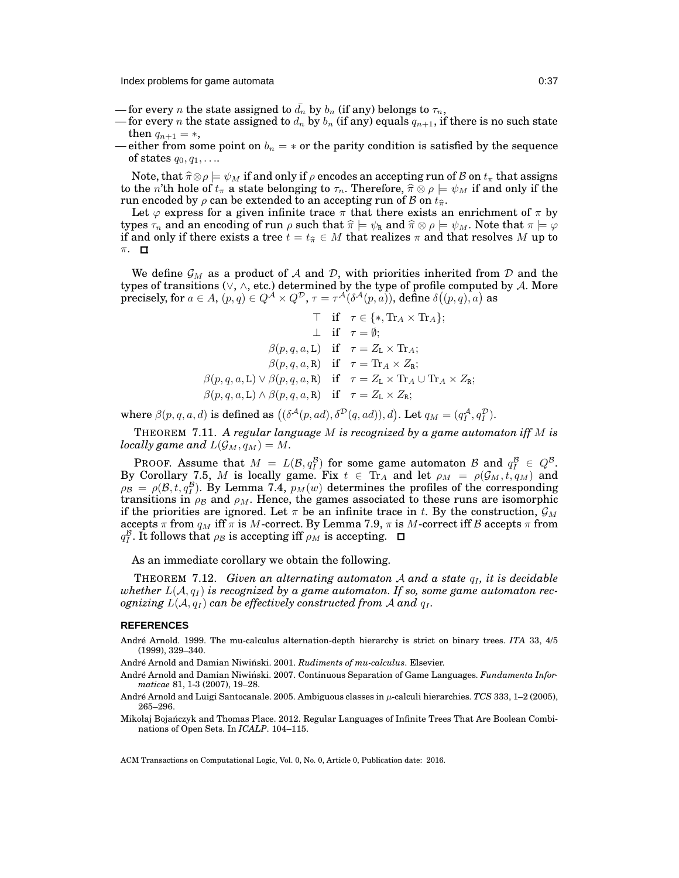Index problems for game automata 0:37

- for every n the state assigned to  $\bar{d}_n$  by  $b_n$  (if any) belongs to  $\tau_n$ ,
- for every n the state assigned to  $d_n$  by  $b_n$  (if any) equals  $q_{n+1}$ , if there is no such state then  $q_{n+1} = *$ ,
- either from some point on  $b_n = *$  or the parity condition is satisfied by the sequence of states  $q_0, q_1, \ldots$

Note, that  $\widehat{\pi}\otimes \rho \models \psi_M$  if and only if  $\rho$  encodes an accepting run of B on  $t_\pi$  that assigns to the n'th hole of  $t_{\pi}$  a state belonging to  $\tau_n$ . Therefore,  $\hat{\pi} \otimes \rho \models \psi_M$  if and only if the run encoded by  $\rho$  can be extended to an accepting run of  $\beta$  on  $t_{\hat{\pi}}$ .

Let  $\varphi$  express for a given infinite trace  $\pi$  that there exists an enrichment of  $\pi$  by types  $\tau_n$  and an encoding of run  $\rho$  such that  $\hat{\pi} \models \psi_R$  and  $\hat{\pi} \otimes \rho \models \psi_M$ . Note that  $\pi \models \varphi$ if and only if there exists a tree  $t = t_{\hat{\pi}} \in M$  that realizes  $\pi$  and that resolves M up to π.

We define  $\mathcal{G}_M$  as a product of A and D, with priorities inherited from D and the types of transitions ( $\vee$ ,  $\wedge$ , etc.) determined by the type of profile computed by A. More precisely, for  $a \in A$ ,  $(p,q) \in Q^A \times Q^D$ ,  $\tau = \tau^A(\delta^A(p,a))$ , define  $\delta((p,q),a)$  as

$$
\top \quad \text{if} \quad \tau \in \{*, \text{Tr}_A \times \text{Tr}_A\};
$$
\n
$$
\perp \quad \text{if} \quad \tau = \emptyset;
$$
\n
$$
\beta(p, q, a, \mathbf{L}) \quad \text{if} \quad \tau = Z_{\mathbf{L}} \times \text{Tr}_A;
$$
\n
$$
\beta(p, q, a, \mathbf{R}) \quad \text{if} \quad \tau = \text{Tr}_A \times Z_{\mathbf{R}};
$$
\n
$$
\beta(p, q, a, \mathbf{L}) \vee \beta(p, q, a, \mathbf{R}) \quad \text{if} \quad \tau = Z_{\mathbf{L}} \times \text{Tr}_A \cup \text{Tr}_A \times Z_{\mathbf{R}};
$$
\n
$$
\beta(p, q, a, \mathbf{L}) \wedge \beta(p, q, a, \mathbf{R}) \quad \text{if} \quad \tau = Z_{\mathbf{L}} \times Z_{\mathbf{R}};
$$

where  $\beta(p,q,a,d)$  is defined as  $((\delta^{\mathcal{A}}(p,ad), \delta^{\mathcal{D}}(q,ad)), d)$ . Let  $q_M = (q_I^{\mathcal{A}}, q_I^{\mathcal{D}})$ .

THEOREM 7.11. *A regular language* M *is recognized by a game automaton iff* M *is locally game and*  $L(G_M, q_M) = M$ .

**PROOF.** Assume that  $M = L(\mathcal{B}, q_I^B)$  for some game automaton  $\mathcal{B}$  and  $q_I^B \in Q^B$ . By Corollary [7.5,](#page-31-1) M is locally game. Fix  $t \in$  Tr<sub>A</sub> and let  $\rho_M = \rho(\mathcal{G}_M, t, q_M)$  and  $\rho_B = \rho(B, t, q_I^B)$ . By Lemma [7.4,](#page-31-0)  $p_M(w)$  determines the profiles of the corresponding transitions in  $\rho_B$  and  $\rho_M$ . Hence, the games associated to these runs are isomorphic if the priorities are ignored. Let  $\pi$  be an infinite trace in t. By the construction,  $\mathcal{G}_M$ accepts  $\pi$  from  $q_M$  iff  $\pi$  is M-correct. By Lemma [7.9,](#page-34-1)  $\pi$  is M-correct iff B accepts  $\pi$  from  $q_I^{\mathcal{B}}$ . It follows that  $\rho_{\mathcal{B}}$  is accepting iff  $\rho_M$  is accepting.

As an immediate corollary we obtain the following.

THEOREM 7.12. *Given an alternating automaton* A and a state  $q_i$ , it is decidable whether  $L(A, q_I)$  is recognized by a game automaton. If so, some game automaton rec*ognizing*  $L(A, q_I)$  *can be effectively constructed from* A *and*  $q_I$ .

#### **REFERENCES**

<span id="page-36-2"></span>André Arnold. 1999. The mu-calculus alternation-depth hierarchy is strict on binary trees. *ITA* 33, 4/5 (1999), 329–340.

<span id="page-36-0"></span>André Arnold and Damian Niwiński. 2001. Rudiments of mu-calculus. Elsevier.

<span id="page-36-4"></span>André Arnold and Damian Niwiński. 2007. Continuous Separation of Game Languages. *Fundamenta Informaticae* 81, 1-3 (2007), 19–28.

<span id="page-36-3"></span>André Arnold and Luigi Santocanale. 2005. Ambiguous classes in µ-calculi hierarchies. *TCS* 333, 1–2 (2005), 265–296.

<span id="page-36-1"></span>Mikołaj Bojańczyk and Thomas Place. 2012. Regular Languages of Infinite Trees That Are Boolean Combinations of Open Sets. In *ICALP*. 104–115.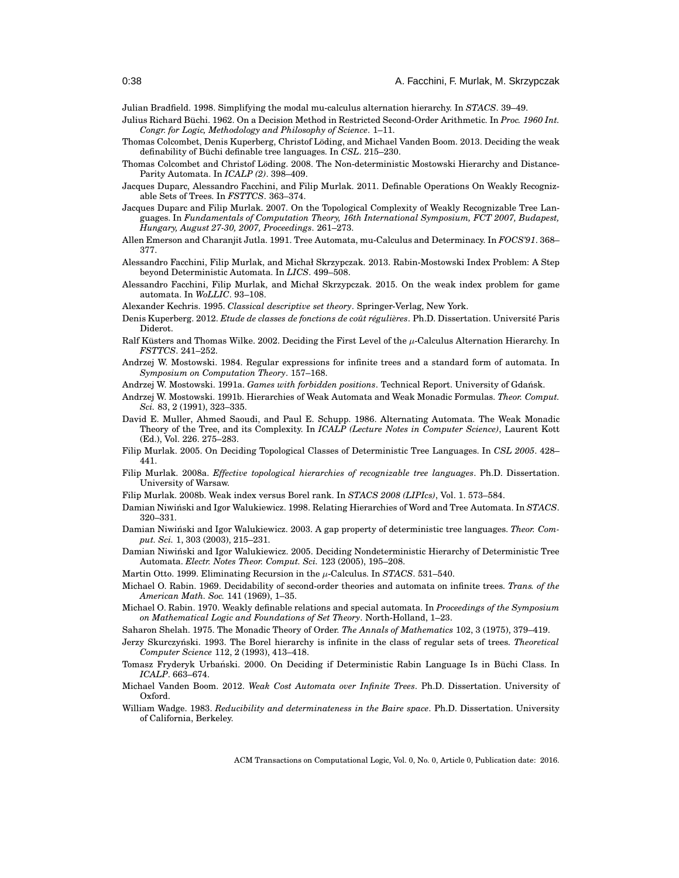<span id="page-37-24"></span>Julian Bradfield. 1998. Simplifying the modal mu-calculus alternation hierarchy. In *STACS*. 39–49.

- <span id="page-37-0"></span>Julius Richard Büchi. 1962. On a Decision Method in Restricted Second-Order Arithmetic. In *Proc. 1960 Int. Congr. for Logic, Methodology and Philosophy of Science*. 1–11.
- <span id="page-37-9"></span>Thomas Colcombet, Denis Kuperberg, Christof Löding, and Michael Vanden Boom. 2013. Deciding the weak definability of Büchi definable tree languages. In *CSL*. 215–230.
- <span id="page-37-10"></span>Thomas Colcombet and Christof Löding. 2008. The Non-deterministic Mostowski Hierarchy and Distance-Parity Automata. In *ICALP (2)*. 398–409.
- <span id="page-37-19"></span>Jacques Duparc, Alessandro Facchini, and Filip Murlak. 2011. Definable Operations On Weakly Recognizable Sets of Trees. In *FSTTCS*. 363–374.
- <span id="page-37-25"></span>Jacques Duparc and Filip Murlak. 2007. On the Topological Complexity of Weakly Recognizable Tree Languages. In *Fundamentals of Computation Theory, 16th International Symposium, FCT 2007, Budapest, Hungary, August 27-30, 2007, Proceedings*. 261–273.
- <span id="page-37-4"></span>Allen Emerson and Charanjit Jutla. 1991. Tree Automata, mu-Calculus and Determinacy. In *FOCS'91*. 368– 377.
- <span id="page-37-17"></span>Alessandro Facchini, Filip Murlak, and Michał Skrzypczak. 2013. Rabin-Mostowski Index Problem: A Step beyond Deterministic Automata. In *LICS*. 499–508.
- <span id="page-37-18"></span>Alessandro Facchini, Filip Murlak, and Michał Skrzypczak. 2015. On the weak index problem for game automata. In *WoLLIC*. 93–108.
- <span id="page-37-22"></span>Alexander Kechris. 1995. *Classical descriptive set theory*. Springer-Verlag, New York.
- <span id="page-37-8"></span>Denis Kuperberg. 2012. *Etude de classes de fonctions de coût régulières*. Ph.D. Dissertation. Université Paris Diderot.
- <span id="page-37-6"></span>Ralf Küsters and Thomas Wilke. 2002. Deciding the First Level of the  $\mu$ -Calculus Alternation Hierarchy. In *FSTTCS*. 241–252.
- <span id="page-37-3"></span>Andrzej W. Mostowski. 1984. Regular expressions for infinite trees and a standard form of automata. In *Symposium on Computation Theory*. 157–168.
- <span id="page-37-2"></span>Andrzej W. Mostowski. 1991a. *Games with forbidden positions*. Technical Report. University of Gdansk. ´
- <span id="page-37-26"></span>Andrzej W. Mostowski. 1991b. Hierarchies of Weak Automata and Weak Monadic Formulas. *Theor. Comput. Sci.* 83, 2 (1991), 323–335.
- <span id="page-37-21"></span>David E. Muller, Ahmed Saoudi, and Paul E. Schupp. 1986. Alternating Automata. The Weak Monadic Theory of the Tree, and its Complexity. In *ICALP (Lecture Notes in Computer Science)*, Laurent Kott (Ed.), Vol. 226. 275–283.
- <span id="page-37-28"></span>Filip Murlak. 2005. On Deciding Topological Classes of Deterministic Tree Languages. In *CSL 2005*. 428– 441.
- <span id="page-37-11"></span>Filip Murlak. 2008a. *Effective topological hierarchies of recognizable tree languages*. Ph.D. Dissertation. University of Warsaw.
- <span id="page-37-16"></span>Filip Murlak. 2008b. Weak index versus Borel rank. In *STACS 2008 (LIPIcs)*, Vol. 1. 573–584.
- <span id="page-37-12"></span>Damian Niwiński and Igor Walukiewicz. 1998. Relating Hierarchies of Word and Tree Automata. In *STACS*. 320–331.
- <span id="page-37-15"></span>Damian Niwiński and Igor Walukiewicz. 2003. A gap property of deterministic tree languages. *Theor. Comput. Sci.* 1, 303 (2003), 215–231.
- <span id="page-37-14"></span>Damian Niwiński and Igor Walukiewicz. 2005. Deciding Nondeterministic Hierarchy of Deterministic Tree Automata. *Electr. Notes Theor. Comput. Sci.* 123 (2005), 195–208.
- <span id="page-37-5"></span>Martin Otto. 1999. Eliminating Recursion in the  $\mu$ -Calculus. In *STACS*. 531–540.
- <span id="page-37-1"></span>Michael O. Rabin. 1969. Decidability of second-order theories and automata on infinite trees. *Trans. of the American Math. Soc.* 141 (1969), 1–35.
- <span id="page-37-20"></span>Michael O. Rabin. 1970. Weakly definable relations and special automata. In *Proceedings of the Symposium on Mathematical Logic and Foundations of Set Theory*. North-Holland, 1–23.
- <span id="page-37-29"></span>Saharon Shelah. 1975. The Monadic Theory of Order. *The Annals of Mathematics* 102, 3 (1975), 379–419.
- <span id="page-37-27"></span>Jerzy Skurczyński. 1993. The Borel hierarchy is infinite in the class of regular sets of trees. *Theoretical Computer Science* 112, 2 (1993), 413–418.
- <span id="page-37-13"></span>Tomasz Fryderyk Urbański. 2000. On Deciding if Deterministic Rabin Language Is in Büchi Class. In *ICALP*. 663–674.
- <span id="page-37-7"></span>Michael Vanden Boom. 2012. *Weak Cost Automata over Infinite Trees*. Ph.D. Dissertation. University of Oxford.
- <span id="page-37-23"></span>William Wadge. 1983. *Reducibility and determinateness in the Baire space*. Ph.D. Dissertation. University of California, Berkeley.